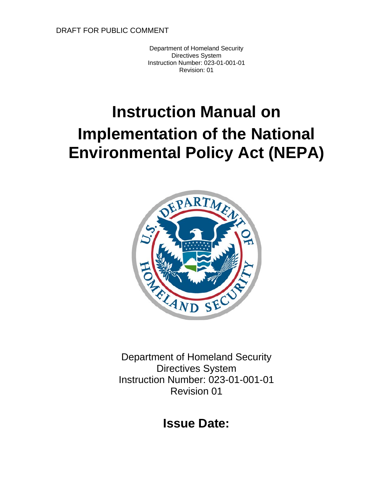Department of Homeland Security Directives System Instruction Number: 023-01-001-01 Revision: 01

# **Instruction Manual on Implementation of the National Environmental Policy Act (NEPA)**



Department of Homeland Security Directives System Instruction Number: 023-01-001-01 Revision 01

**Issue Date:**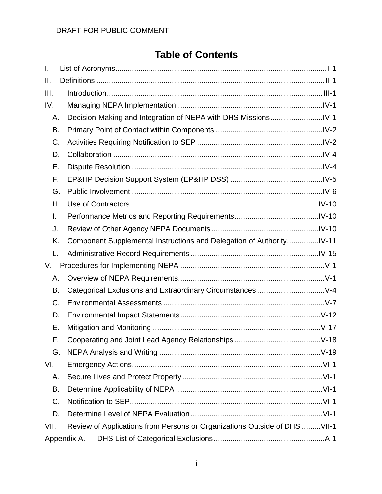# **Table of Contents**

| I.   |                                                                           |  |  |
|------|---------------------------------------------------------------------------|--|--|
| Ш.   |                                                                           |  |  |
| III. |                                                                           |  |  |
| IV.  |                                                                           |  |  |
| Α.   |                                                                           |  |  |
| В.   |                                                                           |  |  |
| C.   |                                                                           |  |  |
| D.   |                                                                           |  |  |
| Е.   |                                                                           |  |  |
| F.   |                                                                           |  |  |
| G.   |                                                                           |  |  |
| Н.   |                                                                           |  |  |
| I.   |                                                                           |  |  |
| J.   |                                                                           |  |  |
| K.   | Component Supplemental Instructions and Delegation of AuthorityIV-11      |  |  |
| L.   |                                                                           |  |  |
| V.   |                                                                           |  |  |
| Α.   |                                                                           |  |  |
| В.   |                                                                           |  |  |
| C.   |                                                                           |  |  |
| D.   |                                                                           |  |  |
| Е.   |                                                                           |  |  |
| F.   |                                                                           |  |  |
| G.   |                                                                           |  |  |
| VI.  |                                                                           |  |  |
| А.   |                                                                           |  |  |
|      | В.                                                                        |  |  |
| C.   |                                                                           |  |  |
| D.   |                                                                           |  |  |
| VII. | Review of Applications from Persons or Organizations Outside of DHS VII-1 |  |  |
|      | Appendix A.                                                               |  |  |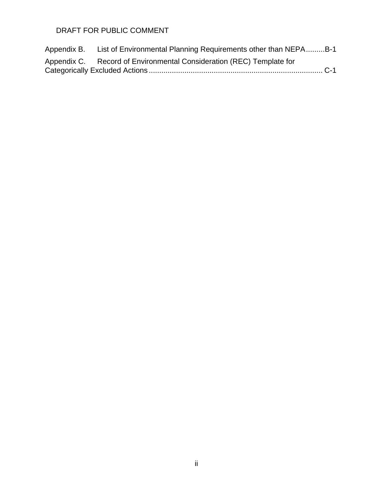| Appendix B. | List of Environmental Planning Requirements other than NEPAB-1       |  |  |  |
|-------------|----------------------------------------------------------------------|--|--|--|
|             | Appendix C. Record of Environmental Consideration (REC) Template for |  |  |  |
|             |                                                                      |  |  |  |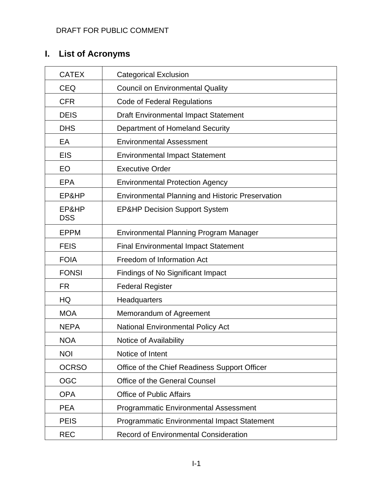# <span id="page-3-0"></span>**I. List of Acronyms**

| <b>CATEX</b>        | <b>Categorical Exclusion</b>                            |
|---------------------|---------------------------------------------------------|
| <b>CEQ</b>          | <b>Council on Environmental Quality</b>                 |
| <b>CFR</b>          | <b>Code of Federal Regulations</b>                      |
| <b>DEIS</b>         | <b>Draft Environmental Impact Statement</b>             |
| <b>DHS</b>          | Department of Homeland Security                         |
| EA                  | <b>Environmental Assessment</b>                         |
| <b>EIS</b>          | <b>Environmental Impact Statement</b>                   |
| EO                  | <b>Executive Order</b>                                  |
| <b>EPA</b>          | <b>Environmental Protection Agency</b>                  |
| EP&HP               | <b>Environmental Planning and Historic Preservation</b> |
| EP&HP<br><b>DSS</b> | <b>EP&amp;HP Decision Support System</b>                |
| <b>EPPM</b>         | <b>Environmental Planning Program Manager</b>           |
| <b>FEIS</b>         | <b>Final Environmental Impact Statement</b>             |
| <b>FOIA</b>         | Freedom of Information Act                              |
| <b>FONSI</b>        | Findings of No Significant Impact                       |
| <b>FR</b>           | <b>Federal Register</b>                                 |
| HQ                  | Headquarters                                            |
| <b>MOA</b>          | Memorandum of Agreement                                 |
| <b>NEPA</b>         | <b>National Environmental Policy Act</b>                |
| <b>NOA</b>          | Notice of Availability                                  |
| <b>NOI</b>          | Notice of Intent                                        |
| <b>OCRSO</b>        | Office of the Chief Readiness Support Officer           |
| <b>OGC</b>          | <b>Office of the General Counsel</b>                    |
| <b>OPA</b>          | <b>Office of Public Affairs</b>                         |
| <b>PEA</b>          | <b>Programmatic Environmental Assessment</b>            |
| <b>PEIS</b>         | Programmatic Environmental Impact Statement             |
| <b>REC</b>          | <b>Record of Environmental Consideration</b>            |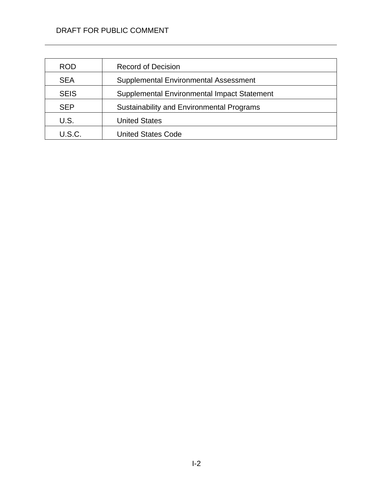| <b>ROD</b>    | <b>Record of Decision</b>                        |
|---------------|--------------------------------------------------|
| <b>SEA</b>    | Supplemental Environmental Assessment            |
| <b>SEIS</b>   | Supplemental Environmental Impact Statement      |
| <b>SEP</b>    | <b>Sustainability and Environmental Programs</b> |
| U.S.          | <b>United States</b>                             |
| <b>U.S.C.</b> | <b>United States Code</b>                        |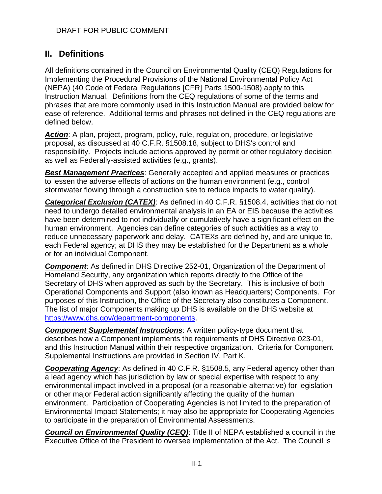# <span id="page-5-0"></span>**II. Definitions**

All definitions contained in the Council on Environmental Quality (CEQ) Regulations for Implementing the Procedural Provisions of the National Environmental Policy Act (NEPA) (40 Code of Federal Regulations [CFR] Parts 1500-1508) apply to this Instruction Manual. Definitions from the CEQ regulations of some of the terms and phrases that are more commonly used in this Instruction Manual are provided below for ease of reference. Additional terms and phrases not defined in the CEQ regulations are defined below.

*Action*: A plan, project, program, policy, rule, regulation, procedure, or legislative proposal, as discussed at 40 C.F.R. §1508.18, subject to DHS's control and responsibility. Projects include actions approved by permit or other regulatory decision as well as Federally-assisted activities (e.g., grants).

*Best Management Practices*: Generally accepted and applied measures or practices to lessen the adverse effects of actions on the human environment (e.g., control stormwater flowing through a construction site to reduce impacts to water quality).

**Categorical Exclusion** *(CATEX)*: As defined in 40 C.F.R. §1508.4, activities that do not need to undergo detailed environmental analysis in an EA or EIS because the activities have been determined to not individually or cumulatively have a significant effect on the human environment. Agencies can define categories of such activities as a way to reduce unnecessary paperwork and delay. CATEXs are defined by, and are unique to, each Federal agency; at DHS they may be established for the Department as a whole or for an individual Component.

*Component*: As defined in DHS Directive 252-01, Organization of the Department of Homeland Security, any organization which reports directly to the Office of the Secretary of DHS when approved as such by the Secretary. This is inclusive of both Operational Components and Support (also known as Headquarters) Components. For purposes of this Instruction, the Office of the Secretary also constitutes a Component. The list of major Components making up DHS is available on the DHS website at [https://www.dhs.gov/department-components.](https://www.dhs.gov/department-components)

*Component Supplemental Instructions*: A written policy-type document that describes how a Component implements the requirements of DHS Directive 023-01, and this Instruction Manual within their respective organization. Criteria for Component Supplemental Instructions are provided in Section IV, Part K.

*Cooperating Agency*: As defined in 40 C.F.R. §1508.5, any Federal agency other than a lead agency which has jurisdiction by law or special expertise with respect to any environmental impact involved in a proposal (or a reasonable alternative) for legislation or other major Federal action significantly affecting the quality of the human environment. Participation of Cooperating Agencies is not limited to the preparation of Environmental Impact Statements; it may also be appropriate for Cooperating Agencies to participate in the preparation of Environmental Assessments.

*Council on Environmental Quality (CEQ)*: Title II of NEPA established a council in the Executive Office of the President to oversee implementation of the Act. The Council is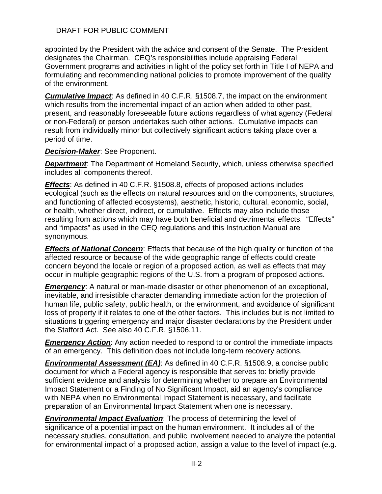appointed by the President with the advice and consent of the Senate. The President designates the Chairman. CEQ's responsibilities include appraising Federal Government programs and activities in light of the policy set forth in Title I of NEPA and formulating and recommending national policies to promote improvement of the quality of the environment.

*Cumulative Impact*: As defined in 40 C.F.R. §1508.7, the impact on the environment which results from the incremental impact of an action when added to other past, present, and reasonably foreseeable future actions regardless of what agency (Federal or non-Federal) or person undertakes such other actions. Cumulative impacts can result from individually minor but collectively significant actions taking place over a period of time.

#### *Decision-Maker*: See Proponent.

**Department**: The Department of Homeland Security, which, unless otherwise specified includes all components thereof.

*Effects*: As defined in 40 C.F.R. §1508.8, effects of proposed actions includes ecological (such as the effects on natural resources and on the components, structures, and functioning of affected ecosystems), aesthetic, historic, cultural, economic, social, or health, whether direct, indirect, or cumulative. Effects may also include those resulting from actions which may have both beneficial and detrimental effects. "Effects" and "impacts" as used in the CEQ regulations and this Instruction Manual are synonymous.

*Effects of National Concern*: Effects that because of the high quality or function of the affected resource or because of the wide geographic range of effects could create concern beyond the locale or region of a proposed action, as well as effects that may occur in multiple geographic regions of the U.S. from a program of proposed actions.

**Emergency:** A natural or man-made disaster or other phenomenon of an exceptional, inevitable, and irresistible character demanding immediate action for the protection of human life, public safety, public health, or the environment, and avoidance of significant loss of property if it relates to one of the other factors. This includes but is not limited to situations triggering emergency and major disaster declarations by the President under the Stafford Act. See also 40 C.F.R. §1506.11.

**Emergency Action:** Any action needed to respond to or control the immediate impacts of an emergency. This definition does not include long-term recovery actions.

*Environmental Assessment (EA)*: As defined in 40 C.F.R. §1508.9, a concise public document for which a Federal agency is responsible that serves to: briefly provide sufficient evidence and analysis for determining whether to prepare an Environmental Impact Statement or a Finding of No Significant Impact, aid an agency's compliance with NEPA when no Environmental Impact Statement is necessary, and facilitate preparation of an Environmental Impact Statement when one is necessary.

*Environmental Impact Evaluation*: The process of determining the level of significance of a potential impact on the human environment. It includes all of the necessary studies, consultation, and public involvement needed to analyze the potential for environmental impact of a proposed action, assign a value to the level of impact (e.g.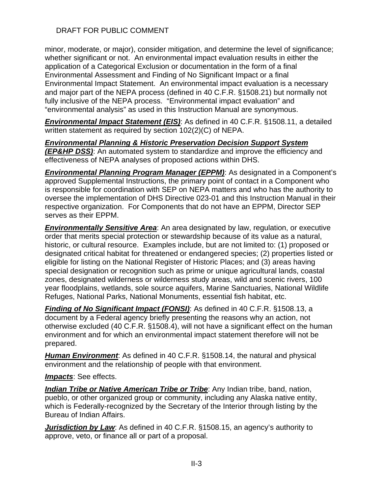minor, moderate, or major), consider mitigation, and determine the level of significance; whether significant or not. An environmental impact evaluation results in either the application of a Categorical Exclusion or documentation in the form of a final Environmental Assessment and Finding of No Significant Impact or a final Environmental Impact Statement. An environmental impact evaluation is a necessary and major part of the NEPA process (defined in 40 C.F.R. §1508.21) but normally not fully inclusive of the NEPA process. "Environmental impact evaluation" and "environmental analysis" as used in this Instruction Manual are synonymous.

*Environmental Impact Statement (EIS)*: As defined in 40 C.F.R. §1508.11, a detailed written statement as required by section 102(2)(C) of NEPA.

*Environmental Planning & Historic Preservation Decision Support System (EP&HP DSS)*: An automated system to standardize and improve the efficiency and effectiveness of NEPA analyses of proposed actions within DHS.

*Environmental Planning Program Manager (EPPM)*: As designated in a Component's approved Supplemental Instructions, the primary point of contact in a Component who is responsible for coordination with SEP on NEPA matters and who has the authority to oversee the implementation of DHS Directive 023-01 and this Instruction Manual in their respective organization. For Components that do not have an EPPM, Director SEP serves as their EPPM.

*Environmentally Sensitive Area*: An area designated by law, regulation, or executive order that merits special protection or stewardship because of its value as a natural, historic, or cultural resource. Examples include, but are not limited to: (1) proposed or designated critical habitat for threatened or endangered species; (2) properties listed or eligible for listing on the National Register of Historic Places; and (3) areas having special designation or recognition such as prime or unique agricultural lands, coastal zones, designated wilderness or wilderness study areas, wild and scenic rivers, 100 year floodplains, wetlands, sole source aquifers, Marine Sanctuaries, National Wildlife Refuges, National Parks, National Monuments, essential fish habitat, etc.

*Finding of No Significant Impact (FONSI)*: As defined in 40 C.F.R. §1508.13, a document by a Federal agency briefly presenting the reasons why an action, not otherwise excluded (40 C.F.R. §1508.4), will not have a significant effect on the human environment and for which an environmental impact statement therefore will not be prepared.

*Human Environment*: As defined in 40 C.F.R. §1508.14, the natural and physical environment and the relationship of people with that environment.

*Impacts*: See effects.

*Indian Tribe or Native American Tribe or Tribe*: Any Indian tribe, band, nation, pueblo, or other organized group or community, including any Alaska native entity, which is Federally-recognized by the Secretary of the Interior through listing by the Bureau of Indian Affairs.

*Jurisdiction by Law*: As defined in 40 C.F.R. §1508.15, an agency's authority to approve, veto, or finance all or part of a proposal.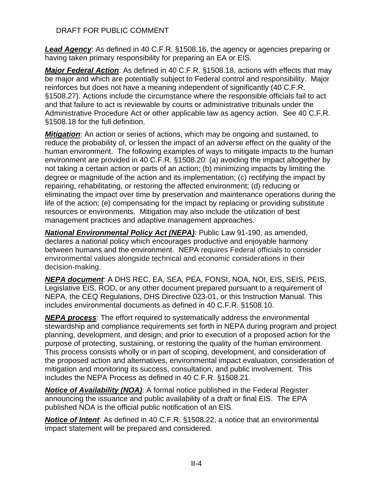*Lead Agency*: As defined in 40 C.F.R. §1508.16, the agency or agencies preparing or having taken primary responsibility for preparing an EA or EIS.

*Major Federal Action*: As defined in 40 C.F.R. §1508.18, actions with effects that may be major and which are potentially subject to Federal control and responsibility. Major reinforces but does not have a meaning independent of significantly (40 C.F.R. §1508.27). Actions include the circumstance where the responsible officials fail to act and that failure to act is reviewable by courts or administrative tribunals under the Administrative Procedure Act or other applicable law as agency action. See 40 C.F.R. §1508.18 for the full definition.

*Mitigation*: An action or series of actions, which may be ongoing and sustained, to reduce the probability of, or lessen the impact of an adverse effect on the quality of the human environment. The following examples of ways to mitigate impacts to the human environment are provided in 40 C.F.R. §1508.20: (a) avoiding the impact altogether by not taking a certain action or parts of an action; (b) minimizing impacts by limiting the degree or magnitude of the action and its implementation; (c) rectifying the impact by repairing, rehabilitating, or restoring the affected environment; (d) reducing or eliminating the impact over time by preservation and maintenance operations during the life of the action; (e) compensating for the impact by replacing or providing substitute resources or environments. Mitigation may also include the utilization of best management practices and adaptive management approaches.

*National Environmental Policy Act (NEPA)*: Public Law 91-190, as amended, declares a national policy which encourages productive and enjoyable harmony between humans and the environment. NEPA requires Federal officials to consider environmental values alongside technical and economic considerations in their decision-making.

*NEPA document*: A DHS REC, EA, SEA, PEA, FONSI, NOA, NOI, EIS, SEIS, PEIS, Legislative EIS, ROD, or any other document prepared pursuant to a requirement of NEPA, the CEQ Regulations, DHS Directive 023-01, or this Instruction Manual. This includes environmental documents as defined in 40 C.F.R. §1508.10.

*NEPA process*: The effort required to systematically address the environmental stewardship and compliance requirements set forth in NEPA during program and project planning, development, and design; and prior to execution of a proposed action for the purpose of protecting, sustaining, or restoring the quality of the human environment. This process consists wholly or in part of scoping, development, and consideration of the proposed action and alternatives, environmental impact evaluation, consideration of mitigation and monitoring its success, consultation, and public involvement. This includes the NEPA Process as defined in 40 C.F.R. §1508.21.

*Notice of Availability (NOA)*: A formal notice published in the Federal Register announcing the issuance and public availability of a draft or final EIS. The EPA published NOA is the official public notification of an EIS.

*Notice of Intent*: As defined in 40 C.F.R. §1508.22, a notice that an environmental impact statement will be prepared and considered.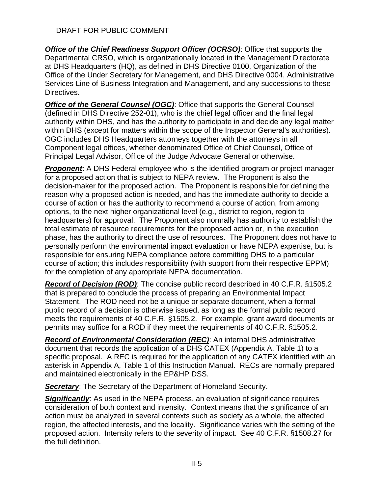*Office of the Chief Readiness Support Officer (OCRSO)*: Office that supports the Departmental CRSO, which is organizationally located in the Management Directorate at DHS Headquarters (HQ), as defined in DHS Directive 0100, Organization of the Office of the Under Secretary for Management, and DHS Directive 0004, Administrative Services Line of Business Integration and Management, and any successions to these Directives.

**Office of the General Counsel (OGC):** Office that supports the General Counsel (defined in DHS Directive 252-01), who is the chief legal officer and the final legal authority within DHS, and has the authority to participate in and decide any legal matter within DHS (except for matters within the scope of the Inspector General's authorities). OGC includes DHS Headquarters attorneys together with the attorneys in all Component legal offices, whether denominated Office of Chief Counsel, Office of Principal Legal Advisor, Office of the Judge Advocate General or otherwise.

**Proponent:** A DHS Federal employee who is the identified program or project manager for a proposed action that is subject to NEPA review. The Proponent is also the decision-maker for the proposed action. The Proponent is responsible for defining the reason why a proposed action is needed, and has the immediate authority to decide a course of action or has the authority to recommend a course of action, from among options, to the next higher organizational level (e.g., district to region, region to headquarters) for approval. The Proponent also normally has authority to establish the total estimate of resource requirements for the proposed action or, in the execution phase, has the authority to direct the use of resources. The Proponent does not have to personally perform the environmental impact evaluation or have NEPA expertise, but is responsible for ensuring NEPA compliance before committing DHS to a particular course of action; this includes responsibility (with support from their respective EPPM) for the completion of any appropriate NEPA documentation.

*Record of Decision (ROD)*: The concise public record described in 40 C.F.R. §1505.2 that is prepared to conclude the process of preparing an Environmental Impact Statement. The ROD need not be a unique or separate document, when a formal public record of a decision is otherwise issued, as long as the formal public record meets the requirements of 40 C.F.R. §1505.2. For example, grant award documents or permits may suffice for a ROD if they meet the requirements of 40 C.F.R. §1505.2.

*Record of Environmental Consideration (REC)*: An internal DHS administrative document that records the application of a DHS CATEX (Appendix A, Table 1) to a specific proposal. A REC is required for the application of any CATEX identified with an asterisk in Appendix A, Table 1 of this Instruction Manual. RECs are normally prepared and maintained electronically in the EP&HP DSS.

*Secretary*: The Secretary of the Department of Homeland Security.

**Significantly**: As used in the NEPA process, an evaluation of significance requires consideration of both context and intensity. Context means that the significance of an action must be analyzed in several contexts such as society as a whole, the affected region, the affected interests, and the locality. Significance varies with the setting of the proposed action. Intensity refers to the severity of impact. See 40 C.F.R. §1508.27 for the full definition.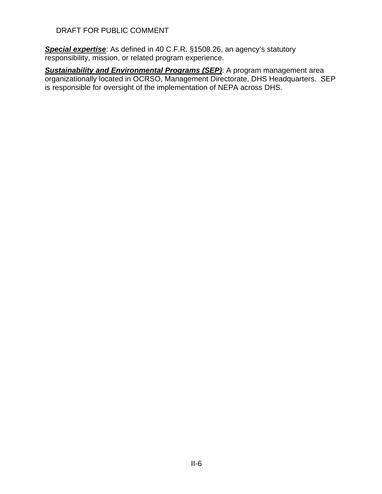*Special expertise*: As defined in 40 C.F.R. §1508.26, an agency's statutory responsibility, mission, or related program experience.

**Sustainability and Environmental Programs (SEP):** A program management area organizationally located in OCRSO, Management Directorate, DHS Headquarters. SEP is responsible for oversight of the implementation of NEPA across DHS.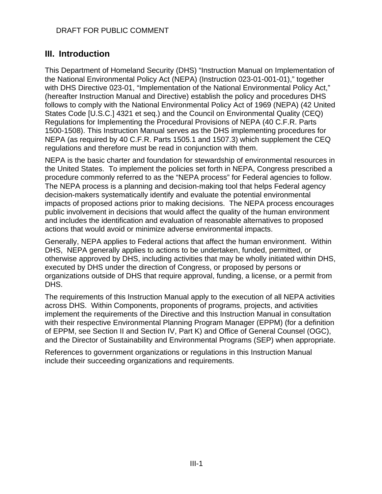# <span id="page-11-0"></span>**III. Introduction**

This Department of Homeland Security (DHS) "Instruction Manual on Implementation of the National Environmental Policy Act (NEPA) (Instruction 023-01-001-01)," together with DHS Directive 023-01, "Implementation of the National Environmental Policy Act," (hereafter Instruction Manual and Directive) establish the policy and procedures DHS follows to comply with the National Environmental Policy Act of 1969 (NEPA) (42 United States Code [U.S.C.] 4321 et seq.) and the Council on Environmental Quality (CEQ) Regulations for Implementing the Procedural Provisions of NEPA (40 C.F.R. Parts 1500-1508). This Instruction Manual serves as the DHS implementing procedures for NEPA (as required by 40 C.F.R. Parts 1505.1 and 1507.3) which supplement the CEQ regulations and therefore must be read in conjunction with them.

NEPA is the basic charter and foundation for stewardship of environmental resources in the United States. To implement the policies set forth in NEPA, Congress prescribed a procedure commonly referred to as the "NEPA process" for Federal agencies to follow. The NEPA process is a planning and decision-making tool that helps Federal agency decision-makers systematically identify and evaluate the potential environmental impacts of proposed actions prior to making decisions. The NEPA process encourages public involvement in decisions that would affect the quality of the human environment and includes the identification and evaluation of reasonable alternatives to proposed actions that would avoid or minimize adverse environmental impacts.

Generally, NEPA applies to Federal actions that affect the human environment. Within DHS, NEPA generally applies to actions to be undertaken, funded, permitted, or otherwise approved by DHS, including activities that may be wholly initiated within DHS, executed by DHS under the direction of Congress, or proposed by persons or organizations outside of DHS that require approval, funding, a license, or a permit from DHS.

The requirements of this Instruction Manual apply to the execution of all NEPA activities across DHS. Within Components, proponents of programs, projects, and activities implement the requirements of the Directive and this Instruction Manual in consultation with their respective Environmental Planning Program Manager (EPPM) (for a definition of EPPM, see Section II and Section IV, Part K) and Office of General Counsel (OGC), and the Director of Sustainability and Environmental Programs (SEP) when appropriate.

References to government organizations or regulations in this Instruction Manual include their succeeding organizations and requirements.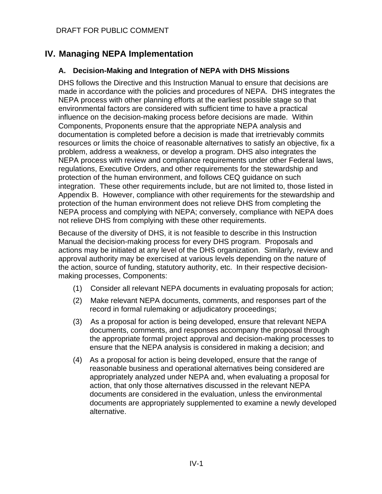# <span id="page-12-0"></span>**IV. Managing NEPA Implementation**

### <span id="page-12-1"></span>**A. Decision-Making and Integration of NEPA with DHS Missions**

DHS follows the Directive and this Instruction Manual to ensure that decisions are made in accordance with the policies and procedures of NEPA. DHS integrates the NEPA process with other planning efforts at the earliest possible stage so that environmental factors are considered with sufficient time to have a practical influence on the decision-making process before decisions are made. Within Components, Proponents ensure that the appropriate NEPA analysis and documentation is completed before a decision is made that irretrievably commits resources or limits the choice of reasonable alternatives to satisfy an objective, fix a problem, address a weakness, or develop a program. DHS also integrates the NEPA process with review and compliance requirements under other Federal laws, regulations, Executive Orders, and other requirements for the stewardship and protection of the human environment, and follows CEQ guidance on such integration. These other requirements include, but are not limited to, those listed in Appendix B. However, compliance with other requirements for the stewardship and protection of the human environment does not relieve DHS from completing the NEPA process and complying with NEPA; conversely, compliance with NEPA does not relieve DHS from complying with these other requirements.

Because of the diversity of DHS, it is not feasible to describe in this Instruction Manual the decision-making process for every DHS program. Proposals and actions may be initiated at any level of the DHS organization. Similarly, review and approval authority may be exercised at various levels depending on the nature of the action, source of funding, statutory authority, etc. In their respective decisionmaking processes, Components:

- (1) Consider all relevant NEPA documents in evaluating proposals for action;
- (2) Make relevant NEPA documents, comments, and responses part of the record in formal rulemaking or adjudicatory proceedings;
- (3) As a proposal for action is being developed, ensure that relevant NEPA documents, comments, and responses accompany the proposal through the appropriate formal project approval and decision-making processes to ensure that the NEPA analysis is considered in making a decision; and
- (4) As a proposal for action is being developed, ensure that the range of reasonable business and operational alternatives being considered are appropriately analyzed under NEPA and, when evaluating a proposal for action, that only those alternatives discussed in the relevant NEPA documents are considered in the evaluation, unless the environmental documents are appropriately supplemented to examine a newly developed alternative.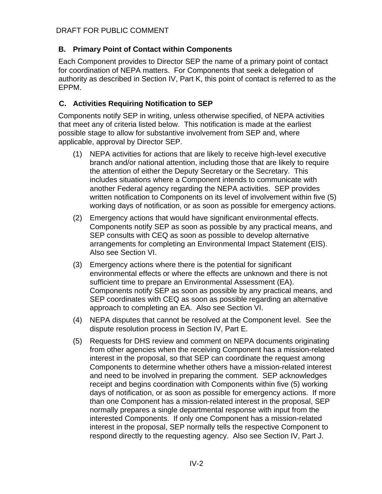# <span id="page-13-0"></span>**B. Primary Point of Contact within Components**

Each Component provides to Director SEP the name of a primary point of contact for coordination of NEPA matters. For Components that seek a delegation of authority as described in Section IV, Part K, this point of contact is referred to as the EPPM.

# <span id="page-13-1"></span>**C. Activities Requiring Notification to SEP**

Components notify SEP in writing, unless otherwise specified, of NEPA activities that meet any of criteria listed below. This notification is made at the earliest possible stage to allow for substantive involvement from SEP and, where applicable, approval by Director SEP.

- (1) NEPA activities for actions that are likely to receive high-level executive branch and/or national attention, including those that are likely to require the attention of either the Deputy Secretary or the Secretary. This includes situations where a Component intends to communicate with another Federal agency regarding the NEPA activities. SEP provides written notification to Components on its level of involvement within five (5) working days of notification, or as soon as possible for emergency actions.
- (2) Emergency actions that would have significant environmental effects. Components notify SEP as soon as possible by any practical means, and SEP consults with CEQ as soon as possible to develop alternative arrangements for completing an Environmental Impact Statement (EIS). Also see Section VI.
- (3) Emergency actions where there is the potential for significant environmental effects or where the effects are unknown and there is not sufficient time to prepare an Environmental Assessment (EA). Components notify SEP as soon as possible by any practical means, and SEP coordinates with CEQ as soon as possible regarding an alternative approach to completing an EA. Also see Section VI.
- (4) NEPA disputes that cannot be resolved at the Component level. See the dispute resolution process in Section IV, Part E.
- (5) Requests for DHS review and comment on NEPA documents originating from other agencies when the receiving Component has a mission-related interest in the proposal, so that SEP can coordinate the request among Components to determine whether others have a mission-related interest and need to be involved in preparing the comment. SEP acknowledges receipt and begins coordination with Components within five (5) working days of notification, or as soon as possible for emergency actions. If more than one Component has a mission-related interest in the proposal, SEP normally prepares a single departmental response with input from the interested Components. If only one Component has a mission-related interest in the proposal, SEP normally tells the respective Component to respond directly to the requesting agency. Also see Section IV, Part J.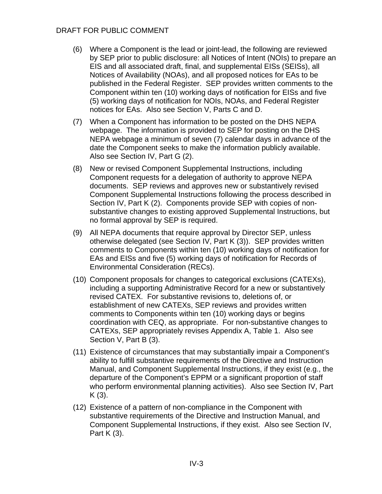- (6) Where a Component is the lead or joint-lead, the following are reviewed by SEP prior to public disclosure: all Notices of Intent (NOIs) to prepare an EIS and all associated draft, final, and supplemental EISs (SEISs), all Notices of Availability (NOAs), and all proposed notices for EAs to be published in the Federal Register. SEP provides written comments to the Component within ten (10) working days of notification for EISs and five (5) working days of notification for NOIs, NOAs, and Federal Register notices for EAs. Also see Section V, Parts C and D.
- (7) When a Component has information to be posted on the DHS NEPA webpage. The information is provided to SEP for posting on the DHS NEPA webpage a minimum of seven (7) calendar days in advance of the date the Component seeks to make the information publicly available. Also see Section IV, Part G (2).
- (8) New or revised Component Supplemental Instructions, including Component requests for a delegation of authority to approve NEPA documents. SEP reviews and approves new or substantively revised Component Supplemental Instructions following the process described in Section IV, Part K (2). Components provide SEP with copies of nonsubstantive changes to existing approved Supplemental Instructions, but no formal approval by SEP is required.
- (9) All NEPA documents that require approval by Director SEP, unless otherwise delegated (see Section IV, Part K (3)). SEP provides written comments to Components within ten (10) working days of notification for EAs and EISs and five (5) working days of notification for Records of Environmental Consideration (RECs).
- (10) Component proposals for changes to categorical exclusions (CATEXs), including a supporting Administrative Record for a new or substantively revised CATEX. For substantive revisions to, deletions of, or establishment of new CATEXs, SEP reviews and provides written comments to Components within ten (10) working days or begins coordination with CEQ, as appropriate. For non-substantive changes to CATEXs, SEP appropriately revises Appendix A, Table 1. Also see Section V, Part B (3).
- (11) Existence of circumstances that may substantially impair a Component's ability to fulfill substantive requirements of the Directive and Instruction Manual, and Component Supplemental Instructions, if they exist (e.g., the departure of the Component's EPPM or a significant proportion of staff who perform environmental planning activities). Also see Section IV, Part  $K(3)$ .
- (12) Existence of a pattern of non-compliance in the Component with substantive requirements of the Directive and Instruction Manual, and Component Supplemental Instructions, if they exist. Also see Section IV, Part K (3).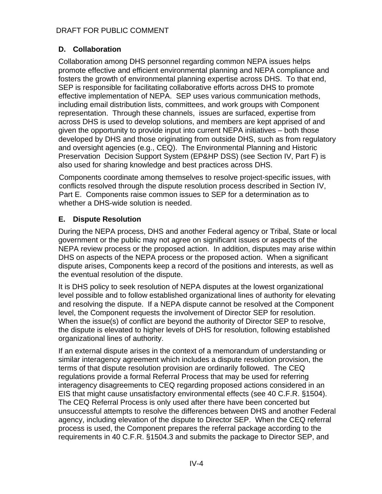#### <span id="page-15-0"></span>**D. Collaboration**

Collaboration among DHS personnel regarding common NEPA issues helps promote effective and efficient environmental planning and NEPA compliance and fosters the growth of environmental planning expertise across DHS. To that end, SEP is responsible for facilitating collaborative efforts across DHS to promote effective implementation of NEPA. SEP uses various communication methods, including email distribution lists, committees, and work groups with Component representation. Through these channels, issues are surfaced, expertise from across DHS is used to develop solutions, and members are kept apprised of and given the opportunity to provide input into current NEPA initiatives – both those developed by DHS and those originating from outside DHS, such as from regulatory and oversight agencies (e.g., CEQ). The Environmental Planning and Historic Preservation Decision Support System (EP&HP DSS) (see Section IV, Part F) is also used for sharing knowledge and best practices across DHS.

Components coordinate among themselves to resolve project-specific issues, with conflicts resolved through the dispute resolution process described in Section IV, Part E. Components raise common issues to SEP for a determination as to whether a DHS-wide solution is needed.

#### <span id="page-15-1"></span>**E. Dispute Resolution**

During the NEPA process, DHS and another Federal agency or Tribal, State or local government or the public may not agree on significant issues or aspects of the NEPA review process or the proposed action. In addition, disputes may arise within DHS on aspects of the NEPA process or the proposed action. When a significant dispute arises, Components keep a record of the positions and interests, as well as the eventual resolution of the dispute.

It is DHS policy to seek resolution of NEPA disputes at the lowest organizational level possible and to follow established organizational lines of authority for elevating and resolving the dispute. If a NEPA dispute cannot be resolved at the Component level, the Component requests the involvement of Director SEP for resolution. When the issue(s) of conflict are beyond the authority of Director SEP to resolve, the dispute is elevated to higher levels of DHS for resolution, following established organizational lines of authority.

If an external dispute arises in the context of a memorandum of understanding or similar interagency agreement which includes a dispute resolution provision, the terms of that dispute resolution provision are ordinarily followed. The CEQ regulations provide a formal Referral Process that may be used for referring interagency disagreements to CEQ regarding proposed actions considered in an EIS that might cause unsatisfactory environmental effects (see 40 C.F.R. §1504). The CEQ Referral Process is only used after there have been concerted but unsuccessful attempts to resolve the differences between DHS and another Federal agency, including elevation of the dispute to Director SEP. When the CEQ referral process is used, the Component prepares the referral package according to the requirements in 40 C.F.R. §1504.3 and submits the package to Director SEP, and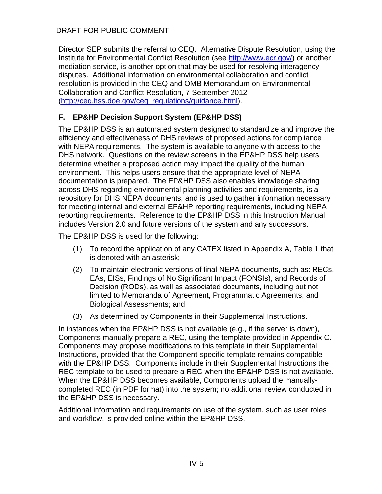Director SEP submits the referral to CEQ. Alternative Dispute Resolution, using the Institute for Environmental Conflict Resolution (see [http://www.ecr.gov/\)](http://www.ecr.gov/) or another mediation service, is another option that may be used for resolving interagency disputes. Additional information on environmental collaboration and conflict resolution is provided in the CEQ and OMB Memorandum on Environmental Collaboration and Conflict Resolution, 7 September 2012 [\(http://ceq.hss.doe.gov/ceq\\_regulations/guidance.html\)](http://ceq.hss.doe.gov/ceq_regulations/guidance.html).

# <span id="page-16-0"></span>**F. EP&HP Decision Support System (EP&HP DSS)**

The EP&HP DSS is an automated system designed to standardize and improve the efficiency and effectiveness of DHS reviews of proposed actions for compliance with NEPA requirements. The system is available to anyone with access to the DHS network. Questions on the review screens in the EP&HP DSS help users determine whether a proposed action may impact the quality of the human environment. This helps users ensure that the appropriate level of NEPA documentation is prepared. The EP&HP DSS also enables knowledge sharing across DHS regarding environmental planning activities and requirements, is a repository for DHS NEPA documents, and is used to gather information necessary for meeting internal and external EP&HP reporting requirements, including NEPA reporting requirements. Reference to the EP&HP DSS in this Instruction Manual includes Version 2.0 and future versions of the system and any successors.

The EP&HP DSS is used for the following:

- (1) To record the application of any CATEX listed in Appendix A, Table 1 that is denoted with an asterisk;
- (2) To maintain electronic versions of final NEPA documents, such as: RECs, EAs, EISs, Findings of No Significant Impact (FONSIs), and Records of Decision (RODs), as well as associated documents, including but not limited to Memoranda of Agreement, Programmatic Agreements, and Biological Assessments; and
- (3) As determined by Components in their Supplemental Instructions.

In instances when the EP&HP DSS is not available (e.g., if the server is down), Components manually prepare a REC, using the template provided in Appendix C. Components may propose modifications to this template in their Supplemental Instructions, provided that the Component-specific template remains compatible with the EP&HP DSS. Components include in their Supplemental Instructions the REC template to be used to prepare a REC when the EP&HP DSS is not available. When the EP&HP DSS becomes available, Components upload the manuallycompleted REC (in PDF format) into the system; no additional review conducted in the EP&HP DSS is necessary.

Additional information and requirements on use of the system, such as user roles and workflow, is provided online within the EP&HP DSS.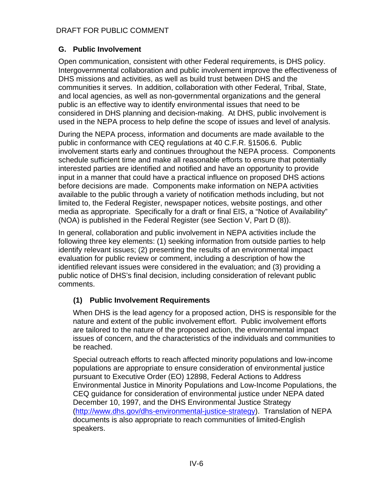#### <span id="page-17-0"></span>**G. Public Involvement**

Open communication, consistent with other Federal requirements, is DHS policy. Intergovernmental collaboration and public involvement improve the effectiveness of DHS missions and activities, as well as build trust between DHS and the communities it serves. In addition, collaboration with other Federal, Tribal, State, and local agencies, as well as non-governmental organizations and the general public is an effective way to identify environmental issues that need to be considered in DHS planning and decision-making. At DHS, public involvement is used in the NEPA process to help define the scope of issues and level of analysis.

During the NEPA process, information and documents are made available to the public in conformance with CEQ regulations at 40 C.F.R. §1506.6. Public involvement starts early and continues throughout the NEPA process. Components schedule sufficient time and make all reasonable efforts to ensure that potentially interested parties are identified and notified and have an opportunity to provide input in a manner that could have a practical influence on proposed DHS actions before decisions are made. Components make information on NEPA activities available to the public through a variety of notification methods including, but not limited to, the Federal Register, newspaper notices, website postings, and other media as appropriate. Specifically for a draft or final EIS, a "Notice of Availability" (NOA) is published in the Federal Register (see Section V, Part D (8)).

In general, collaboration and public involvement in NEPA activities include the following three key elements: (1) seeking information from outside parties to help identify relevant issues; (2) presenting the results of an environmental impact evaluation for public review or comment, including a description of how the identified relevant issues were considered in the evaluation; and (3) providing a public notice of DHS's final decision, including consideration of relevant public comments.

# **(1) Public Involvement Requirements**

When DHS is the lead agency for a proposed action, DHS is responsible for the nature and extent of the public involvement effort. Public involvement efforts are tailored to the nature of the proposed action, the environmental impact issues of concern, and the characteristics of the individuals and communities to be reached.

Special outreach efforts to reach affected minority populations and low-income populations are appropriate to ensure consideration of environmental justice pursuant to Executive Order (EO) 12898, Federal Actions to Address Environmental Justice in Minority Populations and Low-Income Populations, the CEQ guidance for consideration of environmental justice under NEPA dated December 10, 1997, and the DHS Environmental Justice Strategy [\(http://www.dhs.gov/dhs-environmental-justice-strategy\)](http://www.dhs.gov/dhs-environmental-justice-strategy). Translation of NEPA documents is also appropriate to reach communities of limited-English speakers.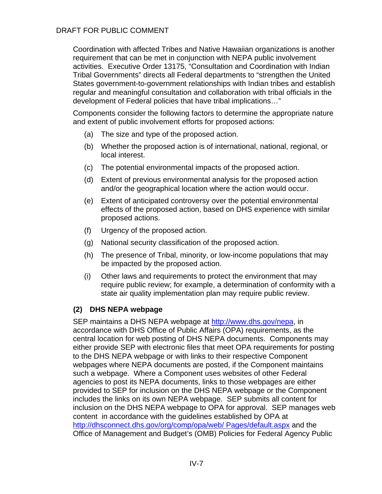Coordination with affected Tribes and Native Hawaiian organizations is another requirement that can be met in conjunction with NEPA public involvement activities. Executive Order 13175, "Consultation and Coordination with Indian Tribal Governments" directs all Federal departments to "strengthen the United States government-to-government relationships with Indian tribes and establish regular and meaningful consultation and collaboration with tribal officials in the development of Federal policies that have tribal implications…"

Components consider the following factors to determine the appropriate nature and extent of public involvement efforts for proposed actions:

- (a) The size and type of the proposed action.
- (b) Whether the proposed action is of international, national, regional, or local interest.
- (c) The potential environmental impacts of the proposed action.
- (d) Extent of previous environmental analysis for the proposed action and/or the geographical location where the action would occur.
- (e) Extent of anticipated controversy over the potential environmental effects of the proposed action, based on DHS experience with similar proposed actions.
- (f) Urgency of the proposed action.
- (g) National security classification of the proposed action.
- (h) The presence of Tribal, minority, or low-income populations that may be impacted by the proposed action.
- (i) Other laws and requirements to protect the environment that may require public review; for example, a determination of conformity with a state air quality implementation plan may require public review.

#### **(2) DHS NEPA webpage**

SEP maintains a DHS NEPA webpage at [http://www.dhs.gov/nepa,](http://www.dhs.gov/nepa) in accordance with DHS Office of Public Affairs (OPA) requirements, as the central location for web posting of DHS NEPA documents. Components may either provide SEP with electronic files that meet OPA requirements for posting to the DHS NEPA webpage or with links to their respective Component webpages where NEPA documents are posted, if the Component maintains such a webpage. Where a Component uses websites of other Federal agencies to post its NEPA documents, links to those webpages are either provided to SEP for inclusion on the DHS NEPA webpage or the Component includes the links on its own NEPA webpage. SEP submits all content for inclusion on the DHS NEPA webpage to OPA for approval. SEP manages web content in accordance with the guidelines established by OPA at [http://dhsconnect.dhs.gov/org/comp/opa/web/ Pages/default.aspx](http://dhsconnect.dhs.gov/org/comp/opa/web/%20Pages/default.aspx) and the Office of Management and Budget's (OMB) Policies for Federal Agency Public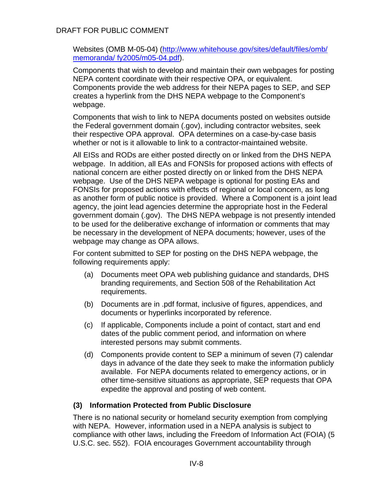Websites (OMB M-05-04) [\(http://www.whitehouse.gov/sites/default/files/omb/](http://www.whitehouse.gov/sites/default/files/omb/%20memoranda/%20fy2005/m05-04.pdf)  [memoranda/ fy2005/m05-04.pdf\)](http://www.whitehouse.gov/sites/default/files/omb/%20memoranda/%20fy2005/m05-04.pdf).

Components that wish to develop and maintain their own webpages for posting NEPA content coordinate with their respective OPA, or equivalent. Components provide the web address for their NEPA pages to SEP, and SEP creates a hyperlink from the DHS NEPA webpage to the Component's webpage.

Components that wish to link to NEPA documents posted on websites outside the Federal government domain (.gov), including contractor websites, seek their respective OPA approval. OPA determines on a case-by-case basis whether or not is it allowable to link to a contractor-maintained website.

All EISs and RODs are either posted directly on or linked from the DHS NEPA webpage. In addition, all EAs and FONSIs for proposed actions with effects of national concern are either posted directly on or linked from the DHS NEPA webpage. Use of the DHS NEPA webpage is optional for posting EAs and FONSIs for proposed actions with effects of regional or local concern, as long as another form of public notice is provided. Where a Component is a joint lead agency, the joint lead agencies determine the appropriate host in the Federal government domain (.gov). The DHS NEPA webpage is not presently intended to be used for the deliberative exchange of information or comments that may be necessary in the development of NEPA documents; however, uses of the webpage may change as OPA allows.

For content submitted to SEP for posting on the DHS NEPA webpage, the following requirements apply:

- (a) Documents meet OPA web publishing guidance and standards, DHS branding requirements, and Section 508 of the Rehabilitation Act requirements.
- (b) Documents are in .pdf format, inclusive of figures, appendices, and documents or hyperlinks incorporated by reference.
- (c) If applicable, Components include a point of contact, start and end dates of the public comment period, and information on where interested persons may submit comments.
- (d) Components provide content to SEP a minimum of seven (7) calendar days in advance of the date they seek to make the information publicly available. For NEPA documents related to emergency actions, or in other time-sensitive situations as appropriate, SEP requests that OPA expedite the approval and posting of web content.

#### **(3) Information Protected from Public Disclosure**

There is no national security or homeland security exemption from complying with NEPA. However, information used in a NEPA analysis is subject to compliance with other laws, including the Freedom of Information Act (FOIA) (5 U.S.C. sec. 552). FOIA encourages Government accountability through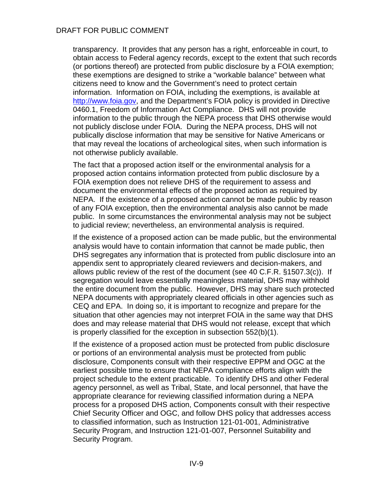transparency. It provides that any person has a right, enforceable in court, to obtain access to Federal agency records, except to the extent that such records (or portions thereof) are protected from public disclosure by a FOIA exemption; these exemptions are designed to strike a "workable balance" between what citizens need to know and the Government's need to protect certain information. Information on FOIA, including the exemptions, is available at [http://www.foia.gov,](http://www.foia.gov/) and the Department's FOIA policy is provided in Directive 0460.1, Freedom of Information Act Compliance. DHS will not provide information to the public through the NEPA process that DHS otherwise would not publicly disclose under FOIA. During the NEPA process, DHS will not publically disclose information that may be sensitive for Native Americans or that may reveal the locations of archeological sites, when such information is not otherwise publicly available.

The fact that a proposed action itself or the environmental analysis for a proposed action contains information protected from public disclosure by a FOIA exemption does not relieve DHS of the requirement to assess and document the environmental effects of the proposed action as required by NEPA. If the existence of a proposed action cannot be made public by reason of any FOIA exception, then the environmental analysis also cannot be made public. In some circumstances the environmental analysis may not be subject to judicial review; nevertheless, an environmental analysis is required.

If the existence of a proposed action can be made public, but the environmental analysis would have to contain information that cannot be made public, then DHS segregates any information that is protected from public disclosure into an appendix sent to appropriately cleared reviewers and decision-makers, and allows public review of the rest of the document (see 40 C.F.R. §1507.3(c)). If segregation would leave essentially meaningless material, DHS may withhold the entire document from the public. However, DHS may share such protected NEPA documents with appropriately cleared officials in other agencies such as CEQ and EPA. In doing so, it is important to recognize and prepare for the situation that other agencies may not interpret FOIA in the same way that DHS does and may release material that DHS would not release, except that which is properly classified for the exception in subsection 552(b)(1).

If the existence of a proposed action must be protected from public disclosure or portions of an environmental analysis must be protected from public disclosure, Components consult with their respective EPPM and OGC at the earliest possible time to ensure that NEPA compliance efforts align with the project schedule to the extent practicable. To identify DHS and other Federal agency personnel, as well as Tribal, State, and local personnel, that have the appropriate clearance for reviewing classified information during a NEPA process for a proposed DHS action, Components consult with their respective Chief Security Officer and OGC, and follow DHS policy that addresses access to classified information, such as Instruction 121-01-001, Administrative Security Program, and Instruction 121-01-007, Personnel Suitability and Security Program.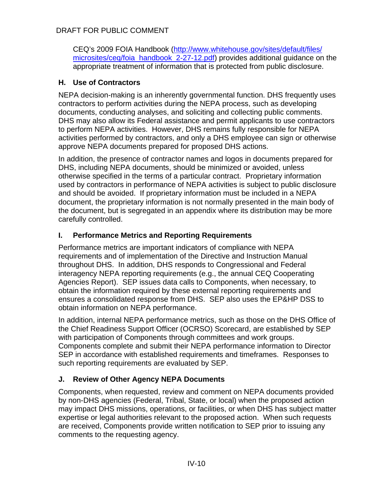CEQ's 2009 FOIA Handbook [\(http://www.whitehouse.gov/sites/default/files/](http://www.whitehouse.gov/sites/default/files/%20microsites/ceq/foia_handbook_2-27-12.pdf)  [microsites/ceq/foia\\_handbook\\_2-27-12.pdf\)](http://www.whitehouse.gov/sites/default/files/%20microsites/ceq/foia_handbook_2-27-12.pdf) provides additional guidance on the appropriate treatment of information that is protected from public disclosure.

# <span id="page-21-0"></span>**H. Use of Contractors**

NEPA decision-making is an inherently governmental function. DHS frequently uses contractors to perform activities during the NEPA process, such as developing documents, conducting analyses, and soliciting and collecting public comments. DHS may also allow its Federal assistance and permit applicants to use contractors to perform NEPA activities. However, DHS remains fully responsible for NEPA activities performed by contractors, and only a DHS employee can sign or otherwise approve NEPA documents prepared for proposed DHS actions.

In addition, the presence of contractor names and logos in documents prepared for DHS, including NEPA documents, should be minimized or avoided, unless otherwise specified in the terms of a particular contract. Proprietary information used by contractors in performance of NEPA activities is subject to public disclosure and should be avoided. If proprietary information must be included in a NEPA document, the proprietary information is not normally presented in the main body of the document, but is segregated in an appendix where its distribution may be more carefully controlled.

# <span id="page-21-1"></span>**I. Performance Metrics and Reporting Requirements**

Performance metrics are important indicators of compliance with NEPA requirements and of implementation of the Directive and Instruction Manual throughout DHS. In addition, DHS responds to Congressional and Federal interagency NEPA reporting requirements (e.g., the annual CEQ Cooperating Agencies Report). SEP issues data calls to Components, when necessary, to obtain the information required by these external reporting requirements and ensures a consolidated response from DHS. SEP also uses the EP&HP DSS to obtain information on NEPA performance.

In addition, internal NEPA performance metrics, such as those on the DHS Office of the Chief Readiness Support Officer (OCRSO) Scorecard, are established by SEP with participation of Components through committees and work groups. Components complete and submit their NEPA performance information to Director SEP in accordance with established requirements and timeframes. Responses to such reporting requirements are evaluated by SEP.

# <span id="page-21-2"></span>**J. Review of Other Agency NEPA Documents**

Components, when requested, review and comment on NEPA documents provided by non-DHS agencies (Federal, Tribal, State, or local) when the proposed action may impact DHS missions, operations, or facilities, or when DHS has subject matter expertise or legal authorities relevant to the proposed action. When such requests are received, Components provide written notification to SEP prior to issuing any comments to the requesting agency.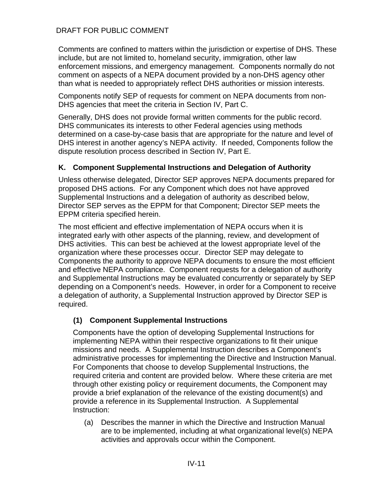Comments are confined to matters within the jurisdiction or expertise of DHS. These include, but are not limited to, homeland security, immigration, other law enforcement missions, and emergency management. Components normally do not comment on aspects of a NEPA document provided by a non-DHS agency other than what is needed to appropriately reflect DHS authorities or mission interests.

Components notify SEP of requests for comment on NEPA documents from non-DHS agencies that meet the criteria in Section IV, Part C.

Generally, DHS does not provide formal written comments for the public record. DHS communicates its interests to other Federal agencies using methods determined on a case-by-case basis that are appropriate for the nature and level of DHS interest in another agency's NEPA activity. If needed, Components follow the dispute resolution process described in Section IV, Part E.

#### <span id="page-22-0"></span>**K. Component Supplemental Instructions and Delegation of Authority**

Unless otherwise delegated, Director SEP approves NEPA documents prepared for proposed DHS actions. For any Component which does not have approved Supplemental Instructions and a delegation of authority as described below, Director SEP serves as the EPPM for that Component; Director SEP meets the EPPM criteria specified herein.

The most efficient and effective implementation of NEPA occurs when it is integrated early with other aspects of the planning, review, and development of DHS activities. This can best be achieved at the lowest appropriate level of the organization where these processes occur. Director SEP may delegate to Components the authority to approve NEPA documents to ensure the most efficient and effective NEPA compliance. Component requests for a delegation of authority and Supplemental Instructions may be evaluated concurrently or separately by SEP depending on a Component's needs. However, in order for a Component to receive a delegation of authority, a Supplemental Instruction approved by Director SEP is required.

#### **(1) Component Supplemental Instructions**

Components have the option of developing Supplemental Instructions for implementing NEPA within their respective organizations to fit their unique missions and needs. A Supplemental Instruction describes a Component's administrative processes for implementing the Directive and Instruction Manual. For Components that choose to develop Supplemental Instructions, the required criteria and content are provided below. Where these criteria are met through other existing policy or requirement documents, the Component may provide a brief explanation of the relevance of the existing document(s) and provide a reference in its Supplemental Instruction. A Supplemental Instruction:

(a) Describes the manner in which the Directive and Instruction Manual are to be implemented, including at what organizational level(s) NEPA activities and approvals occur within the Component.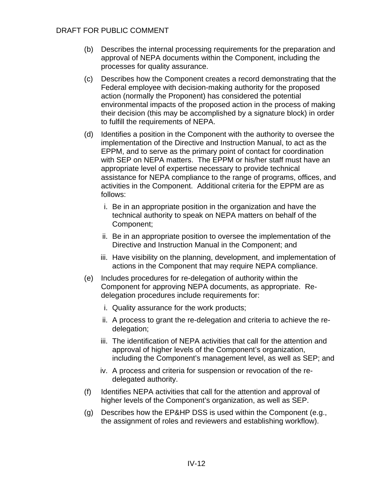- (b) Describes the internal processing requirements for the preparation and approval of NEPA documents within the Component, including the processes for quality assurance.
- (c) Describes how the Component creates a record demonstrating that the Federal employee with decision-making authority for the proposed action (normally the Proponent) has considered the potential environmental impacts of the proposed action in the process of making their decision (this may be accomplished by a signature block) in order to fulfill the requirements of NEPA.
- (d) Identifies a position in the Component with the authority to oversee the implementation of the Directive and Instruction Manual, to act as the EPPM, and to serve as the primary point of contact for coordination with SEP on NEPA matters. The EPPM or his/her staff must have an appropriate level of expertise necessary to provide technical assistance for NEPA compliance to the range of programs, offices, and activities in the Component. Additional criteria for the EPPM are as follows:
	- i. Be in an appropriate position in the organization and have the technical authority to speak on NEPA matters on behalf of the Component;
	- ii. Be in an appropriate position to oversee the implementation of the Directive and Instruction Manual in the Component; and
	- iii. Have visibility on the planning, development, and implementation of actions in the Component that may require NEPA compliance.
- (e) Includes procedures for re-delegation of authority within the Component for approving NEPA documents, as appropriate. Redelegation procedures include requirements for:
	- i. Quality assurance for the work products;
	- ii. A process to grant the re-delegation and criteria to achieve the redelegation;
	- iii. The identification of NEPA activities that call for the attention and approval of higher levels of the Component's organization, including the Component's management level, as well as SEP; and
	- iv. A process and criteria for suspension or revocation of the redelegated authority.
- (f) Identifies NEPA activities that call for the attention and approval of higher levels of the Component's organization, as well as SEP.
- (g) Describes how the EP&HP DSS is used within the Component (e.g., the assignment of roles and reviewers and establishing workflow).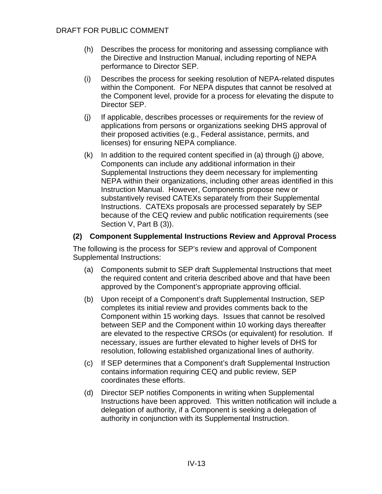- (h) Describes the process for monitoring and assessing compliance with the Directive and Instruction Manual, including reporting of NEPA performance to Director SEP.
- (i) Describes the process for seeking resolution of NEPA-related disputes within the Component. For NEPA disputes that cannot be resolved at the Component level, provide for a process for elevating the dispute to Director SEP.
- (j) If applicable, describes processes or requirements for the review of applications from persons or organizations seeking DHS approval of their proposed activities (e.g., Federal assistance, permits, and licenses) for ensuring NEPA compliance.
- (k) In addition to the required content specified in (a) through (j) above, Components can include any additional information in their Supplemental Instructions they deem necessary for implementing NEPA within their organizations, including other areas identified in this Instruction Manual. However, Components propose new or substantively revised CATEXs separately from their Supplemental Instructions. CATEXs proposals are processed separately by SEP because of the CEQ review and public notification requirements (see Section V, Part B (3)).

#### **(2) Component Supplemental Instructions Review and Approval Process**

The following is the process for SEP's review and approval of Component Supplemental Instructions:

- (a) Components submit to SEP draft Supplemental Instructions that meet the required content and criteria described above and that have been approved by the Component's appropriate approving official.
- (b) Upon receipt of a Component's draft Supplemental Instruction, SEP completes its initial review and provides comments back to the Component within 15 working days. Issues that cannot be resolved between SEP and the Component within 10 working days thereafter are elevated to the respective CRSOs (or equivalent) for resolution. If necessary, issues are further elevated to higher levels of DHS for resolution, following established organizational lines of authority.
- (c) If SEP determines that a Component's draft Supplemental Instruction contains information requiring CEQ and public review, SEP coordinates these efforts.
- (d) Director SEP notifies Components in writing when Supplemental Instructions have been approved. This written notification will include a delegation of authority, if a Component is seeking a delegation of authority in conjunction with its Supplemental Instruction.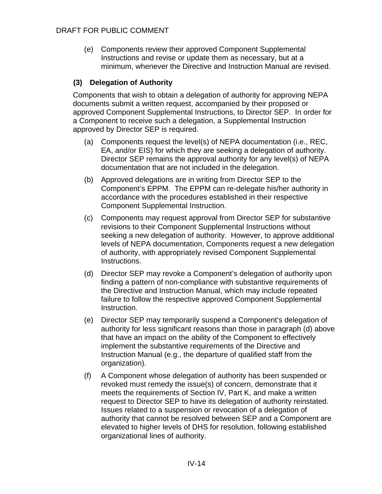(e) Components review their approved Component Supplemental Instructions and revise or update them as necessary, but at a minimum, whenever the Directive and Instruction Manual are revised.

#### **(3) Delegation of Authority**

Components that wish to obtain a delegation of authority for approving NEPA documents submit a written request, accompanied by their proposed or approved Component Supplemental Instructions, to Director SEP. In order for a Component to receive such a delegation, a Supplemental Instruction approved by Director SEP is required.

- (a) Components request the level(s) of NEPA documentation (i.e., REC, EA, and/or EIS) for which they are seeking a delegation of authority. Director SEP remains the approval authority for any level(s) of NEPA documentation that are not included in the delegation.
- (b) Approved delegations are in writing from Director SEP to the Component's EPPM. The EPPM can re-delegate his/her authority in accordance with the procedures established in their respective Component Supplemental Instruction.
- (c) Components may request approval from Director SEP for substantive revisions to their Component Supplemental Instructions without seeking a new delegation of authority. However, to approve additional levels of NEPA documentation, Components request a new delegation of authority, with appropriately revised Component Supplemental Instructions.
- (d) Director SEP may revoke a Component's delegation of authority upon finding a pattern of non-compliance with substantive requirements of the Directive and Instruction Manual, which may include repeated failure to follow the respective approved Component Supplemental Instruction.
- (e) Director SEP may temporarily suspend a Component's delegation of authority for less significant reasons than those in paragraph (d) above that have an impact on the ability of the Component to effectively implement the substantive requirements of the Directive and Instruction Manual (e.g., the departure of qualified staff from the organization).
- (f) A Component whose delegation of authority has been suspended or revoked must remedy the issue(s) of concern, demonstrate that it meets the requirements of Section IV, Part K, and make a written request to Director SEP to have its delegation of authority reinstated. Issues related to a suspension or revocation of a delegation of authority that cannot be resolved between SEP and a Component are elevated to higher levels of DHS for resolution, following established organizational lines of authority.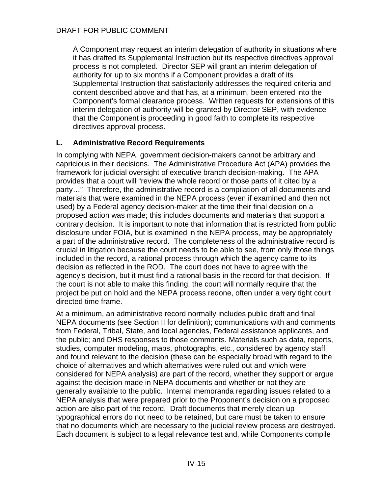A Component may request an interim delegation of authority in situations where it has drafted its Supplemental Instruction but its respective directives approval process is not completed. Director SEP will grant an interim delegation of authority for up to six months if a Component provides a draft of its Supplemental Instruction that satisfactorily addresses the required criteria and content described above and that has, at a minimum, been entered into the Component's formal clearance process. Written requests for extensions of this interim delegation of authority will be granted by Director SEP, with evidence that the Component is proceeding in good faith to complete its respective directives approval process.

#### <span id="page-26-0"></span>**L. Administrative Record Requirements**

In complying with NEPA, government decision-makers cannot be arbitrary and capricious in their decisions. The Administrative Procedure Act (APA) provides the framework for judicial oversight of executive branch decision-making. The APA provides that a court will "review the whole record or those parts of it cited by a party…" Therefore, the administrative record is a compilation of all documents and materials that were examined in the NEPA process (even if examined and then not used) by a Federal agency decision-maker at the time their final decision on a proposed action was made; this includes documents and materials that support a contrary decision. It is important to note that information that is restricted from public disclosure under FOIA, but is examined in the NEPA process, may be appropriately a part of the administrative record. The completeness of the administrative record is crucial in litigation because the court needs to be able to see, from only those things included in the record, a rational process through which the agency came to its decision as reflected in the ROD. The court does not have to agree with the agency's decision, but it must find a rational basis in the record for that decision. If the court is not able to make this finding, the court will normally require that the project be put on hold and the NEPA process redone, often under a very tight court directed time frame.

At a minimum, an administrative record normally includes public draft and final NEPA documents (see Section II for definition); communications with and comments from Federal, Tribal, State, and local agencies, Federal assistance applicants, and the public; and DHS responses to those comments. Materials such as data, reports, studies, computer modeling, maps, photographs, etc., considered by agency staff and found relevant to the decision (these can be especially broad with regard to the choice of alternatives and which alternatives were ruled out and which were considered for NEPA analysis) are part of the record, whether they support or argue against the decision made in NEPA documents and whether or not they are generally available to the public. Internal memoranda regarding issues related to a NEPA analysis that were prepared prior to the Proponent's decision on a proposed action are also part of the record. Draft documents that merely clean up typographical errors do not need to be retained, but care must be taken to ensure that no documents which are necessary to the judicial review process are destroyed. Each document is subject to a legal relevance test and, while Components compile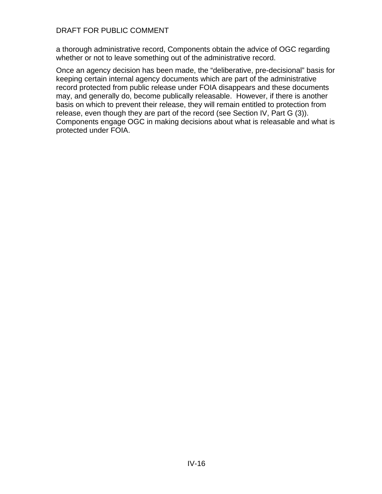a thorough administrative record, Components obtain the advice of OGC regarding whether or not to leave something out of the administrative record.

Once an agency decision has been made, the "deliberative, pre-decisional" basis for keeping certain internal agency documents which are part of the administrative record protected from public release under FOIA disappears and these documents may, and generally do, become publically releasable. However, if there is another basis on which to prevent their release, they will remain entitled to protection from release, even though they are part of the record (see Section IV, Part G (3)). Components engage OGC in making decisions about what is releasable and what is protected under FOIA.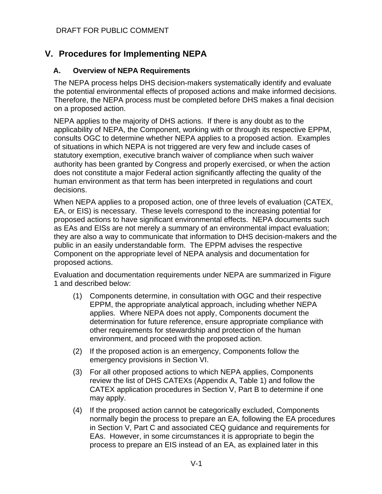# <span id="page-28-0"></span>**V. Procedures for Implementing NEPA**

#### <span id="page-28-1"></span>**A. Overview of NEPA Requirements**

The NEPA process helps DHS decision-makers systematically identify and evaluate the potential environmental effects of proposed actions and make informed decisions. Therefore, the NEPA process must be completed before DHS makes a final decision on a proposed action.

NEPA applies to the majority of DHS actions. If there is any doubt as to the applicability of NEPA, the Component, working with or through its respective EPPM, consults OGC to determine whether NEPA applies to a proposed action. Examples of situations in which NEPA is not triggered are very few and include cases of statutory exemption, executive branch waiver of compliance when such waiver authority has been granted by Congress and properly exercised, or when the action does not constitute a major Federal action significantly affecting the quality of the human environment as that term has been interpreted in regulations and court decisions.

When NEPA applies to a proposed action, one of three levels of evaluation (CATEX, EA, or EIS) is necessary. These levels correspond to the increasing potential for proposed actions to have significant environmental effects. NEPA documents such as EAs and EISs are not merely a summary of an environmental impact evaluation; they are also a way to communicate that information to DHS decision-makers and the public in an easily understandable form. The EPPM advises the respective Component on the appropriate level of NEPA analysis and documentation for proposed actions.

Evaluation and documentation requirements under NEPA are summarized in Figure 1 and described below:

- (1) Components determine, in consultation with OGC and their respective EPPM, the appropriate analytical approach, including whether NEPA applies. Where NEPA does not apply, Components document the determination for future reference, ensure appropriate compliance with other requirements for stewardship and protection of the human environment, and proceed with the proposed action.
- (2) If the proposed action is an emergency, Components follow the emergency provisions in Section VI.
- (3) For all other proposed actions to which NEPA applies, Components review the list of DHS CATEXs (Appendix A, Table 1) and follow the CATEX application procedures in Section V, Part B to determine if one may apply.
- (4) If the proposed action cannot be categorically excluded, Components normally begin the process to prepare an EA, following the EA procedures in Section V, Part C and associated CEQ guidance and requirements for EAs. However, in some circumstances it is appropriate to begin the process to prepare an EIS instead of an EA, as explained later in this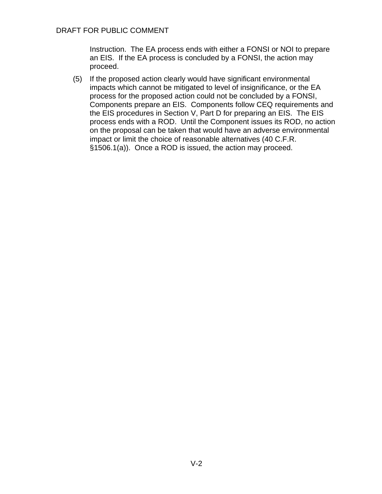Instruction. The EA process ends with either a FONSI or NOI to prepare an EIS. If the EA process is concluded by a FONSI, the action may proceed.

(5) If the proposed action clearly would have significant environmental impacts which cannot be mitigated to level of insignificance, or the EA process for the proposed action could not be concluded by a FONSI, Components prepare an EIS. Components follow CEQ requirements and the EIS procedures in Section V, Part D for preparing an EIS. The EIS process ends with a ROD. Until the Component issues its ROD, no action on the proposal can be taken that would have an adverse environmental impact or limit the choice of reasonable alternatives (40 C.F.R. §1506.1(a)). Once a ROD is issued, the action may proceed.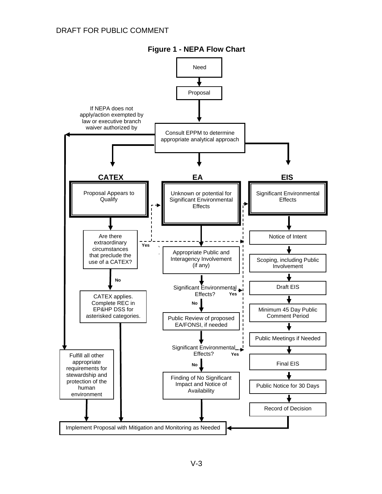

**Figure 1 - NEPA Flow Chart**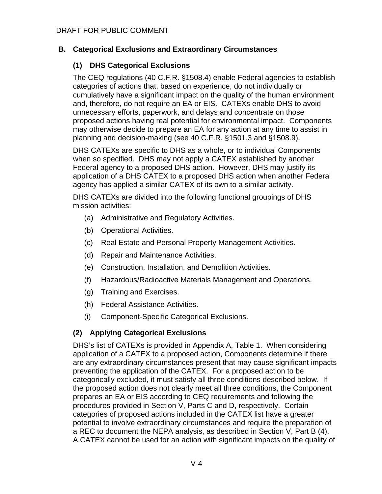# <span id="page-31-0"></span>**B. Categorical Exclusions and Extraordinary Circumstances**

# **(1) DHS Categorical Exclusions**

The CEQ regulations (40 C.F.R. §1508.4) enable Federal agencies to establish categories of actions that, based on experience, do not individually or cumulatively have a significant impact on the quality of the human environment and, therefore, do not require an EA or EIS. CATEXs enable DHS to avoid unnecessary efforts, paperwork, and delays and concentrate on those proposed actions having real potential for environmental impact. Components may otherwise decide to prepare an EA for any action at any time to assist in planning and decision-making (see 40 C.F.R. §1501.3 and §1508.9).

DHS CATEXs are specific to DHS as a whole, or to individual Components when so specified. DHS may not apply a CATEX established by another Federal agency to a proposed DHS action. However, DHS may justify its application of a DHS CATEX to a proposed DHS action when another Federal agency has applied a similar CATEX of its own to a similar activity.

DHS CATEXs are divided into the following functional groupings of DHS mission activities:

- (a) Administrative and Regulatory Activities.
- (b) Operational Activities.
- (c) Real Estate and Personal Property Management Activities.
- (d) Repair and Maintenance Activities.
- (e) Construction, Installation, and Demolition Activities.
- (f) Hazardous/Radioactive Materials Management and Operations.
- (g) Training and Exercises.
- (h) Federal Assistance Activities.
- (i) Component-Specific Categorical Exclusions.

# **(2) Applying Categorical Exclusions**

DHS's list of CATEXs is provided in Appendix A, Table 1. When considering application of a CATEX to a proposed action, Components determine if there are any extraordinary circumstances present that may cause significant impacts preventing the application of the CATEX. For a proposed action to be categorically excluded, it must satisfy all three conditions described below. If the proposed action does not clearly meet all three conditions, the Component prepares an EA or EIS according to CEQ requirements and following the procedures provided in Section V, Parts C and D, respectively. Certain categories of proposed actions included in the CATEX list have a greater potential to involve extraordinary circumstances and require the preparation of a REC to document the NEPA analysis, as described in Section V, Part B (4). A CATEX cannot be used for an action with significant impacts on the quality of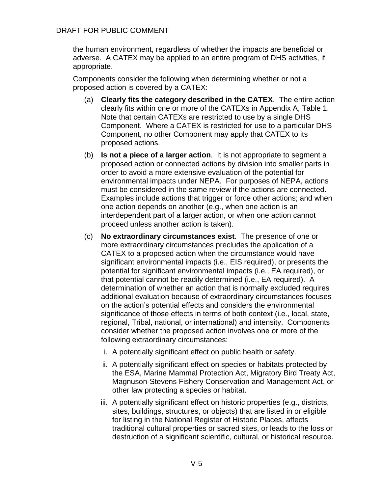the human environment, regardless of whether the impacts are beneficial or adverse. A CATEX may be applied to an entire program of DHS activities, if appropriate.

Components consider the following when determining whether or not a proposed action is covered by a CATEX:

- (a) **Clearly fits the category described in the CATEX**. The entire action clearly fits within one or more of the CATEXs in Appendix A, Table 1. Note that certain CATEXs are restricted to use by a single DHS Component. Where a CATEX is restricted for use to a particular DHS Component, no other Component may apply that CATEX to its proposed actions.
- (b) **Is not a piece of a larger action**. It is not appropriate to segment a proposed action or connected actions by division into smaller parts in order to avoid a more extensive evaluation of the potential for environmental impacts under NEPA. For purposes of NEPA, actions must be considered in the same review if the actions are connected. Examples include actions that trigger or force other actions; and when one action depends on another (e.g., when one action is an interdependent part of a larger action, or when one action cannot proceed unless another action is taken).
- (c) **No extraordinary circumstances exist**. The presence of one or more extraordinary circumstances precludes the application of a CATEX to a proposed action when the circumstance would have significant environmental impacts (i.e., EIS required), or presents the potential for significant environmental impacts (i.e., EA required), or that potential cannot be readily determined (i.e., EA required). A determination of whether an action that is normally excluded requires additional evaluation because of extraordinary circumstances focuses on the action's potential effects and considers the environmental significance of those effects in terms of both context (i.e., local, state, regional, Tribal, national, or international) and intensity. Components consider whether the proposed action involves one or more of the following extraordinary circumstances:
	- i. A potentially significant effect on public health or safety.
	- ii. A potentially significant effect on species or habitats protected by the ESA, Marine Mammal Protection Act, Migratory Bird Treaty Act, Magnuson-Stevens Fishery Conservation and Management Act, or other law protecting a species or habitat.
	- iii. A potentially significant effect on historic properties (e.g., districts, sites, buildings, structures, or objects) that are listed in or eligible for listing in the National Register of Historic Places, affects traditional cultural properties or sacred sites, or leads to the loss or destruction of a significant scientific, cultural, or historical resource.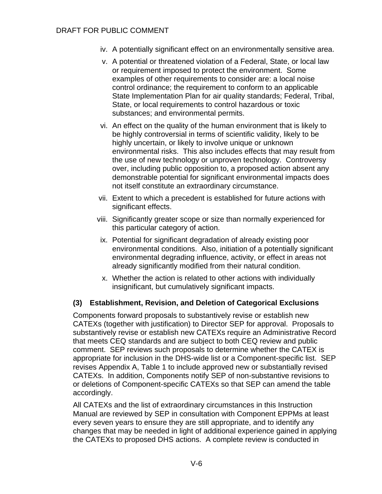- iv. A potentially significant effect on an environmentally sensitive area.
- v. A potential or threatened violation of a Federal, State, or local law or requirement imposed to protect the environment. Some examples of other requirements to consider are: a local noise control ordinance; the requirement to conform to an applicable State Implementation Plan for air quality standards; Federal, Tribal, State, or local requirements to control hazardous or toxic substances; and environmental permits.
- vi. An effect on the quality of the human environment that is likely to be highly controversial in terms of scientific validity, likely to be highly uncertain, or likely to involve unique or unknown environmental risks. This also includes effects that may result from the use of new technology or unproven technology. Controversy over, including public opposition to, a proposed action absent any demonstrable potential for significant environmental impacts does not itself constitute an extraordinary circumstance.
- vii. Extent to which a precedent is established for future actions with significant effects.
- viii. Significantly greater scope or size than normally experienced for this particular category of action.
- ix. Potential for significant degradation of already existing poor environmental conditions. Also, initiation of a potentially significant environmental degrading influence, activity, or effect in areas not already significantly modified from their natural condition.
- x. Whether the action is related to other actions with individually insignificant, but cumulatively significant impacts.

# **(3) Establishment, Revision, and Deletion of Categorical Exclusions**

Components forward proposals to substantively revise or establish new CATEXs (together with justification) to Director SEP for approval. Proposals to substantively revise or establish new CATEXs require an Administrative Record that meets CEQ standards and are subject to both CEQ review and public comment. SEP reviews such proposals to determine whether the CATEX is appropriate for inclusion in the DHS-wide list or a Component-specific list. SEP revises Appendix A, Table 1 to include approved new or substantially revised CATEXs. In addition, Components notify SEP of non-substantive revisions to or deletions of Component-specific CATEXs so that SEP can amend the table accordingly.

All CATEXs and the list of extraordinary circumstances in this Instruction Manual are reviewed by SEP in consultation with Component EPPMs at least every seven years to ensure they are still appropriate, and to identify any changes that may be needed in light of additional experience gained in applying the CATEXs to proposed DHS actions. A complete review is conducted in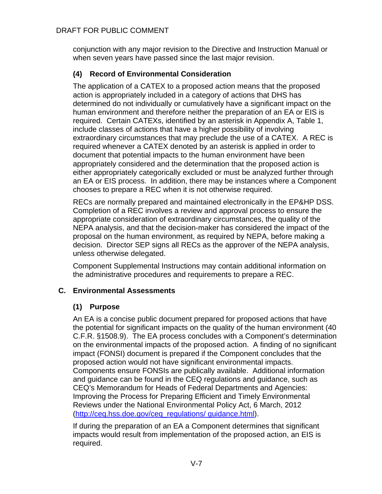conjunction with any major revision to the Directive and Instruction Manual or when seven years have passed since the last major revision.

# **(4) Record of Environmental Consideration**

The application of a CATEX to a proposed action means that the proposed action is appropriately included in a category of actions that DHS has determined do not individually or cumulatively have a significant impact on the human environment and therefore neither the preparation of an EA or EIS is required. Certain CATEXs, identified by an asterisk in Appendix A, Table 1, include classes of actions that have a higher possibility of involving extraordinary circumstances that may preclude the use of a CATEX. A REC is required whenever a CATEX denoted by an asterisk is applied in order to document that potential impacts to the human environment have been appropriately considered and the determination that the proposed action is either appropriately categorically excluded or must be analyzed further through an EA or EIS process. In addition, there may be instances where a Component chooses to prepare a REC when it is not otherwise required.

RECs are normally prepared and maintained electronically in the EP&HP DSS. Completion of a REC involves a review and approval process to ensure the appropriate consideration of extraordinary circumstances, the quality of the NEPA analysis, and that the decision-maker has considered the impact of the proposal on the human environment, as required by NEPA, before making a decision. Director SEP signs all RECs as the approver of the NEPA analysis, unless otherwise delegated.

Component Supplemental Instructions may contain additional information on the administrative procedures and requirements to prepare a REC.

# <span id="page-34-0"></span>**C. Environmental Assessments**

# **(1) Purpose**

An EA is a concise public document prepared for proposed actions that have the potential for significant impacts on the quality of the human environment (40 C.F.R. §1508.9). The EA process concludes with a Component's determination on the environmental impacts of the proposed action. A finding of no significant impact (FONSI) document is prepared if the Component concludes that the proposed action would not have significant environmental impacts. Components ensure FONSIs are publically available. Additional information and guidance can be found in the CEQ regulations and guidance, such as CEQ's Memorandum for Heads of Federal Departments and Agencies: Improving the Process for Preparing Efficient and Timely Environmental Reviews under the National Environmental Policy Act, 6 March, 2012 [\(http://ceq.hss.doe.gov/ceq\\_regulations/ guidance.html\)](http://ceq.hss.doe.gov/ceq_regulations/%20guidance.html).

If during the preparation of an EA a Component determines that significant impacts would result from implementation of the proposed action, an EIS is required.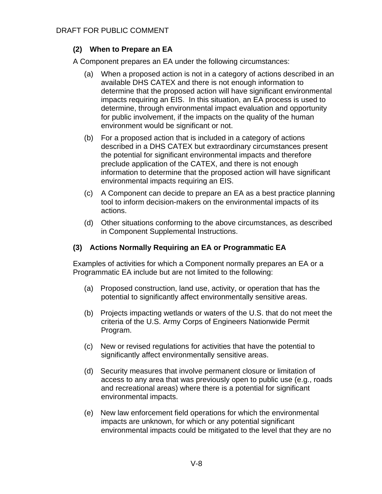# **(2) When to Prepare an EA**

A Component prepares an EA under the following circumstances:

- (a) When a proposed action is not in a category of actions described in an available DHS CATEX and there is not enough information to determine that the proposed action will have significant environmental impacts requiring an EIS. In this situation, an EA process is used to determine, through environmental impact evaluation and opportunity for public involvement, if the impacts on the quality of the human environment would be significant or not.
- (b) For a proposed action that is included in a category of actions described in a DHS CATEX but extraordinary circumstances present the potential for significant environmental impacts and therefore preclude application of the CATEX, and there is not enough information to determine that the proposed action will have significant environmental impacts requiring an EIS.
- (c) A Component can decide to prepare an EA as a best practice planning tool to inform decision-makers on the environmental impacts of its actions.
- (d) Other situations conforming to the above circumstances, as described in Component Supplemental Instructions.

#### **(3) Actions Normally Requiring an EA or Programmatic EA**

Examples of activities for which a Component normally prepares an EA or a Programmatic EA include but are not limited to the following:

- (a) Proposed construction, land use, activity, or operation that has the potential to significantly affect environmentally sensitive areas.
- (b) Projects impacting wetlands or waters of the U.S. that do not meet the criteria of the U.S. Army Corps of Engineers Nationwide Permit Program.
- (c) New or revised regulations for activities that have the potential to significantly affect environmentally sensitive areas.
- (d) Security measures that involve permanent closure or limitation of access to any area that was previously open to public use (e.g., roads and recreational areas) where there is a potential for significant environmental impacts.
- (e) New law enforcement field operations for which the environmental impacts are unknown, for which or any potential significant environmental impacts could be mitigated to the level that they are no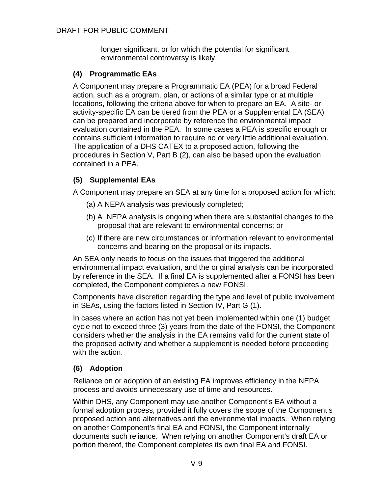longer significant, or for which the potential for significant environmental controversy is likely.

# **(4) Programmatic EAs**

A Component may prepare a Programmatic EA (PEA) for a broad Federal action, such as a program, plan, or actions of a similar type or at multiple locations, following the criteria above for when to prepare an EA. A site- or activity-specific EA can be tiered from the PEA or a Supplemental EA (SEA) can be prepared and incorporate by reference the environmental impact evaluation contained in the PEA. In some cases a PEA is specific enough or contains sufficient information to require no or very little additional evaluation. The application of a DHS CATEX to a proposed action, following the procedures in Section V, Part B (2), can also be based upon the evaluation contained in a PEA.

# **(5) Supplemental EAs**

A Component may prepare an SEA at any time for a proposed action for which:

- (a) A NEPA analysis was previously completed;
- (b) A NEPA analysis is ongoing when there are substantial changes to the proposal that are relevant to environmental concerns; or
- (c) If there are new circumstances or information relevant to environmental concerns and bearing on the proposal or its impacts.

An SEA only needs to focus on the issues that triggered the additional environmental impact evaluation, and the original analysis can be incorporated by reference in the SEA. If a final EA is supplemented after a FONSI has been completed, the Component completes a new FONSI.

Components have discretion regarding the type and level of public involvement in SEAs, using the factors listed in Section IV, Part G (1).

In cases where an action has not yet been implemented within one (1) budget cycle not to exceed three (3) years from the date of the FONSI, the Component considers whether the analysis in the EA remains valid for the current state of the proposed activity and whether a supplement is needed before proceeding with the action.

# **(6) Adoption**

Reliance on or adoption of an existing EA improves efficiency in the NEPA process and avoids unnecessary use of time and resources.

Within DHS, any Component may use another Component's EA without a formal adoption process, provided it fully covers the scope of the Component's proposed action and alternatives and the environmental impacts. When relying on another Component's final EA and FONSI, the Component internally documents such reliance. When relying on another Component's draft EA or portion thereof, the Component completes its own final EA and FONSI.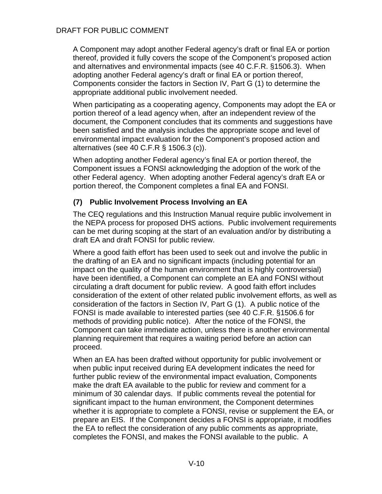A Component may adopt another Federal agency's draft or final EA or portion thereof, provided it fully covers the scope of the Component's proposed action and alternatives and environmental impacts (see 40 C.F.R. §1506.3). When adopting another Federal agency's draft or final EA or portion thereof, Components consider the factors in Section IV, Part G (1) to determine the appropriate additional public involvement needed.

When participating as a cooperating agency, Components may adopt the EA or portion thereof of a lead agency when, after an independent review of the document, the Component concludes that its comments and suggestions have been satisfied and the analysis includes the appropriate scope and level of environmental impact evaluation for the Component's proposed action and alternatives (see 40 C.F.R § 1506.3 (c)).

When adopting another Federal agency's final EA or portion thereof, the Component issues a FONSI acknowledging the adoption of the work of the other Federal agency. When adopting another Federal agency's draft EA or portion thereof, the Component completes a final EA and FONSI.

### **(7) Public Involvement Process Involving an EA**

The CEQ regulations and this Instruction Manual require public involvement in the NEPA process for proposed DHS actions. Public involvement requirements can be met during scoping at the start of an evaluation and/or by distributing a draft EA and draft FONSI for public review.

Where a good faith effort has been used to seek out and involve the public in the drafting of an EA and no significant impacts (including potential for an impact on the quality of the human environment that is highly controversial) have been identified, a Component can complete an EA and FONSI without circulating a draft document for public review. A good faith effort includes consideration of the extent of other related public involvement efforts, as well as consideration of the factors in Section IV, Part G (1). A public notice of the FONSI is made available to interested parties (see 40 C.F.R. §1506.6 for methods of providing public notice). After the notice of the FONSI, the Component can take immediate action, unless there is another environmental planning requirement that requires a waiting period before an action can proceed.

When an EA has been drafted without opportunity for public involvement or when public input received during EA development indicates the need for further public review of the environmental impact evaluation, Components make the draft EA available to the public for review and comment for a minimum of 30 calendar days. If public comments reveal the potential for significant impact to the human environment, the Component determines whether it is appropriate to complete a FONSI, revise or supplement the EA, or prepare an EIS. If the Component decides a FONSI is appropriate, it modifies the EA to reflect the consideration of any public comments as appropriate, completes the FONSI, and makes the FONSI available to the public. A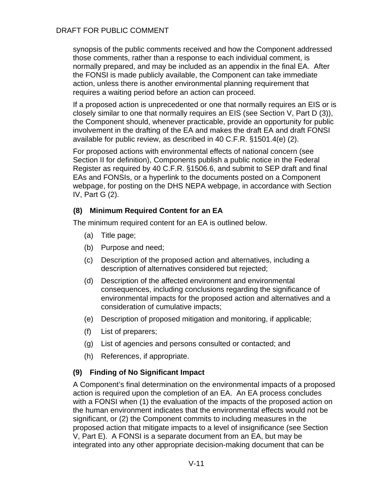synopsis of the public comments received and how the Component addressed those comments, rather than a response to each individual comment, is normally prepared, and may be included as an appendix in the final EA. After the FONSI is made publicly available, the Component can take immediate action, unless there is another environmental planning requirement that requires a waiting period before an action can proceed.

If a proposed action is unprecedented or one that normally requires an EIS or is closely similar to one that normally requires an EIS (see Section V, Part D (3)), the Component should, whenever practicable, provide an opportunity for public involvement in the drafting of the EA and makes the draft EA and draft FONSI available for public review, as described in 40 C.F.R. §1501.4(e) (2).

For proposed actions with environmental effects of national concern (see Section II for definition), Components publish a public notice in the Federal Register as required by 40 C.F.R. §1506.6, and submit to SEP draft and final EAs and FONSIs, or a hyperlink to the documents posted on a Component webpage, for posting on the DHS NEPA webpage, in accordance with Section IV, Part G (2).

## **(8) Minimum Required Content for an EA**

The minimum required content for an EA is outlined below.

- (a) Title page;
- (b) Purpose and need;
- (c) Description of the proposed action and alternatives, including a description of alternatives considered but rejected;
- (d) Description of the affected environment and environmental consequences, including conclusions regarding the significance of environmental impacts for the proposed action and alternatives and a consideration of cumulative impacts;
- (e) Description of proposed mitigation and monitoring, if applicable;
- (f) List of preparers;
- (g) List of agencies and persons consulted or contacted; and
- (h) References, if appropriate.

### **(9) Finding of No Significant Impact**

A Component's final determination on the environmental impacts of a proposed action is required upon the completion of an EA. An EA process concludes with a FONSI when (1) the evaluation of the impacts of the proposed action on the human environment indicates that the environmental effects would not be significant, or (2) the Component commits to including measures in the proposed action that mitigate impacts to a level of insignificance (see Section V, Part E). A FONSI is a separate document from an EA, but may be integrated into any other appropriate decision-making document that can be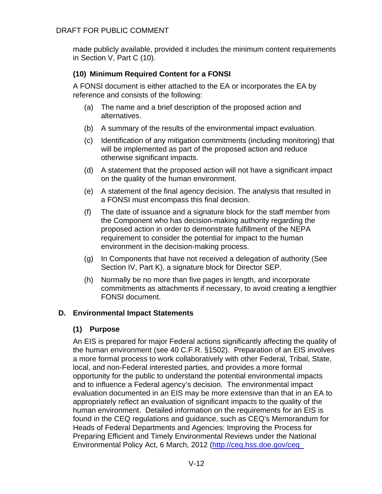made publicly available, provided it includes the minimum content requirements in Section V, Part C (10).

# **(10) Minimum Required Content for a FONSI**

A FONSI document is either attached to the EA or incorporates the EA by reference and consists of the following:

- (a) The name and a brief description of the proposed action and alternatives.
- (b) A summary of the results of the environmental impact evaluation.
- (c) Identification of any mitigation commitments (including monitoring) that will be implemented as part of the proposed action and reduce otherwise significant impacts.
- (d) A statement that the proposed action will not have a significant impact on the quality of the human environment.
- (e) A statement of the final agency decision. The analysis that resulted in a FONSI must encompass this final decision.
- (f) The date of issuance and a signature block for the staff member from the Component who has decision-making authority regarding the proposed action in order to demonstrate fulfillment of the NEPA requirement to consider the potential for impact to the human environment in the decision-making process.
- (g) In Components that have not received a delegation of authority (See Section IV, Part K), a signature block for Director SEP.
- (h) Normally be no more than five pages in length, and incorporate commitments as attachments if necessary, to avoid creating a lengthier FONSI document.

# **D. Environmental Impact Statements**

# **(1) Purpose**

An EIS is prepared for major Federal actions significantly affecting the quality of the human environment (see 40 C.F.R. §1502). Preparation of an EIS involves a more formal process to work collaboratively with other Federal, Tribal, State, local, and non-Federal interested parties, and provides a more formal opportunity for the public to understand the potential environmental impacts and to influence a Federal agency's decision. The environmental impact evaluation documented in an EIS may be more extensive than that in an EA to appropriately reflect an evaluation of significant impacts to the quality of the human environment. Detailed information on the requirements for an EIS is found in the CEQ regulations and guidance, such as CEQ's Memorandum for Heads of Federal Departments and Agencies: Improving the Process for Preparing Efficient and Timely Environmental Reviews under the National Environmental Policy Act, 6 March, 2012 [\(http://ceq.hss.doe.gov/ceq\\_](http://ceq.hss.doe.gov/ceq_%20regulations/guidance.html)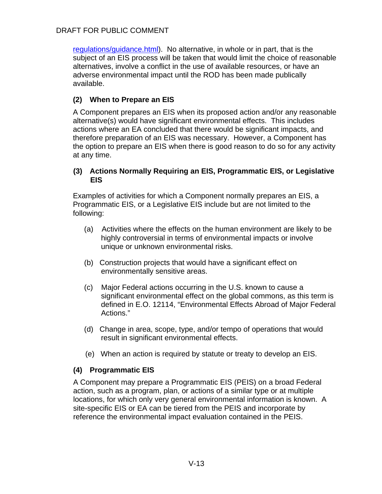[regulations/guidance.html\)](http://ceq.hss.doe.gov/ceq_%20regulations/guidance.html). No alternative, in whole or in part, that is the subject of an EIS process will be taken that would limit the choice of reasonable alternatives, involve a conflict in the use of available resources, or have an adverse environmental impact until the ROD has been made publically available.

## **(2) When to Prepare an EIS**

A Component prepares an EIS when its proposed action and/or any reasonable alternative(s) would have significant environmental effects. This includes actions where an EA concluded that there would be significant impacts, and therefore preparation of an EIS was necessary. However, a Component has the option to prepare an EIS when there is good reason to do so for any activity at any time.

#### **(3) Actions Normally Requiring an EIS, Programmatic EIS, or Legislative EIS**

Examples of activities for which a Component normally prepares an EIS, a Programmatic EIS, or a Legislative EIS include but are not limited to the following:

- (a) Activities where the effects on the human environment are likely to be highly controversial in terms of environmental impacts or involve unique or unknown environmental risks.
- (b) Construction projects that would have a significant effect on environmentally sensitive areas.
- (c) Major Federal actions occurring in the U.S. known to cause a significant environmental effect on the global commons, as this term is defined in E.O. 12114, "Environmental Effects Abroad of Major Federal Actions."
- (d) Change in area, scope, type, and/or tempo of operations that would result in significant environmental effects.
- (e) When an action is required by statute or treaty to develop an EIS.

# **(4) Programmatic EIS**

A Component may prepare a Programmatic EIS (PEIS) on a broad Federal action, such as a program, plan, or actions of a similar type or at multiple locations, for which only very general environmental information is known. A site-specific EIS or EA can be tiered from the PEIS and incorporate by reference the environmental impact evaluation contained in the PEIS.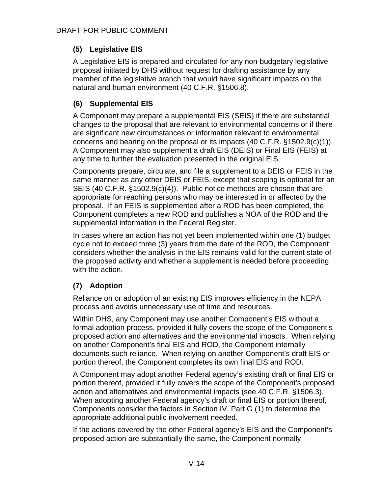# **(5) Legislative EIS**

A Legislative EIS is prepared and circulated for any non-budgetary legislative proposal initiated by DHS without request for drafting assistance by any member of the legislative branch that would have significant impacts on the natural and human environment (40 C.F.R. §1506.8).

# **(6) Supplemental EIS**

A Component may prepare a supplemental EIS (SEIS) if there are substantial changes to the proposal that are relevant to environmental concerns or if there are significant new circumstances or information relevant to environmental concerns and bearing on the proposal or its impacts (40 C.F.R. §1502.9(c)(1)). A Component may also supplement a draft EIS (DEIS) or Final EIS (FEIS) at any time to further the evaluation presented in the original EIS.

Components prepare, circulate, and file a supplement to a DEIS or FEIS in the same manner as any other DEIS or FEIS, except that scoping is optional for an SEIS (40 C.F.R. §1502.9(c)(4)). Public notice methods are chosen that are appropriate for reaching persons who may be interested in or affected by the proposal. If an FEIS is supplemented after a ROD has been completed, the Component completes a new ROD and publishes a NOA of the ROD and the supplemental information in the Federal Register.

In cases where an action has not yet been implemented within one (1) budget cycle not to exceed three (3) years from the date of the ROD, the Component considers whether the analysis in the EIS remains valid for the current state of the proposed activity and whether a supplement is needed before proceeding with the action.

# **(7) Adoption**

Reliance on or adoption of an existing EIS improves efficiency in the NEPA process and avoids unnecessary use of time and resources.

Within DHS, any Component may use another Component's EIS without a formal adoption process, provided it fully covers the scope of the Component's proposed action and alternatives and the environmental impacts. When relying on another Component's final EIS and ROD, the Component internally documents such reliance. When relying on another Component's draft EIS or portion thereof, the Component completes its own final EIS and ROD.

A Component may adopt another Federal agency's existing draft or final EIS or portion thereof, provided it fully covers the scope of the Component's proposed action and alternatives and environmental impacts (see 40 C.F.R. §1506.3). When adopting another Federal agency's draft or final EIS or portion thereof, Components consider the factors in Section IV, Part G (1) to determine the appropriate additional public involvement needed.

If the actions covered by the other Federal agency's EIS and the Component's proposed action are substantially the same, the Component normally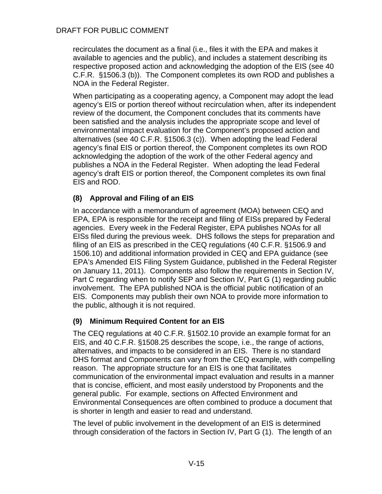recirculates the document as a final (i.e., files it with the EPA and makes it available to agencies and the public), and includes a statement describing its respective proposed action and acknowledging the adoption of the EIS (see 40 C.F.R. §1506.3 (b)). The Component completes its own ROD and publishes a NOA in the Federal Register.

When participating as a cooperating agency, a Component may adopt the lead agency's EIS or portion thereof without recirculation when, after its independent review of the document, the Component concludes that its comments have been satisfied and the analysis includes the appropriate scope and level of environmental impact evaluation for the Component's proposed action and alternatives (see 40 C.F.R. §1506.3 (c)). When adopting the lead Federal agency's final EIS or portion thereof, the Component completes its own ROD acknowledging the adoption of the work of the other Federal agency and publishes a NOA in the Federal Register. When adopting the lead Federal agency's draft EIS or portion thereof, the Component completes its own final EIS and ROD.

## **(8) Approval and Filing of an EIS**

In accordance with a memorandum of agreement (MOA) between CEQ and EPA, EPA is responsible for the receipt and filing of EISs prepared by Federal agencies. Every week in the Federal Register, EPA publishes NOAs for all EISs filed during the previous week. DHS follows the steps for preparation and filing of an EIS as prescribed in the CEQ regulations (40 C.F.R. §1506.9 and 1506.10) and additional information provided in CEQ and EPA guidance (see EPA's Amended EIS Filing System Guidance, published in the Federal Register on January 11, 2011). Components also follow the requirements in Section IV, Part C regarding when to notify SEP and Section IV, Part G (1) regarding public involvement. The EPA published NOA is the official public notification of an EIS. Components may publish their own NOA to provide more information to the public, although it is not required.

### **(9) Minimum Required Content for an EIS**

The CEQ regulations at 40 C.F.R. §1502.10 provide an example format for an EIS, and 40 C.F.R. §1508.25 describes the scope, i.e., the range of actions, alternatives, and impacts to be considered in an EIS. There is no standard DHS format and Components can vary from the CEQ example, with compelling reason. The appropriate structure for an EIS is one that facilitates communication of the environmental impact evaluation and results in a manner that is concise, efficient, and most easily understood by Proponents and the general public. For example, sections on Affected Environment and Environmental Consequences are often combined to produce a document that is shorter in length and easier to read and understand.

The level of public involvement in the development of an EIS is determined through consideration of the factors in Section IV, Part G (1). The length of an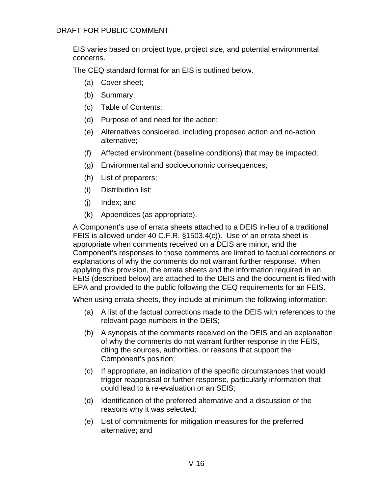EIS varies based on project type, project size, and potential environmental concerns.

The CEQ standard format for an EIS is outlined below.

- (a) Cover sheet;
- (b) Summary;
- (c) Table of Contents;
- (d) Purpose of and need for the action;
- (e) Alternatives considered, including proposed action and no-action alternative;
- (f) Affected environment (baseline conditions) that may be impacted;
- (g) Environmental and socioeconomic consequences;
- (h) List of preparers;
- (i) Distribution list;
- (j) Index; and
- (k) Appendices (as appropriate).

A Component's use of errata sheets attached to a DEIS in-lieu of a traditional FEIS is allowed under 40 C.F.R. §1503.4(c)). Use of an errata sheet is appropriate when comments received on a DEIS are minor, and the Component's responses to those comments are limited to factual corrections or explanations of why the comments do not warrant further response. When applying this provision, the errata sheets and the information required in an FEIS (described below) are attached to the DEIS and the document is filed with EPA and provided to the public following the CEQ requirements for an FEIS.

When using errata sheets, they include at minimum the following information:

- (a) A list of the factual corrections made to the DEIS with references to the relevant page numbers in the DEIS;
- (b) A synopsis of the comments received on the DEIS and an explanation of why the comments do not warrant further response in the FEIS, citing the sources, authorities, or reasons that support the Component's position;
- (c) If appropriate, an indication of the specific circumstances that would trigger reappraisal or further response, particularly information that could lead to a re-evaluation or an SEIS;
- (d) Identification of the preferred alternative and a discussion of the reasons why it was selected;
- (e) List of commitments for mitigation measures for the preferred alternative; and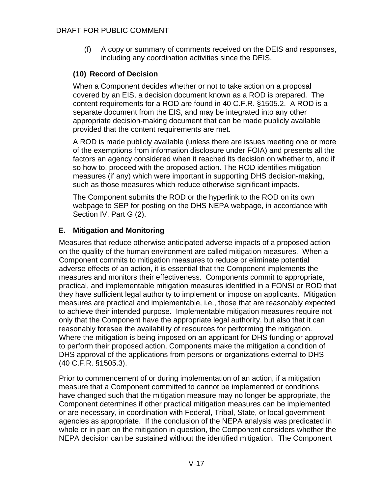(f) A copy or summary of comments received on the DEIS and responses, including any coordination activities since the DEIS.

# **(10) Record of Decision**

When a Component decides whether or not to take action on a proposal covered by an EIS, a decision document known as a ROD is prepared. The content requirements for a ROD are found in 40 C.F.R. §1505.2. A ROD is a separate document from the EIS, and may be integrated into any other appropriate decision-making document that can be made publicly available provided that the content requirements are met.

A ROD is made publicly available (unless there are issues meeting one or more of the exemptions from information disclosure under FOIA) and presents all the factors an agency considered when it reached its decision on whether to, and if so how to, proceed with the proposed action. The ROD identifies mitigation measures (if any) which were important in supporting DHS decision-making, such as those measures which reduce otherwise significant impacts.

The Component submits the ROD or the hyperlink to the ROD on its own webpage to SEP for posting on the DHS NEPA webpage, in accordance with Section IV, Part G (2).

# **E. Mitigation and Monitoring**

Measures that reduce otherwise anticipated adverse impacts of a proposed action on the quality of the human environment are called mitigation measures. When a Component commits to mitigation measures to reduce or eliminate potential adverse effects of an action, it is essential that the Component implements the measures and monitors their effectiveness. Components commit to appropriate, practical, and implementable mitigation measures identified in a FONSI or ROD that they have sufficient legal authority to implement or impose on applicants. Mitigation measures are practical and implementable, i.e., those that are reasonably expected to achieve their intended purpose. Implementable mitigation measures require not only that the Component have the appropriate legal authority, but also that it can reasonably foresee the availability of resources for performing the mitigation. Where the mitigation is being imposed on an applicant for DHS funding or approval to perform their proposed action, Components make the mitigation a condition of DHS approval of the applications from persons or organizations external to DHS (40 C.F.R. §1505.3).

Prior to commencement of or during implementation of an action, if a mitigation measure that a Component committed to cannot be implemented or conditions have changed such that the mitigation measure may no longer be appropriate, the Component determines if other practical mitigation measures can be implemented or are necessary, in coordination with Federal, Tribal, State, or local government agencies as appropriate. If the conclusion of the NEPA analysis was predicated in whole or in part on the mitigation in question, the Component considers whether the NEPA decision can be sustained without the identified mitigation. The Component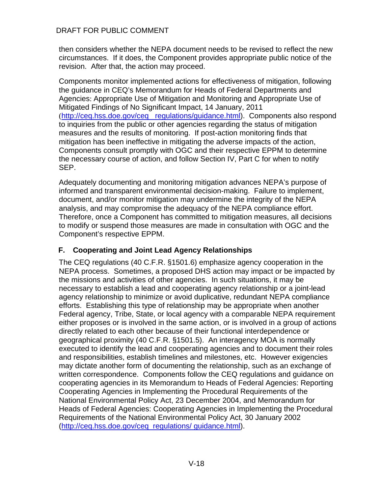then considers whether the NEPA document needs to be revised to reflect the new circumstances. If it does, the Component provides appropriate public notice of the revision. After that, the action may proceed.

Components monitor implemented actions for effectiveness of mitigation, following the guidance in CEQ's Memorandum for Heads of Federal Departments and Agencies: Appropriate Use of Mitigation and Monitoring and Appropriate Use of Mitigated Findings of No Significant Impact, 14 January, 2011 ([http://ceq.hss.doe.gov/ceq\\_ regulations/guidance.html\)](http://ceq.hss.doe.gov/ceq_%20regulations/guidance.html). Components also respond to inquiries from the public or other agencies regarding the status of mitigation measures and the results of monitoring. If post-action monitoring finds that mitigation has been ineffective in mitigating the adverse impacts of the action, Components consult promptly with OGC and their respective EPPM to determine the necessary course of action, and follow Section IV, Part C for when to notify SEP.

Adequately documenting and monitoring mitigation advances NEPA's purpose of informed and transparent environmental decision-making. Failure to implement, document, and/or monitor mitigation may undermine the integrity of the NEPA analysis, and may compromise the adequacy of the NEPA compliance effort. Therefore, once a Component has committed to mitigation measures, all decisions to modify or suspend those measures are made in consultation with OGC and the Component's respective EPPM.

### **F. Cooperating and Joint Lead Agency Relationships**

The CEQ regulations (40 C.F.R. §1501.6) emphasize agency cooperation in the NEPA process. Sometimes, a proposed DHS action may impact or be impacted by the missions and activities of other agencies. In such situations, it may be necessary to establish a lead and cooperating agency relationship or a joint-lead agency relationship to minimize or avoid duplicative, redundant NEPA compliance efforts. Establishing this type of relationship may be appropriate when another Federal agency, Tribe, State, or local agency with a comparable NEPA requirement either proposes or is involved in the same action, or is involved in a group of actions directly related to each other because of their functional interdependence or geographical proximity (40 C.F.R. §1501.5). An interagency MOA is normally executed to identify the lead and cooperating agencies and to document their roles and responsibilities, establish timelines and milestones, etc. However exigencies may dictate another form of documenting the relationship, such as an exchange of written correspondence. Components follow the CEQ regulations and guidance on cooperating agencies in its Memorandum to Heads of Federal Agencies: Reporting Cooperating Agencies in Implementing the Procedural Requirements of the National Environmental Policy Act, 23 December 2004, and Memorandum for Heads of Federal Agencies: Cooperating Agencies in Implementing the Procedural Requirements of the National Environmental Policy Act, 30 January 2002 [\(http://ceq.hss.doe.gov/ceq\\_regulations/ guidance.html\)](http://ceq.hss.doe.gov/ceq_regulations/%20guidance.html).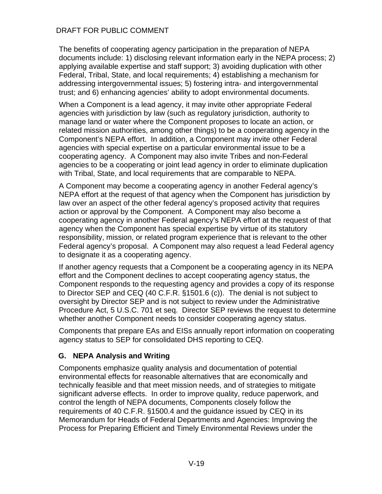The benefits of cooperating agency participation in the preparation of NEPA documents include: 1) disclosing relevant information early in the NEPA process; 2) applying available expertise and staff support; 3) avoiding duplication with other Federal, Tribal, State, and local requirements; 4) establishing a mechanism for addressing intergovernmental issues; 5) fostering intra- and intergovernmental trust; and 6) enhancing agencies' ability to adopt environmental documents.

When a Component is a lead agency, it may invite other appropriate Federal agencies with jurisdiction by law (such as regulatory jurisdiction, authority to manage land or water where the Component proposes to locate an action, or related mission authorities, among other things) to be a cooperating agency in the Component's NEPA effort. In addition, a Component may invite other Federal agencies with special expertise on a particular environmental issue to be a cooperating agency. A Component may also invite Tribes and non-Federal agencies to be a cooperating or joint lead agency in order to eliminate duplication with Tribal, State, and local requirements that are comparable to NEPA.

A Component may become a cooperating agency in another Federal agency's NEPA effort at the request of that agency when the Component has jurisdiction by law over an aspect of the other federal agency's proposed activity that requires action or approval by the Component. A Component may also become a cooperating agency in another Federal agency's NEPA effort at the request of that agency when the Component has special expertise by virtue of its statutory responsibility, mission, or related program experience that is relevant to the other Federal agency's proposal. A Component may also request a lead Federal agency to designate it as a cooperating agency.

If another agency requests that a Component be a cooperating agency in its NEPA effort and the Component declines to accept cooperating agency status, the Component responds to the requesting agency and provides a copy of its response to Director SEP and CEQ (40 C.F.R. §1501.6 (c)). The denial is not subject to oversight by Director SEP and is not subject to review under the Administrative Procedure Act, 5 U.S.C. 701 et seq. Director SEP reviews the request to determine whether another Component needs to consider cooperating agency status.

Components that prepare EAs and EISs annually report information on cooperating agency status to SEP for consolidated DHS reporting to CEQ.

### **G. NEPA Analysis and Writing**

Components emphasize quality analysis and documentation of potential environmental effects for reasonable alternatives that are economically and technically feasible and that meet mission needs, and of strategies to mitigate significant adverse effects. In order to improve quality, reduce paperwork, and control the length of NEPA documents, Components closely follow the requirements of 40 C.F.R. §1500.4 and the guidance issued by CEQ in its Memorandum for Heads of Federal Departments and Agencies: Improving the Process for Preparing Efficient and Timely Environmental Reviews under the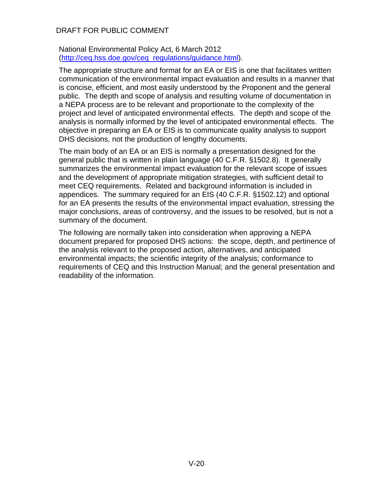#### National Environmental Policy Act, 6 March 2012 [\(http://ceq.hss.doe.gov/ceq\\_regulations/guidance.html\)](http://ceq.hss.doe.gov/ceq_regulations/guidance.html).

The appropriate structure and format for an EA or EIS is one that facilitates written communication of the environmental impact evaluation and results in a manner that is concise, efficient, and most easily understood by the Proponent and the general public. The depth and scope of analysis and resulting volume of documentation in a NEPA process are to be relevant and proportionate to the complexity of the project and level of anticipated environmental effects. The depth and scope of the analysis is normally informed by the level of anticipated environmental effects. The objective in preparing an EA or EIS is to communicate quality analysis to support DHS decisions, not the production of lengthy documents.

The main body of an EA or an EIS is normally a presentation designed for the general public that is written in plain language (40 C.F.R. §1502.8). It generally summarizes the environmental impact evaluation for the relevant scope of issues and the development of appropriate mitigation strategies, with sufficient detail to meet CEQ requirements. Related and background information is included in appendices. The summary required for an EIS (40 C.F.R. §1502.12) and optional for an EA presents the results of the environmental impact evaluation, stressing the major conclusions, areas of controversy, and the issues to be resolved, but is not a summary of the document.

The following are normally taken into consideration when approving a NEPA document prepared for proposed DHS actions: the scope, depth, and pertinence of the analysis relevant to the proposed action, alternatives, and anticipated environmental impacts; the scientific integrity of the analysis; conformance to requirements of CEQ and this Instruction Manual; and the general presentation and readability of the information.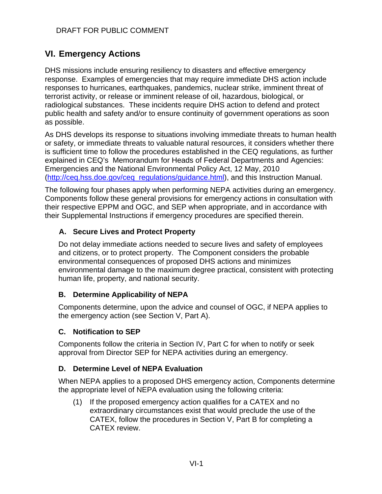# **VI. Emergency Actions**

DHS missions include ensuring resiliency to disasters and effective emergency response. Examples of emergencies that may require immediate DHS action include responses to hurricanes, earthquakes, pandemics, nuclear strike, imminent threat of terrorist activity, or release or imminent release of oil, hazardous, biological, or radiological substances. These incidents require DHS action to defend and protect public health and safety and/or to ensure continuity of government operations as soon as possible.

As DHS develops its response to situations involving immediate threats to human health or safety, or immediate threats to valuable natural resources, it considers whether there is sufficient time to follow the procedures established in the CEQ regulations, as further explained in CEQ's Memorandum for Heads of Federal Departments and Agencies: Emergencies and the National Environmental Policy Act, 12 May, 2010 [\(http://ceq.hss.doe.gov/ceq\\_regulations/guidance.html\)](http://ceq.hss.doe.gov/ceq_regulations/guidance.html), and this Instruction Manual.

The following four phases apply when performing NEPA activities during an emergency. Components follow these general provisions for emergency actions in consultation with their respective EPPM and OGC, and SEP when appropriate, and in accordance with their Supplemental Instructions if emergency procedures are specified therein.

# **A. Secure Lives and Protect Property**

Do not delay immediate actions needed to secure lives and safety of employees and citizens, or to protect property. The Component considers the probable environmental consequences of proposed DHS actions and minimizes environmental damage to the maximum degree practical, consistent with protecting human life, property, and national security.

# **B. Determine Applicability of NEPA**

Components determine, upon the advice and counsel of OGC, if NEPA applies to the emergency action (see Section V, Part A).

# **C. Notification to SEP**

Components follow the criteria in Section IV, Part C for when to notify or seek approval from Director SEP for NEPA activities during an emergency.

### **D. Determine Level of NEPA Evaluation**

When NEPA applies to a proposed DHS emergency action, Components determine the appropriate level of NEPA evaluation using the following criteria:

(1) If the proposed emergency action qualifies for a CATEX and no extraordinary circumstances exist that would preclude the use of the CATEX, follow the procedures in Section V, Part B for completing a CATEX review.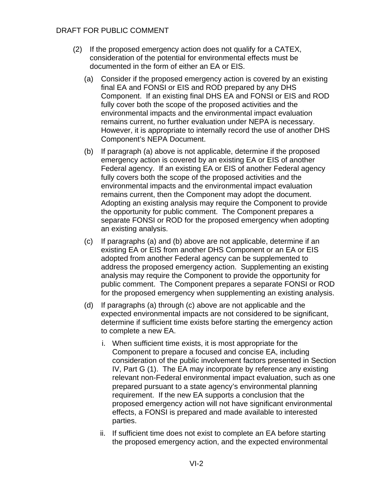- (2) If the proposed emergency action does not qualify for a CATEX, consideration of the potential for environmental effects must be documented in the form of either an EA or EIS.
	- (a) Consider if the proposed emergency action is covered by an existing final EA and FONSI or EIS and ROD prepared by any DHS Component. If an existing final DHS EA and FONSI or EIS and ROD fully cover both the scope of the proposed activities and the environmental impacts and the environmental impact evaluation remains current, no further evaluation under NEPA is necessary. However, it is appropriate to internally record the use of another DHS Component's NEPA Document.
	- (b) If paragraph (a) above is not applicable, determine if the proposed emergency action is covered by an existing EA or EIS of another Federal agency. If an existing EA or EIS of another Federal agency fully covers both the scope of the proposed activities and the environmental impacts and the environmental impact evaluation remains current, then the Component may adopt the document. Adopting an existing analysis may require the Component to provide the opportunity for public comment. The Component prepares a separate FONSI or ROD for the proposed emergency when adopting an existing analysis.
	- (c) If paragraphs (a) and (b) above are not applicable, determine if an existing EA or EIS from another DHS Component or an EA or EIS adopted from another Federal agency can be supplemented to address the proposed emergency action. Supplementing an existing analysis may require the Component to provide the opportunity for public comment. The Component prepares a separate FONSI or ROD for the proposed emergency when supplementing an existing analysis.
	- (d) If paragraphs (a) through (c) above are not applicable and the expected environmental impacts are not considered to be significant, determine if sufficient time exists before starting the emergency action to complete a new EA.
		- i. When sufficient time exists, it is most appropriate for the Component to prepare a focused and concise EA, including consideration of the public involvement factors presented in Section IV, Part G (1). The EA may incorporate by reference any existing relevant non-Federal environmental impact evaluation, such as one prepared pursuant to a state agency's environmental planning requirement. If the new EA supports a conclusion that the proposed emergency action will not have significant environmental effects, a FONSI is prepared and made available to interested parties.
		- ii. If sufficient time does not exist to complete an EA before starting the proposed emergency action, and the expected environmental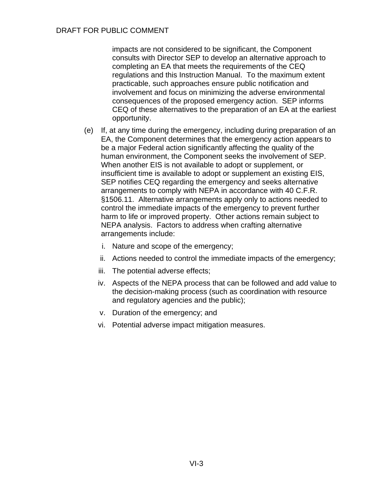impacts are not considered to be significant, the Component consults with Director SEP to develop an alternative approach to completing an EA that meets the requirements of the CEQ regulations and this Instruction Manual. To the maximum extent practicable, such approaches ensure public notification and involvement and focus on minimizing the adverse environmental consequences of the proposed emergency action. SEP informs CEQ of these alternatives to the preparation of an EA at the earliest opportunity.

- (e) If, at any time during the emergency, including during preparation of an EA, the Component determines that the emergency action appears to be a major Federal action significantly affecting the quality of the human environment, the Component seeks the involvement of SEP. When another EIS is not available to adopt or supplement, or insufficient time is available to adopt or supplement an existing EIS, SEP notifies CEQ regarding the emergency and seeks alternative arrangements to comply with NEPA in accordance with 40 C.F.R. §1506.11. Alternative arrangements apply only to actions needed to control the immediate impacts of the emergency to prevent further harm to life or improved property. Other actions remain subject to NEPA analysis. Factors to address when crafting alternative arrangements include:
	- i. Nature and scope of the emergency;
	- ii. Actions needed to control the immediate impacts of the emergency;
	- iii. The potential adverse effects;
	- iv. Aspects of the NEPA process that can be followed and add value to the decision-making process (such as coordination with resource and regulatory agencies and the public);
	- v. Duration of the emergency; and
	- vi. Potential adverse impact mitigation measures.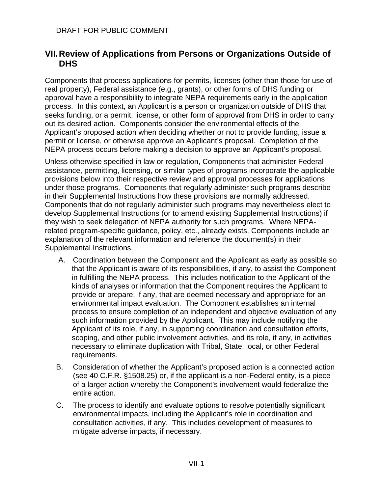# **VII.Review of Applications from Persons or Organizations Outside of DHS**

Components that process applications for permits, licenses (other than those for use of real property), Federal assistance (e.g., grants), or other forms of DHS funding or approval have a responsibility to integrate NEPA requirements early in the application process. In this context, an Applicant is a person or organization outside of DHS that seeks funding, or a permit, license, or other form of approval from DHS in order to carry out its desired action. Components consider the environmental effects of the Applicant's proposed action when deciding whether or not to provide funding, issue a permit or license, or otherwise approve an Applicant's proposal. Completion of the NEPA process occurs before making a decision to approve an Applicant's proposal.

Unless otherwise specified in law or regulation, Components that administer Federal assistance, permitting, licensing, or similar types of programs incorporate the applicable provisions below into their respective review and approval processes for applications under those programs. Components that regularly administer such programs describe in their Supplemental Instructions how these provisions are normally addressed. Components that do not regularly administer such programs may nevertheless elect to develop Supplemental Instructions (or to amend existing Supplemental Instructions) if they wish to seek delegation of NEPA authority for such programs. Where NEPArelated program-specific guidance, policy, etc., already exists, Components include an explanation of the relevant information and reference the document(s) in their Supplemental Instructions.

- A. Coordination between the Component and the Applicant as early as possible so that the Applicant is aware of its responsibilities, if any, to assist the Component in fulfilling the NEPA process. This includes notification to the Applicant of the kinds of analyses or information that the Component requires the Applicant to provide or prepare, if any, that are deemed necessary and appropriate for an environmental impact evaluation. The Component establishes an internal process to ensure completion of an independent and objective evaluation of any such information provided by the Applicant. This may include notifying the Applicant of its role, if any, in supporting coordination and consultation efforts, scoping, and other public involvement activities, and its role, if any, in activities necessary to eliminate duplication with Tribal, State, local, or other Federal requirements.
- B. Consideration of whether the Applicant's proposed action is a connected action (see 40 C.F.R. §1508.25) or, if the applicant is a non-Federal entity, is a piece of a larger action whereby the Component's involvement would federalize the entire action.
- C. The process to identify and evaluate options to resolve potentially significant environmental impacts, including the Applicant's role in coordination and consultation activities, if any. This includes development of measures to mitigate adverse impacts, if necessary.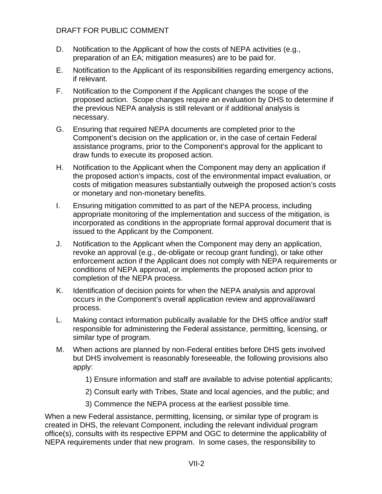- D. Notification to the Applicant of how the costs of NEPA activities (e.g., preparation of an EA; mitigation measures) are to be paid for.
- E. Notification to the Applicant of its responsibilities regarding emergency actions, if relevant.
- F. Notification to the Component if the Applicant changes the scope of the proposed action. Scope changes require an evaluation by DHS to determine if the previous NEPA analysis is still relevant or if additional analysis is necessary.
- G. Ensuring that required NEPA documents are completed prior to the Component's decision on the application or, in the case of certain Federal assistance programs, prior to the Component's approval for the applicant to draw funds to execute its proposed action.
- H. Notification to the Applicant when the Component may deny an application if the proposed action's impacts, cost of the environmental impact evaluation, or costs of mitigation measures substantially outweigh the proposed action's costs or monetary and non-monetary benefits.
- I. Ensuring mitigation committed to as part of the NEPA process, including appropriate monitoring of the implementation and success of the mitigation, is incorporated as conditions in the appropriate formal approval document that is issued to the Applicant by the Component.
- J. Notification to the Applicant when the Component may deny an application, revoke an approval (e.g., de-obligate or recoup grant funding), or take other enforcement action if the Applicant does not comply with NEPA requirements or conditions of NEPA approval, or implements the proposed action prior to completion of the NEPA process.
- K. Identification of decision points for when the NEPA analysis and approval occurs in the Component's overall application review and approval/award process.
- L. Making contact information publically available for the DHS office and/or staff responsible for administering the Federal assistance, permitting, licensing, or similar type of program.
- M. When actions are planned by non-Federal entities before DHS gets involved but DHS involvement is reasonably foreseeable, the following provisions also apply:
	- 1) Ensure information and staff are available to advise potential applicants;
	- 2) Consult early with Tribes, State and local agencies, and the public; and
	- 3) Commence the NEPA process at the earliest possible time.

When a new Federal assistance, permitting, licensing, or similar type of program is created in DHS, the relevant Component, including the relevant individual program office(s), consults with its respective EPPM and OGC to determine the applicability of NEPA requirements under that new program. In some cases, the responsibility to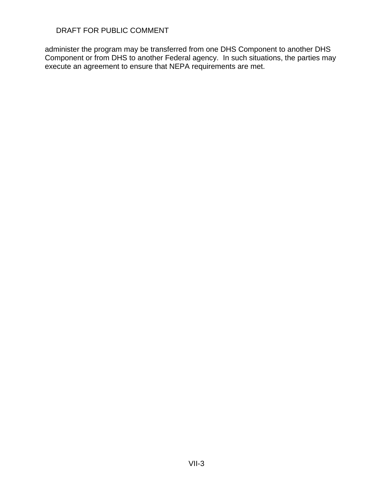administer the program may be transferred from one DHS Component to another DHS Component or from DHS to another Federal agency. In such situations, the parties may execute an agreement to ensure that NEPA requirements are met.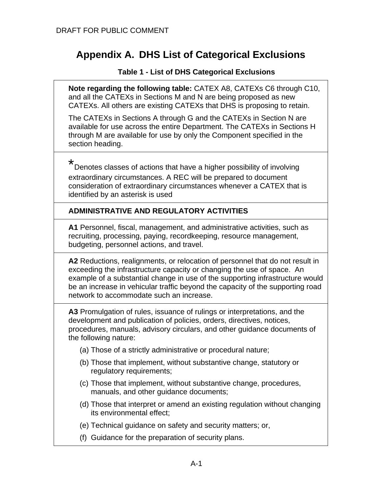# **Appendix A. DHS List of Categorical Exclusions**

#### **Table 1 - List of DHS Categorical Exclusions**

**Note regarding the following table:** CATEX A8, CATEXs C6 through C10, and all the CATEXs in Sections M and N are being proposed as new CATEXs. All others are existing CATEXs that DHS is proposing to retain.

The CATEXs in Sections A through G and the CATEXs in Section N are available for use across the entire Department. The CATEXs in Sections H through M are available for use by only the Component specified in the section heading.

\*

Denotes classes of actions that have a higher possibility of involving extraordinary circumstances. A REC will be prepared to document consideration of extraordinary circumstances whenever a CATEX that is identified by an asterisk is used

### **ADMINISTRATIVE AND REGULATORY ACTIVITIES**

**A1** Personnel, fiscal, management, and administrative activities, such as recruiting, processing, paying, recordkeeping, resource management, budgeting, personnel actions, and travel.

**A2** Reductions, realignments, or relocation of personnel that do not result in exceeding the infrastructure capacity or changing the use of space. An example of a substantial change in use of the supporting infrastructure would be an increase in vehicular traffic beyond the capacity of the supporting road network to accommodate such an increase.

**A3** Promulgation of rules, issuance of rulings or interpretations, and the development and publication of policies, orders, directives, notices, procedures, manuals, advisory circulars, and other guidance documents of the following nature:

- (a) Those of a strictly administrative or procedural nature;
- (b) Those that implement, without substantive change, statutory or regulatory requirements;
- (c) Those that implement, without substantive change, procedures, manuals, and other guidance documents;
- (d) Those that interpret or amend an existing regulation without changing its environmental effect;
- (e) Technical guidance on safety and security matters; or,
- (f) Guidance for the preparation of security plans.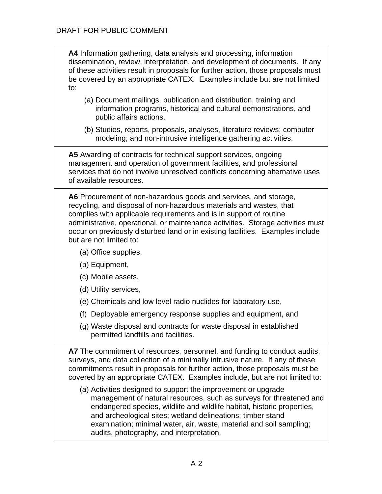**A4** Information gathering, data analysis and processing, information dissemination, review, interpretation, and development of documents. If any of these activities result in proposals for further action, those proposals must be covered by an appropriate CATEX. Examples include but are not limited to:

- (a) Document mailings, publication and distribution, training and information programs, historical and cultural demonstrations, and public affairs actions.
- (b) Studies, reports, proposals, analyses, literature reviews; computer modeling; and non-intrusive intelligence gathering activities.

**A5** Awarding of contracts for technical support services, ongoing management and operation of government facilities, and professional services that do not involve unresolved conflicts concerning alternative uses of available resources.

**A6** Procurement of non-hazardous goods and services, and storage, recycling, and disposal of non-hazardous materials and wastes, that complies with applicable requirements and is in support of routine administrative, operational, or maintenance activities. Storage activities must occur on previously disturbed land or in existing facilities. Examples include but are not limited to:

- (a) Office supplies,
- (b) Equipment,
- (c) Mobile assets,
- (d) Utility services,
- (e) Chemicals and low level radio nuclides for laboratory use,
- (f) Deployable emergency response supplies and equipment, and
- (g) Waste disposal and contracts for waste disposal in established permitted landfills and facilities.

**A7** The commitment of resources, personnel, and funding to conduct audits, surveys, and data collection of a minimally intrusive nature. If any of these commitments result in proposals for further action, those proposals must be covered by an appropriate CATEX. Examples include, but are not limited to:

(a) Activities designed to support the improvement or upgrade management of natural resources, such as surveys for threatened and endangered species, wildlife and wildlife habitat, historic properties, and archeological sites; wetland delineations; timber stand examination; minimal water, air, waste, material and soil sampling; audits, photography, and interpretation.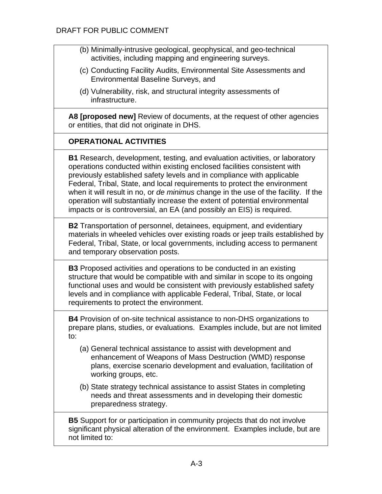- (b) Minimally-intrusive geological, geophysical, and geo-technical activities, including mapping and engineering surveys.
- (c) Conducting Facility Audits, Environmental Site Assessments and Environmental Baseline Surveys, and
- (d) Vulnerability, risk, and structural integrity assessments of infrastructure.

**A8 [proposed new]** Review of documents, at the request of other agencies or entities, that did not originate in DHS.

# **OPERATIONAL ACTIVITIES**

**B1** Research, development, testing, and evaluation activities, or laboratory operations conducted within existing enclosed facilities consistent with previously established safety levels and in compliance with applicable Federal, Tribal, State, and local requirements to protect the environment when it will result in no, or *de minimus* change in the use of the facility. If the operation will substantially increase the extent of potential environmental impacts or is controversial, an EA (and possibly an EIS) is required.

**B2** Transportation of personnel, detainees, equipment, and evidentiary materials in wheeled vehicles over existing roads or jeep trails established by Federal, Tribal, State, or local governments, including access to permanent and temporary observation posts.

**B3** Proposed activities and operations to be conducted in an existing structure that would be compatible with and similar in scope to its ongoing functional uses and would be consistent with previously established safety levels and in compliance with applicable Federal, Tribal, State, or local requirements to protect the environment.

**B4** Provision of on-site technical assistance to non-DHS organizations to prepare plans, studies, or evaluations. Examples include, but are not limited to:

- (a) General technical assistance to assist with development and enhancement of Weapons of Mass Destruction (WMD) response plans, exercise scenario development and evaluation, facilitation of working groups, etc.
- (b) State strategy technical assistance to assist States in completing needs and threat assessments and in developing their domestic preparedness strategy.

**B5** Support for or participation in community projects that do not involve significant physical alteration of the environment. Examples include, but are not limited to: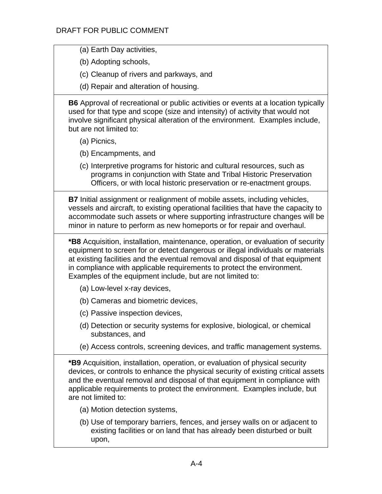(a) Earth Day activities,

(b) Adopting schools,

- (c) Cleanup of rivers and parkways, and
- (d) Repair and alteration of housing.

**B6** Approval of recreational or public activities or events at a location typically used for that type and scope (size and intensity) of activity that would not involve significant physical alteration of the environment. Examples include, but are not limited to:

- (a) Picnics,
- (b) Encampments, and

(c) Interpretive programs for historic and cultural resources, such as programs in conjunction with State and Tribal Historic Preservation Officers, or with local historic preservation or re-enactment groups.

**B7** Initial assignment or realignment of mobile assets, including vehicles, vessels and aircraft, to existing operational facilities that have the capacity to accommodate such assets or where supporting infrastructure changes will be minor in nature to perform as new homeports or for repair and overhaul.

**\*B8** Acquisition, installation, maintenance, operation, or evaluation of security equipment to screen for or detect dangerous or illegal individuals or materials at existing facilities and the eventual removal and disposal of that equipment in compliance with applicable requirements to protect the environment. Examples of the equipment include, but are not limited to:

- (a) Low-level x-ray devices,
- (b) Cameras and biometric devices,
- (c) Passive inspection devices,
- (d) Detection or security systems for explosive, biological, or chemical substances, and
- (e) Access controls, screening devices, and traffic management systems.

**\*B9** Acquisition, installation, operation, or evaluation of physical security devices, or controls to enhance the physical security of existing critical assets and the eventual removal and disposal of that equipment in compliance with applicable requirements to protect the environment. Examples include, but are not limited to:

- (a) Motion detection systems,
- (b) Use of temporary barriers, fences, and jersey walls on or adjacent to existing facilities or on land that has already been disturbed or built upon,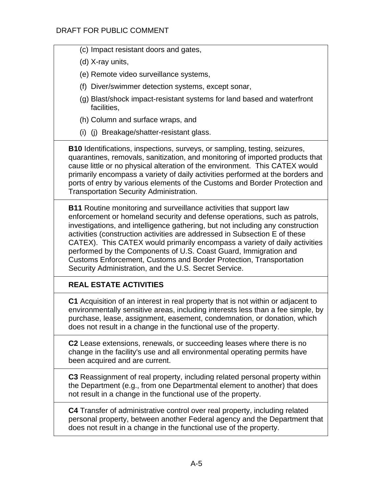- (c) Impact resistant doors and gates,
- (d) X-ray units,
- (e) Remote video surveillance systems,
- (f) Diver/swimmer detection systems, except sonar,
- (g) Blast/shock impact-resistant systems for land based and waterfront facilities,
- (h) Column and surface wraps, and
- (i) (j) Breakage/shatter-resistant glass.

**B10** Identifications, inspections, surveys, or sampling, testing, seizures, quarantines, removals, sanitization, and monitoring of imported products that cause little or no physical alteration of the environment. This CATEX would primarily encompass a variety of daily activities performed at the borders and ports of entry by various elements of the Customs and Border Protection and Transportation Security Administration.

**B11** Routine monitoring and surveillance activities that support law enforcement or homeland security and defense operations, such as patrols, investigations, and intelligence gathering, but not including any construction activities (construction activities are addressed in Subsection E of these CATEX). This CATEX would primarily encompass a variety of daily activities performed by the Components of U.S. Coast Guard, Immigration and Customs Enforcement, Customs and Border Protection, Transportation Security Administration, and the U.S. Secret Service.

# **REAL ESTATE ACTIVITIES**

**C1** Acquisition of an interest in real property that is not within or adjacent to environmentally sensitive areas, including interests less than a fee simple, by purchase, lease, assignment, easement, condemnation, or donation, which does not result in a change in the functional use of the property.

**C2** Lease extensions, renewals, or succeeding leases where there is no change in the facility's use and all environmental operating permits have been acquired and are current.

**C3** Reassignment of real property, including related personal property within the Department (e.g., from one Departmental element to another) that does not result in a change in the functional use of the property.

**C4** Transfer of administrative control over real property, including related personal property, between another Federal agency and the Department that does not result in a change in the functional use of the property.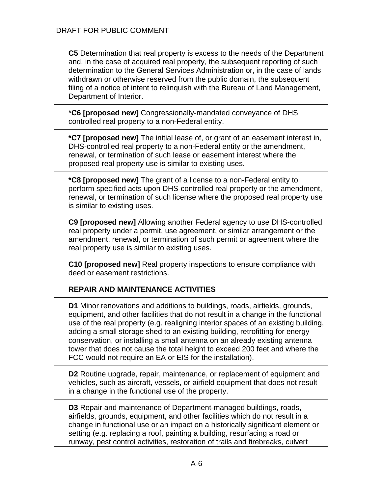**C5** Determination that real property is excess to the needs of the Department and, in the case of acquired real property, the subsequent reporting of such determination to the General Services Administration or, in the case of lands withdrawn or otherwise reserved from the public domain, the subsequent filing of a notice of intent to relinquish with the Bureau of Land Management, Department of Interior.

\***C6 [proposed new]** Congressionally-mandated conveyance of DHS controlled real property to a non-Federal entity.

**\*C7 [proposed new]** The initial lease of, or grant of an easement interest in, DHS-controlled real property to a non-Federal entity or the amendment, renewal, or termination of such lease or easement interest where the proposed real property use is similar to existing uses.

**\*C8 [proposed new]** The grant of a license to a non-Federal entity to perform specified acts upon DHS-controlled real property or the amendment, renewal, or termination of such license where the proposed real property use is similar to existing uses.

**C9 [proposed new]** Allowing another Federal agency to use DHS-controlled real property under a permit, use agreement, or similar arrangement or the amendment, renewal, or termination of such permit or agreement where the real property use is similar to existing uses.

**C10 [proposed new]** Real property inspections to ensure compliance with deed or easement restrictions.

# **REPAIR AND MAINTENANCE ACTIVITIES**

**D1** Minor renovations and additions to buildings, roads, airfields, grounds, equipment, and other facilities that do not result in a change in the functional use of the real property (e.g. realigning interior spaces of an existing building, adding a small storage shed to an existing building, retrofitting for energy conservation, or installing a small antenna on an already existing antenna tower that does not cause the total height to exceed 200 feet and where the FCC would not require an EA or EIS for the installation).

**D2** Routine upgrade, repair, maintenance, or replacement of equipment and vehicles, such as aircraft, vessels, or airfield equipment that does not result in a change in the functional use of the property.

**D3** Repair and maintenance of Department-managed buildings, roads, airfields, grounds, equipment, and other facilities which do not result in a change in functional use or an impact on a historically significant element or setting (e.g. replacing a roof, painting a building, resurfacing a road or runway, pest control activities, restoration of trails and firebreaks, culvert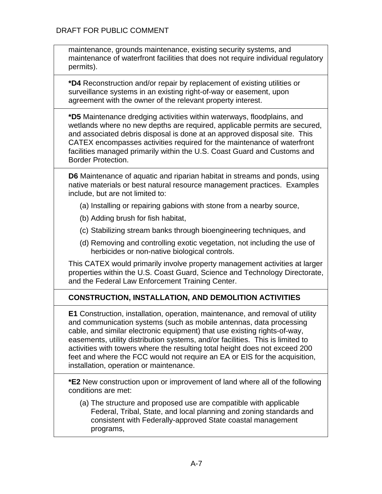maintenance, grounds maintenance, existing security systems, and maintenance of waterfront facilities that does not require individual regulatory permits).

**\*D4** Reconstruction and/or repair by replacement of existing utilities or surveillance systems in an existing right-of-way or easement, upon agreement with the owner of the relevant property interest.

**\*D5** Maintenance dredging activities within waterways, floodplains, and wetlands where no new depths are required, applicable permits are secured, and associated debris disposal is done at an approved disposal site. This CATEX encompasses activities required for the maintenance of waterfront facilities managed primarily within the U.S. Coast Guard and Customs and Border Protection.

**D6** Maintenance of aquatic and riparian habitat in streams and ponds, using native materials or best natural resource management practices. Examples include, but are not limited to:

- (a) Installing or repairing gabions with stone from a nearby source,
- (b) Adding brush for fish habitat,
- (c) Stabilizing stream banks through bioengineering techniques, and
- (d) Removing and controlling exotic vegetation, not including the use of herbicides or non-native biological controls.

This CATEX would primarily involve property management activities at larger properties within the U.S. Coast Guard, Science and Technology Directorate, and the Federal Law Enforcement Training Center.

# **CONSTRUCTION, INSTALLATION, AND DEMOLITION ACTIVITIES**

**E1** Construction, installation, operation, maintenance, and removal of utility and communication systems (such as mobile antennas, data processing cable, and similar electronic equipment) that use existing rights-of-way, easements, utility distribution systems, and/or facilities. This is limited to activities with towers where the resulting total height does not exceed 200 feet and where the FCC would not require an EA or EIS for the acquisition, installation, operation or maintenance.

**\*E2** New construction upon or improvement of land where all of the following conditions are met:

(a) The structure and proposed use are compatible with applicable Federal, Tribal, State, and local planning and zoning standards and consistent with Federally-approved State coastal management programs,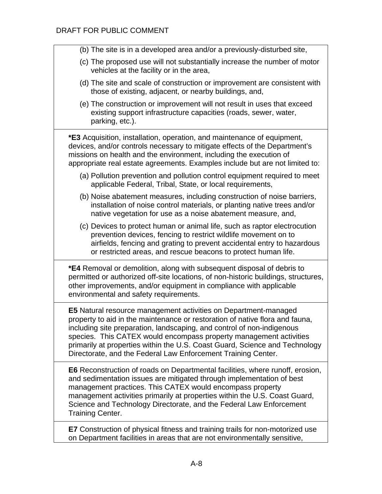| (b) The site is in a developed area and/or a previously-disturbed site,                                                                                                                                                                                                                                                                                                                                                                                |
|--------------------------------------------------------------------------------------------------------------------------------------------------------------------------------------------------------------------------------------------------------------------------------------------------------------------------------------------------------------------------------------------------------------------------------------------------------|
| (c) The proposed use will not substantially increase the number of motor<br>vehicles at the facility or in the area,                                                                                                                                                                                                                                                                                                                                   |
| (d) The site and scale of construction or improvement are consistent with<br>those of existing, adjacent, or nearby buildings, and,                                                                                                                                                                                                                                                                                                                    |
| (e) The construction or improvement will not result in uses that exceed<br>existing support infrastructure capacities (roads, sewer, water,<br>parking, etc.).                                                                                                                                                                                                                                                                                         |
| *E3 Acquisition, installation, operation, and maintenance of equipment,<br>devices, and/or controls necessary to mitigate effects of the Department's<br>missions on health and the environment, including the execution of<br>appropriate real estate agreements. Examples include but are not limited to:                                                                                                                                            |
| (a) Pollution prevention and pollution control equipment required to meet<br>applicable Federal, Tribal, State, or local requirements,                                                                                                                                                                                                                                                                                                                 |
| (b) Noise abatement measures, including construction of noise barriers,<br>installation of noise control materials, or planting native trees and/or<br>native vegetation for use as a noise abatement measure, and,                                                                                                                                                                                                                                    |
| (c) Devices to protect human or animal life, such as raptor electrocution<br>prevention devices, fencing to restrict wildlife movement on to<br>airfields, fencing and grating to prevent accidental entry to hazardous<br>or restricted areas, and rescue beacons to protect human life.                                                                                                                                                              |
| *E4 Removal or demolition, along with subsequent disposal of debris to<br>permitted or authorized off-site locations, of non-historic buildings, structures,<br>other improvements, and/or equipment in compliance with applicable<br>environmental and safety requirements.                                                                                                                                                                           |
| <b>E5</b> Natural resource management activities on Department-managed<br>property to aid in the maintenance or restoration of native flora and fauna,<br>including site preparation, landscaping, and control of non-indigenous<br>species. This CATEX would encompass property management activities<br>primarily at properties within the U.S. Coast Guard, Science and Technology<br>Directorate, and the Federal Law Enforcement Training Center. |
| <b>E6</b> Reconstruction of roads on Departmental facilities, where runoff, erosion,<br>and sedimentation issues are mitigated through implementation of best<br>management practices. This CATEX would encompass property<br>management activities primarily at properties within the U.S. Coast Guard,<br>Science and Technology Directorate, and the Federal Law Enforcement<br><b>Training Center.</b>                                             |
| <b>E7</b> Construction of physical fitness and training trails for non-motorized use<br>on Department facilities in areas that are not environmentally sensitive,                                                                                                                                                                                                                                                                                      |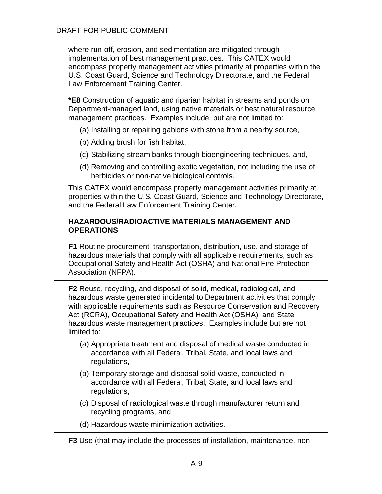where run-off, erosion, and sedimentation are mitigated through implementation of best management practices. This CATEX would encompass property management activities primarily at properties within the U.S. Coast Guard, Science and Technology Directorate, and the Federal Law Enforcement Training Center.

**\*E8** Construction of aquatic and riparian habitat in streams and ponds on Department-managed land, using native materials or best natural resource management practices. Examples include, but are not limited to:

- (a) Installing or repairing gabions with stone from a nearby source,
- (b) Adding brush for fish habitat,
- (c) Stabilizing stream banks through bioengineering techniques, and,
- (d) Removing and controlling exotic vegetation, not including the use of herbicides or non-native biological controls.

This CATEX would encompass property management activities primarily at properties within the U.S. Coast Guard, Science and Technology Directorate, and the Federal Law Enforcement Training Center.

#### **HAZARDOUS/RADIOACTIVE MATERIALS MANAGEMENT AND OPERATIONS**

**F1** Routine procurement, transportation, distribution, use, and storage of hazardous materials that comply with all applicable requirements, such as Occupational Safety and Health Act (OSHA) and National Fire Protection Association (NFPA).

**F2** Reuse, recycling, and disposal of solid, medical, radiological, and hazardous waste generated incidental to Department activities that comply with applicable requirements such as Resource Conservation and Recovery Act (RCRA), Occupational Safety and Health Act (OSHA), and State hazardous waste management practices. Examples include but are not limited to:

- (a) Appropriate treatment and disposal of medical waste conducted in accordance with all Federal, Tribal, State, and local laws and regulations,
- (b) Temporary storage and disposal solid waste, conducted in accordance with all Federal, Tribal, State, and local laws and regulations,
- (c) Disposal of radiological waste through manufacturer return and recycling programs, and
- (d) Hazardous waste minimization activities.
- **F3** Use (that may include the processes of installation, maintenance, non-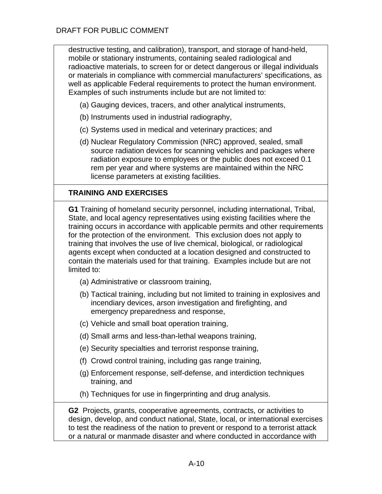destructive testing, and calibration), transport, and storage of hand-held, mobile or stationary instruments, containing sealed radiological and radioactive materials, to screen for or detect dangerous or illegal individuals or materials in compliance with commercial manufacturers' specifications, as well as applicable Federal requirements to protect the human environment. Examples of such instruments include but are not limited to:

- (a) Gauging devices, tracers, and other analytical instruments,
- (b) Instruments used in industrial radiography,
- (c) Systems used in medical and veterinary practices; and
- (d) Nuclear Regulatory Commission (NRC) approved, sealed, small source radiation devices for scanning vehicles and packages where radiation exposure to employees or the public does not exceed 0.1 rem per year and where systems are maintained within the NRC license parameters at existing facilities.

# **TRAINING AND EXERCISES**

**G1** Training of homeland security personnel, including international, Tribal, State, and local agency representatives using existing facilities where the training occurs in accordance with applicable permits and other requirements for the protection of the environment. This exclusion does not apply to training that involves the use of live chemical, biological, or radiological agents except when conducted at a location designed and constructed to contain the materials used for that training. Examples include but are not limited to:

- (a) Administrative or classroom training,
- (b) Tactical training, including but not limited to training in explosives and incendiary devices, arson investigation and firefighting, and emergency preparedness and response,
- (c) Vehicle and small boat operation training,
- (d) Small arms and less-than-lethal weapons training,
- (e) Security specialties and terrorist response training,
- (f) Crowd control training, including gas range training,
- (g) Enforcement response, self-defense, and interdiction techniques training, and
- (h) Techniques for use in fingerprinting and drug analysis.

**G2** Projects, grants, cooperative agreements, contracts, or activities to design, develop, and conduct national, State, local, or international exercises to test the readiness of the nation to prevent or respond to a terrorist attack or a natural or manmade disaster and where conducted in accordance with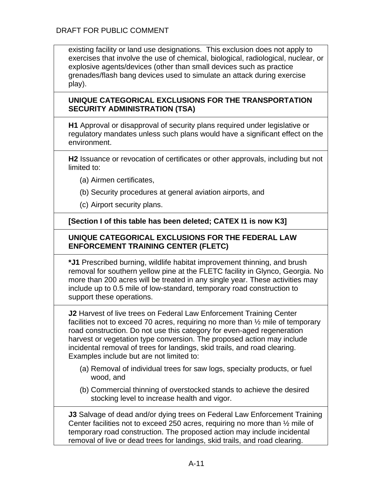existing facility or land use designations. This exclusion does not apply to exercises that involve the use of chemical, biological, radiological, nuclear, or explosive agents/devices (other than small devices such as practice grenades/flash bang devices used to simulate an attack during exercise play).

### **UNIQUE CATEGORICAL EXCLUSIONS FOR THE TRANSPORTATION SECURITY ADMINISTRATION (TSA)**

**H1** Approval or disapproval of security plans required under legislative or regulatory mandates unless such plans would have a significant effect on the environment.

**H2** Issuance or revocation of certificates or other approvals, including but not limited to:

- (a) Airmen certificates,
- (b) Security procedures at general aviation airports, and
- (c) Airport security plans.

**[Section I of this table has been deleted; CATEX I1 is now K3]**

### **UNIQUE CATEGORICAL EXCLUSIONS FOR THE FEDERAL LAW ENFORCEMENT TRAINING CENTER (FLETC)**

**\*J1** Prescribed burning, wildlife habitat improvement thinning, and brush removal for southern yellow pine at the FLETC facility in Glynco, Georgia. No more than 200 acres will be treated in any single year. These activities may include up to 0.5 mile of low-standard, temporary road construction to support these operations.

**J2** Harvest of live trees on Federal Law Enforcement Training Center facilities not to exceed 70 acres, requiring no more than ½ mile of temporary road construction. Do not use this category for even-aged regeneration harvest or vegetation type conversion. The proposed action may include incidental removal of trees for landings, skid trails, and road clearing. Examples include but are not limited to:

- (a) Removal of individual trees for saw logs, specialty products, or fuel wood, and
- (b) Commercial thinning of overstocked stands to achieve the desired stocking level to increase health and vigor.

**J3** Salvage of dead and/or dying trees on Federal Law Enforcement Training Center facilities not to exceed 250 acres, requiring no more than ½ mile of temporary road construction. The proposed action may include incidental removal of live or dead trees for landings, skid trails, and road clearing.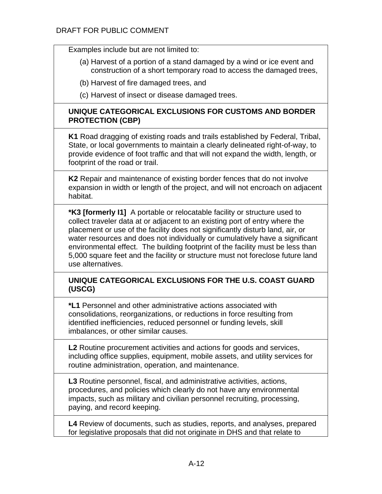Examples include but are not limited to:

- (a) Harvest of a portion of a stand damaged by a wind or ice event and construction of a short temporary road to access the damaged trees,
- (b) Harvest of fire damaged trees, and
- (c) Harvest of insect or disease damaged trees.

### **UNIQUE CATEGORICAL EXCLUSIONS FOR CUSTOMS AND BORDER PROTECTION (CBP)**

**K1** Road dragging of existing roads and trails established by Federal, Tribal, State, or local governments to maintain a clearly delineated right-of-way, to provide evidence of foot traffic and that will not expand the width, length, or footprint of the road or trail.

**K2** Repair and maintenance of existing border fences that do not involve expansion in width or length of the project, and will not encroach on adjacent habitat.

**\*K3 [formerly I1]** A portable or relocatable facility or structure used to collect traveler data at or adjacent to an existing port of entry where the placement or use of the facility does not significantly disturb land, air, or water resources and does not individually or cumulatively have a significant environmental effect. The building footprint of the facility must be less than 5,000 square feet and the facility or structure must not foreclose future land use alternatives.

### **UNIQUE CATEGORICAL EXCLUSIONS FOR THE U.S. COAST GUARD (USCG)**

**\*L1** Personnel and other administrative actions associated with consolidations, reorganizations, or reductions in force resulting from identified inefficiencies, reduced personnel or funding levels, skill imbalances, or other similar causes.

**L2** Routine procurement activities and actions for goods and services, including office supplies, equipment, mobile assets, and utility services for routine administration, operation, and maintenance.

**L3** Routine personnel, fiscal, and administrative activities, actions, procedures, and policies which clearly do not have any environmental impacts, such as military and civilian personnel recruiting, processing, paying, and record keeping.

**L4** Review of documents, such as studies, reports, and analyses, prepared for legislative proposals that did not originate in DHS and that relate to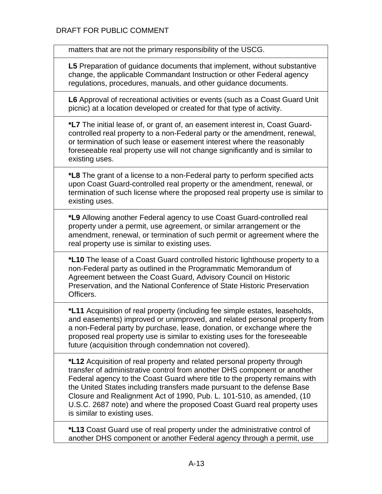matters that are not the primary responsibility of the USCG.

**L5** Preparation of guidance documents that implement, without substantive change, the applicable Commandant Instruction or other Federal agency regulations, procedures, manuals, and other guidance documents.

**L6** Approval of recreational activities or events (such as a Coast Guard Unit picnic) at a location developed or created for that type of activity.

**\*L7** The initial lease of, or grant of, an easement interest in, Coast Guardcontrolled real property to a non-Federal party or the amendment, renewal, or termination of such lease or easement interest where the reasonably foreseeable real property use will not change significantly and is similar to existing uses.

**\*L8** The grant of a license to a non-Federal party to perform specified acts upon Coast Guard-controlled real property or the amendment, renewal, or termination of such license where the proposed real property use is similar to existing uses.

**\*L9** Allowing another Federal agency to use Coast Guard-controlled real property under a permit, use agreement, or similar arrangement or the amendment, renewal, or termination of such permit or agreement where the real property use is similar to existing uses.

**\*L10** The lease of a Coast Guard controlled historic lighthouse property to a non-Federal party as outlined in the Programmatic Memorandum of Agreement between the Coast Guard, Advisory Council on Historic Preservation, and the National Conference of State Historic Preservation Officers.

**\*L11** Acquisition of real property (including fee simple estates, leaseholds, and easements) improved or unimproved, and related personal property from a non-Federal party by purchase, lease, donation, or exchange where the proposed real property use is similar to existing uses for the foreseeable future (acquisition through condemnation not covered).

**\*L12** Acquisition of real property and related personal property through transfer of administrative control from another DHS component or another Federal agency to the Coast Guard where title to the property remains with the United States including transfers made pursuant to the defense Base Closure and Realignment Act of 1990, Pub. L. 101-510, as amended, (10 U.S.C. 2687 note) and where the proposed Coast Guard real property uses is similar to existing uses.

**\*L13** Coast Guard use of real property under the administrative control of another DHS component or another Federal agency through a permit, use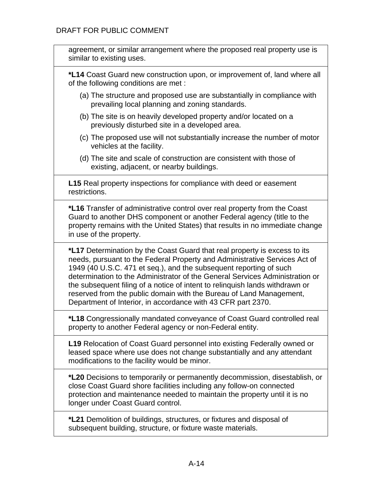| agreement, or similar arrangement where the proposed real property use is<br>similar to existing uses.                                                                                                                                                                                                                                                                                                                                                                                                                               |
|--------------------------------------------------------------------------------------------------------------------------------------------------------------------------------------------------------------------------------------------------------------------------------------------------------------------------------------------------------------------------------------------------------------------------------------------------------------------------------------------------------------------------------------|
| *L14 Coast Guard new construction upon, or improvement of, land where all<br>of the following conditions are met :                                                                                                                                                                                                                                                                                                                                                                                                                   |
| (a) The structure and proposed use are substantially in compliance with<br>prevailing local planning and zoning standards.                                                                                                                                                                                                                                                                                                                                                                                                           |
| (b) The site is on heavily developed property and/or located on a<br>previously disturbed site in a developed area.                                                                                                                                                                                                                                                                                                                                                                                                                  |
| (c) The proposed use will not substantially increase the number of motor<br>vehicles at the facility.                                                                                                                                                                                                                                                                                                                                                                                                                                |
| (d) The site and scale of construction are consistent with those of<br>existing, adjacent, or nearby buildings.                                                                                                                                                                                                                                                                                                                                                                                                                      |
| <b>L15</b> Real property inspections for compliance with deed or easement<br>restrictions.                                                                                                                                                                                                                                                                                                                                                                                                                                           |
| *L16 Transfer of administrative control over real property from the Coast<br>Guard to another DHS component or another Federal agency (title to the<br>property remains with the United States) that results in no immediate change<br>in use of the property.                                                                                                                                                                                                                                                                       |
| *L17 Determination by the Coast Guard that real property is excess to its<br>needs, pursuant to the Federal Property and Administrative Services Act of<br>1949 (40 U.S.C. 471 et seq.), and the subsequent reporting of such<br>determination to the Administrator of the General Services Administration or<br>the subsequent filing of a notice of intent to relinguish lands withdrawn or<br>reserved from the public domain with the Bureau of Land Management,<br>Department of Interior, in accordance with 43 CFR part 2370. |
| *L18 Congressionally mandated conveyance of Coast Guard controlled real<br>property to another Federal agency or non-Federal entity.                                                                                                                                                                                                                                                                                                                                                                                                 |
| <b>L19</b> Relocation of Coast Guard personnel into existing Federally owned or<br>leased space where use does not change substantially and any attendant<br>modifications to the facility would be minor.                                                                                                                                                                                                                                                                                                                           |
| *L20 Decisions to temporarily or permanently decommission, disestablish, or<br>close Coast Guard shore facilities including any follow-on connected<br>protection and maintenance needed to maintain the property until it is no<br>longer under Coast Guard control.                                                                                                                                                                                                                                                                |
| *L21 Demolition of buildings, structures, or fixtures and disposal of<br>subsequent building, structure, or fixture waste materials.                                                                                                                                                                                                                                                                                                                                                                                                 |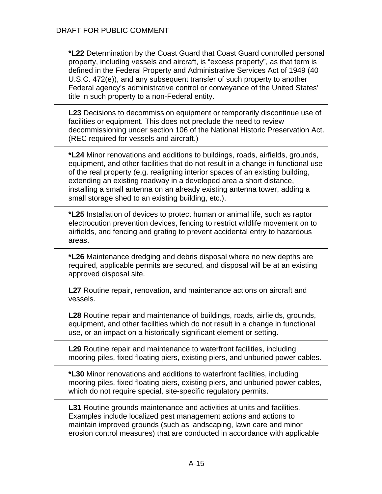**\*L22** Determination by the Coast Guard that Coast Guard controlled personal property, including vessels and aircraft, is "excess property", as that term is defined in the Federal Property and Administrative Services Act of 1949 (40 U.S.C. 472(e)), and any subsequent transfer of such property to another Federal agency's administrative control or conveyance of the United States' title in such property to a non-Federal entity.

**L23** Decisions to decommission equipment or temporarily discontinue use of facilities or equipment. This does not preclude the need to review decommissioning under section 106 of the National Historic Preservation Act. (REC required for vessels and aircraft.)

**\*L24** Minor renovations and additions to buildings, roads, airfields, grounds, equipment, and other facilities that do not result in a change in functional use of the real property (e.g. realigning interior spaces of an existing building, extending an existing roadway in a developed area a short distance, installing a small antenna on an already existing antenna tower, adding a small storage shed to an existing building, etc.).

**\*L25** Installation of devices to protect human or animal life, such as raptor electrocution prevention devices, fencing to restrict wildlife movement on to airfields, and fencing and grating to prevent accidental entry to hazardous areas.

**\*L26** Maintenance dredging and debris disposal where no new depths are required, applicable permits are secured, and disposal will be at an existing approved disposal site.

**L27** Routine repair, renovation, and maintenance actions on aircraft and vessels.

**L28** Routine repair and maintenance of buildings, roads, airfields, grounds, equipment, and other facilities which do not result in a change in functional use, or an impact on a historically significant element or setting.

**L29** Routine repair and maintenance to waterfront facilities, including mooring piles, fixed floating piers, existing piers, and unburied power cables.

**\*L30** Minor renovations and additions to waterfront facilities, including mooring piles, fixed floating piers, existing piers, and unburied power cables, which do not require special, site-specific regulatory permits.

**L31** Routine grounds maintenance and activities at units and facilities. Examples include localized pest management actions and actions to maintain improved grounds (such as landscaping, lawn care and minor erosion control measures) that are conducted in accordance with applicable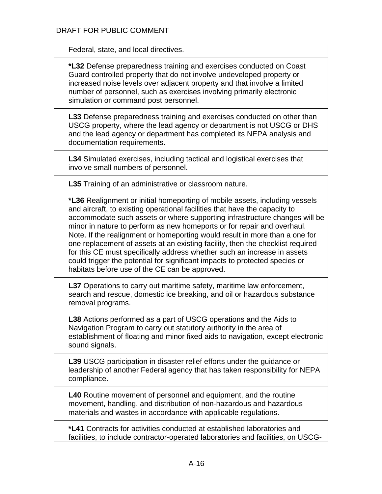Federal, state, and local directives.

**\*L32** Defense preparedness training and exercises conducted on Coast Guard controlled property that do not involve undeveloped property or increased noise levels over adjacent property and that involve a limited number of personnel, such as exercises involving primarily electronic simulation or command post personnel.

**L33** Defense preparedness training and exercises conducted on other than USCG property, where the lead agency or department is not USCG or DHS and the lead agency or department has completed its NEPA analysis and documentation requirements.

**L34** Simulated exercises, including tactical and logistical exercises that involve small numbers of personnel.

**L35** Training of an administrative or classroom nature.

**\*L36** Realignment or initial homeporting of mobile assets, including vessels and aircraft, to existing operational facilities that have the capacity to accommodate such assets or where supporting infrastructure changes will be minor in nature to perform as new homeports or for repair and overhaul. Note. If the realignment or homeporting would result in more than a one for one replacement of assets at an existing facility, then the checklist required for this CE must specifically address whether such an increase in assets could trigger the potential for significant impacts to protected species or habitats before use of the CE can be approved.

**L37** Operations to carry out maritime safety, maritime law enforcement, search and rescue, domestic ice breaking, and oil or hazardous substance removal programs.

**L38** Actions performed as a part of USCG operations and the Aids to Navigation Program to carry out statutory authority in the area of establishment of floating and minor fixed aids to navigation, except electronic sound signals.

**L39** USCG participation in disaster relief efforts under the guidance or leadership of another Federal agency that has taken responsibility for NEPA compliance.

**L40** Routine movement of personnel and equipment, and the routine movement, handling, and distribution of non-hazardous and hazardous materials and wastes in accordance with applicable regulations.

**\*L41** Contracts for activities conducted at established laboratories and facilities, to include contractor-operated laboratories and facilities, on USCG-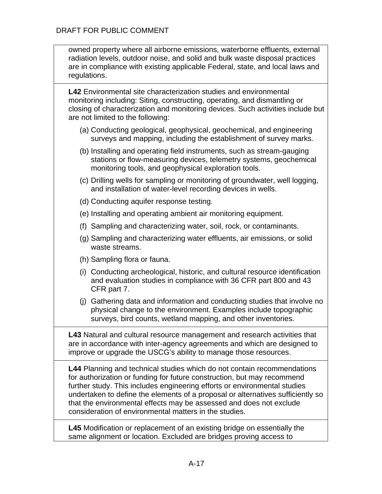| owned property where all airborne emissions, waterborne effluents, external   |
|-------------------------------------------------------------------------------|
| radiation levels, outdoor noise, and solid and bulk waste disposal practices  |
| are in compliance with existing applicable Federal, state, and local laws and |
| regulations.                                                                  |

**L42** Environmental site characterization studies and environmental monitoring including: Siting, constructing, operating, and dismantling or closing of characterization and monitoring devices. Such activities include but are not limited to the following:

- (a) Conducting geological, geophysical, geochemical, and engineering surveys and mapping, including the establishment of survey marks.
- (b) Installing and operating field instruments, such as stream-gauging stations or flow-measuring devices, telemetry systems, geochemical monitoring tools, and geophysical exploration tools.
- (c) Drilling wells for sampling or monitoring of groundwater, well logging, and installation of water-level recording devices in wells.
- (d) Conducting aquifer response testing.
- (e) Installing and operating ambient air monitoring equipment.
- (f) Sampling and characterizing water, soil, rock, or contaminants.
- (g) Sampling and characterizing water effluents, air emissions, or solid waste streams.
- (h) Sampling flora or fauna.
- (i) Conducting archeological, historic, and cultural resource identification and evaluation studies in compliance with 36 CFR part 800 and 43 CFR part 7.
- (j) Gathering data and information and conducting studies that involve no physical change to the environment. Examples include topographic surveys, bird counts, wetland mapping, and other inventories.

**L43** Natural and cultural resource management and research activities that are in accordance with inter-agency agreements and which are designed to improve or upgrade the USCG's ability to manage those resources.

**L44** Planning and technical studies which do not contain recommendations for authorization or funding for future construction, but may recommend further study. This includes engineering efforts or environmental studies undertaken to define the elements of a proposal or alternatives sufficiently so that the environmental effects may be assessed and does not exclude consideration of environmental matters in the studies.

**L45** Modification or replacement of an existing bridge on essentially the same alignment or location. Excluded are bridges proving access to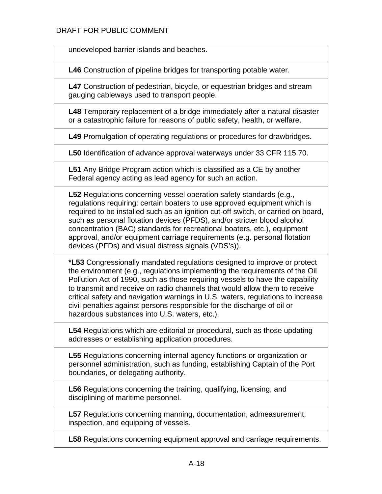undeveloped barrier islands and beaches.

**L46** Construction of pipeline bridges for transporting potable water.

**L47** Construction of pedestrian, bicycle, or equestrian bridges and stream gauging cableways used to transport people.

**L48** Temporary replacement of a bridge immediately after a natural disaster or a catastrophic failure for reasons of public safety, health, or welfare.

**L49** Promulgation of operating regulations or procedures for drawbridges.

**L50** Identification of advance approval waterways under 33 CFR 115.70.

**L51** Any Bridge Program action which is classified as a CE by another Federal agency acting as lead agency for such an action.

**L52** Regulations concerning vessel operation safety standards (e.g., regulations requiring: certain boaters to use approved equipment which is required to be installed such as an ignition cut-off switch, or carried on board, such as personal flotation devices (PFDS), and/or stricter blood alcohol concentration (BAC) standards for recreational boaters, etc.), equipment approval, and/or equipment carriage requirements (e.g. personal flotation devices (PFDs) and visual distress signals (VDS's)).

**\*L53** Congressionally mandated regulations designed to improve or protect the environment (e.g., regulations implementing the requirements of the Oil Pollution Act of 1990, such as those requiring vessels to have the capability to transmit and receive on radio channels that would allow them to receive critical safety and navigation warnings in U.S. waters, regulations to increase civil penalties against persons responsible for the discharge of oil or hazardous substances into U.S. waters, etc.).

**L54** Regulations which are editorial or procedural, such as those updating addresses or establishing application procedures.

**L55** Regulations concerning internal agency functions or organization or personnel administration, such as funding, establishing Captain of the Port boundaries, or delegating authority.

**L56** Regulations concerning the training, qualifying, licensing, and disciplining of maritime personnel.

**L57** Regulations concerning manning, documentation, admeasurement, inspection, and equipping of vessels.

**L58** Regulations concerning equipment approval and carriage requirements.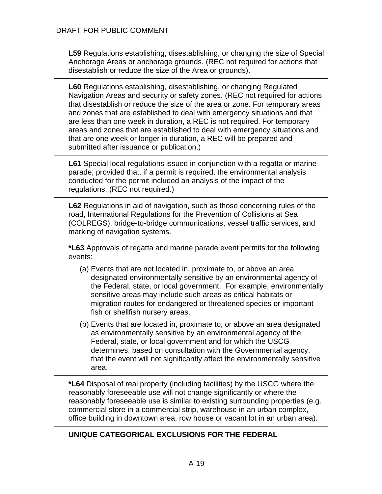**L59** Regulations establishing, disestablishing, or changing the size of Special Anchorage Areas or anchorage grounds. (REC not required for actions that disestablish or reduce the size of the Area or grounds).

**L60** Regulations establishing, disestablishing, or changing Regulated Navigation Areas and security or safety zones. (REC not required for actions that disestablish or reduce the size of the area or zone. For temporary areas and zones that are established to deal with emergency situations and that are less than one week in duration, a REC is not required. For temporary areas and zones that are established to deal with emergency situations and that are one week or longer in duration, a REC will be prepared and submitted after issuance or publication.)

**L61** Special local regulations issued in conjunction with a regatta or marine parade; provided that, if a permit is required, the environmental analysis conducted for the permit included an analysis of the impact of the regulations. (REC not required.)

**L62** Regulations in aid of navigation, such as those concerning rules of the road, International Regulations for the Prevention of Collisions at Sea (COLREGS), bridge-to-bridge communications, vessel traffic services, and marking of navigation systems.

**\*L63** Approvals of regatta and marine parade event permits for the following events:

- (a) Events that are not located in, proximate to, or above an area designated environmentally sensitive by an environmental agency of the Federal, state, or local government. For example, environmentally sensitive areas may include such areas as critical habitats or migration routes for endangered or threatened species or important fish or shellfish nursery areas.
- (b) Events that are located in, proximate to, or above an area designated as environmentally sensitive by an environmental agency of the Federal, state, or local government and for which the USCG determines, based on consultation with the Governmental agency, that the event will not significantly affect the environmentally sensitive area.

**\*L64** Disposal of real property (including facilities) by the USCG where the reasonably foreseeable use will not change significantly or where the reasonably foreseeable use is similar to existing surrounding properties (e.g. commercial store in a commercial strip, warehouse in an urban complex, office building in downtown area, row house or vacant lot in an urban area).

# **UNIQUE CATEGORICAL EXCLUSIONS FOR THE FEDERAL**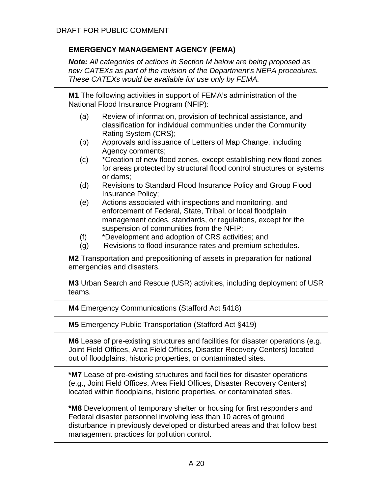| <b>EMERGENCY MANAGEMENT AGENCY (FEMA)</b> |                                                                                                                                                                                                                                      |  |  |  |  |  |
|-------------------------------------------|--------------------------------------------------------------------------------------------------------------------------------------------------------------------------------------------------------------------------------------|--|--|--|--|--|
|                                           | <b>Note:</b> All categories of actions in Section M below are being proposed as<br>new CATEXs as part of the revision of the Department's NEPA procedures.<br>These CATEXs would be available for use only by FEMA.                  |  |  |  |  |  |
|                                           | M1 The following activities in support of FEMA's administration of the<br>National Flood Insurance Program (NFIP):                                                                                                                   |  |  |  |  |  |
| (a)                                       | Review of information, provision of technical assistance, and<br>classification for individual communities under the Community<br>Rating System (CRS);                                                                               |  |  |  |  |  |
| (b)                                       | Approvals and issuance of Letters of Map Change, including<br>Agency comments;                                                                                                                                                       |  |  |  |  |  |
| (c)                                       | *Creation of new flood zones, except establishing new flood zones<br>for areas protected by structural flood control structures or systems<br>or dams;                                                                               |  |  |  |  |  |
| (d)                                       | Revisions to Standard Flood Insurance Policy and Group Flood<br>Insurance Policy;                                                                                                                                                    |  |  |  |  |  |
| (e)                                       | Actions associated with inspections and monitoring, and<br>enforcement of Federal, State, Tribal, or local floodplain<br>management codes, standards, or regulations, except for the<br>suspension of communities from the NFIP;     |  |  |  |  |  |
| (f)<br>(g)                                | *Development and adoption of CRS activities; and<br>Revisions to flood insurance rates and premium schedules.                                                                                                                        |  |  |  |  |  |
|                                           | M2 Transportation and prepositioning of assets in preparation for national<br>emergencies and disasters.                                                                                                                             |  |  |  |  |  |
| teams.                                    | M3 Urban Search and Rescue (USR) activities, including deployment of USR                                                                                                                                                             |  |  |  |  |  |
|                                           | <b>M4</b> Emergency Communications (Stafford Act §418)                                                                                                                                                                               |  |  |  |  |  |
|                                           | M5 Emergency Public Transportation (Stafford Act §419)                                                                                                                                                                               |  |  |  |  |  |
|                                           | M6 Lease of pre-existing structures and facilities for disaster operations (e.g.<br>Joint Field Offices, Area Field Offices, Disaster Recovery Centers) located<br>out of floodplains, historic properties, or contaminated sites.   |  |  |  |  |  |
|                                           | *M7 Lease of pre-existing structures and facilities for disaster operations<br>(e.g., Joint Field Offices, Area Field Offices, Disaster Recovery Centers)<br>located within floodplains, historic properties, or contaminated sites. |  |  |  |  |  |
|                                           | <b>*M8</b> Development of temporary shelter or housing for first responders and<br>Federal disaster personnel involving less than 10 acres of ground                                                                                 |  |  |  |  |  |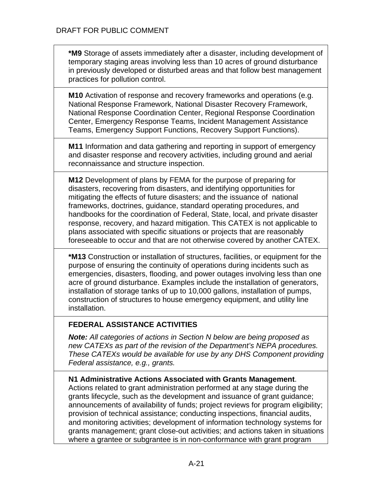**\*M9** Storage of assets immediately after a disaster, including development of temporary staging areas involving less than 10 acres of ground disturbance in previously developed or disturbed areas and that follow best management practices for pollution control.

**M10** Activation of response and recovery frameworks and operations (e.g. National Response Framework, National Disaster Recovery Framework, National Response Coordination Center, Regional Response Coordination Center, Emergency Response Teams, Incident Management Assistance Teams, Emergency Support Functions, Recovery Support Functions).

**M11** Information and data gathering and reporting in support of emergency and disaster response and recovery activities, including ground and aerial reconnaissance and structure inspection.

**M12** Development of plans by FEMA for the purpose of preparing for disasters, recovering from disasters, and identifying opportunities for mitigating the effects of future disasters; and the issuance of national frameworks, doctrines, guidance, standard operating procedures, and handbooks for the coordination of Federal, State, local, and private disaster response, recovery, and hazard mitigation. This CATEX is not applicable to plans associated with specific situations or projects that are reasonably foreseeable to occur and that are not otherwise covered by another CATEX.

**\*M13** Construction or installation of structures, facilities, or equipment for the purpose of ensuring the continuity of operations during incidents such as emergencies, disasters, flooding, and power outages involving less than one acre of ground disturbance. Examples include the installation of generators, installation of storage tanks of up to 10,000 gallons, installation of pumps, construction of structures to house emergency equipment, and utility line installation.

# **FEDERAL ASSISTANCE ACTIVITIES**

*Note: All categories of actions in Section N below are being proposed as new CATEXs as part of the revision of the Department's NEPA procedures. These CATEXs would be available for use by any DHS Component providing Federal assistance, e.g., grants.*

## **N1 Administrative Actions Associated with Grants Management**.

Actions related to grant administration performed at any stage during the grants lifecycle, such as the development and issuance of grant guidance; announcements of availability of funds; project reviews for program eligibility; provision of technical assistance; conducting inspections, financial audits, and monitoring activities; development of information technology systems for grants management; grant close-out activities; and actions taken in situations where a grantee or subgrantee is in non-conformance with grant program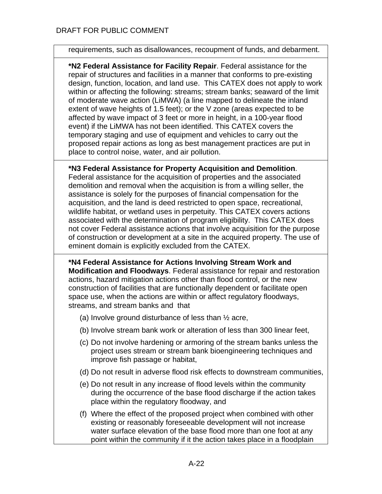requirements, such as disallowances, recoupment of funds, and debarment.

**\*N2 Federal Assistance for Facility Repair**. Federal assistance for the repair of structures and facilities in a manner that conforms to pre-existing design, function, location, and land use. This CATEX does not apply to work within or affecting the following: streams; stream banks; seaward of the limit of moderate wave action (LiMWA) (a line mapped to delineate the inland extent of wave heights of 1.5 feet); or the V zone (areas expected to be affected by wave impact of 3 feet or more in height, in a 100-year flood event) if the LiMWA has not been identified. This CATEX covers the temporary staging and use of equipment and vehicles to carry out the proposed repair actions as long as best management practices are put in place to control noise, water, and air pollution.

## **\*N3 Federal Assistance for Property Acquisition and Demolition**.

Federal assistance for the acquisition of properties and the associated demolition and removal when the acquisition is from a willing seller, the assistance is solely for the purposes of financial compensation for the acquisition, and the land is deed restricted to open space, recreational, wildlife habitat, or wetland uses in perpetuity. This CATEX covers actions associated with the determination of program eligibility. This CATEX does not cover Federal assistance actions that involve acquisition for the purpose of construction or development at a site in the acquired property. The use of eminent domain is explicitly excluded from the CATEX.

**\*N4 Federal Assistance for Actions Involving Stream Work and Modification and Floodways**. Federal assistance for repair and restoration actions, hazard mitigation actions other than flood control, or the new construction of facilities that are functionally dependent or facilitate open space use, when the actions are within or affect regulatory floodways, streams, and stream banks and that

- (a) Involve ground disturbance of less than  $\frac{1}{2}$  acre,
- (b) Involve stream bank work or alteration of less than 300 linear feet,
- (c) Do not involve hardening or armoring of the stream banks unless the project uses stream or stream bank bioengineering techniques and improve fish passage or habitat,
- (d) Do not result in adverse flood risk effects to downstream communities,
- (e) Do not result in any increase of flood levels within the community during the occurrence of the base flood discharge if the action takes place within the regulatory floodway, and

(f) Where the effect of the proposed project when combined with other existing or reasonably foreseeable development will not increase water surface elevation of the base flood more than one foot at any point within the community if it the action takes place in a floodplain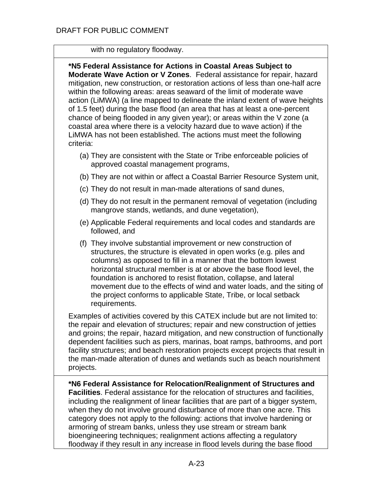#### with no regulatory floodway.

**\*N5 Federal Assistance for Actions in Coastal Areas Subject to Moderate Wave Action or V Zones**. Federal assistance for repair, hazard mitigation, new construction, or restoration actions of less than one-half acre within the following areas: areas seaward of the limit of moderate wave action (LiMWA) (a line mapped to delineate the inland extent of wave heights of 1.5 feet) during the base flood (an area that has at least a one-percent chance of being flooded in any given year); or areas within the V zone (a coastal area where there is a velocity hazard due to wave action) if the LiMWA has not been established. The actions must meet the following criteria:

- (a) They are consistent with the State or Tribe enforceable policies of approved coastal management programs,
- (b) They are not within or affect a Coastal Barrier Resource System unit,
- (c) They do not result in man-made alterations of sand dunes,
- (d) They do not result in the permanent removal of vegetation (including mangrove stands, wetlands, and dune vegetation),
- (e) Applicable Federal requirements and local codes and standards are followed, and
- (f) They involve substantial improvement or new construction of structures, the structure is elevated in open works (e.g. piles and columns) as opposed to fill in a manner that the bottom lowest horizontal structural member is at or above the base flood level, the foundation is anchored to resist flotation, collapse, and lateral movement due to the effects of wind and water loads, and the siting of the project conforms to applicable State, Tribe, or local setback requirements.

Examples of activities covered by this CATEX include but are not limited to: the repair and elevation of structures; repair and new construction of jetties and groins; the repair, hazard mitigation, and new construction of functionally dependent facilities such as piers, marinas, boat ramps, bathrooms, and port facility structures; and beach restoration projects except projects that result in the man-made alteration of dunes and wetlands such as beach nourishment projects.

**\*N6 Federal Assistance for Relocation/Realignment of Structures and Facilities**. Federal assistance for the relocation of structures and facilities, including the realignment of linear facilities that are part of a bigger system, when they do not involve ground disturbance of more than one acre. This category does not apply to the following: actions that involve hardening or armoring of stream banks, unless they use stream or stream bank bioengineering techniques; realignment actions affecting a regulatory floodway if they result in any increase in flood levels during the base flood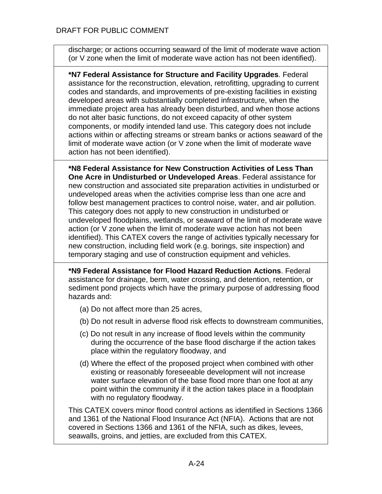discharge; or actions occurring seaward of the limit of moderate wave action (or V zone when the limit of moderate wave action has not been identified).

**\*N7 Federal Assistance for Structure and Facility Upgrades**. Federal assistance for the reconstruction, elevation, retrofitting, upgrading to current codes and standards, and improvements of pre-existing facilities in existing developed areas with substantially completed infrastructure, when the immediate project area has already been disturbed, and when those actions do not alter basic functions, do not exceed capacity of other system components, or modify intended land use. This category does not include actions within or affecting streams or stream banks or actions seaward of the limit of moderate wave action (or V zone when the limit of moderate wave action has not been identified).

**\*N8 Federal Assistance for New Construction Activities of Less Than One Acre in Undisturbed or Undeveloped Areas**. Federal assistance for new construction and associated site preparation activities in undisturbed or undeveloped areas when the activities comprise less than one acre and follow best management practices to control noise, water, and air pollution. This category does not apply to new construction in undisturbed or undeveloped floodplains, wetlands, or seaward of the limit of moderate wave action (or V zone when the limit of moderate wave action has not been identified). This CATEX covers the range of activities typically necessary for new construction, including field work (e.g. borings, site inspection) and temporary staging and use of construction equipment and vehicles.

**\*N9 Federal Assistance for Flood Hazard Reduction Actions**. Federal assistance for drainage, berm, water crossing, and detention, retention, or sediment pond projects which have the primary purpose of addressing flood hazards and:

- (a) Do not affect more than 25 acres,
- (b) Do not result in adverse flood risk effects to downstream communities,
- (c) Do not result in any increase of flood levels within the community during the occurrence of the base flood discharge if the action takes place within the regulatory floodway, and
- (d) Where the effect of the proposed project when combined with other existing or reasonably foreseeable development will not increase water surface elevation of the base flood more than one foot at any point within the community if it the action takes place in a floodplain with no regulatory floodway.

This CATEX covers minor flood control actions as identified in Sections 1366 and 1361 of the National Flood Insurance Act (NFIA). Actions that are not covered in Sections 1366 and 1361 of the NFIA, such as dikes, levees, seawalls, groins, and jetties, are excluded from this CATEX.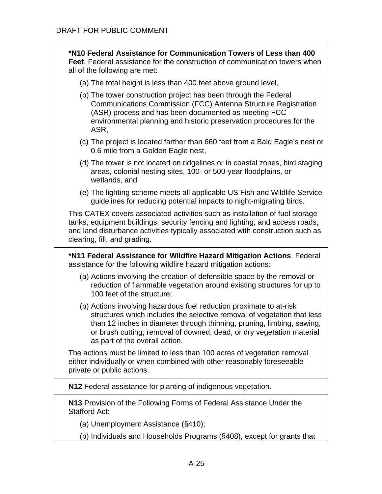| *N10 Federal Assistance for Communication Towers of Less than 400<br><b>Feet.</b> Federal assistance for the construction of communication towers when<br>all of the following are met:                                                                                                                                             |
|-------------------------------------------------------------------------------------------------------------------------------------------------------------------------------------------------------------------------------------------------------------------------------------------------------------------------------------|
| (a) The total height is less than 400 feet above ground level,                                                                                                                                                                                                                                                                      |
| (b) The tower construction project has been through the Federal<br>Communications Commission (FCC) Antenna Structure Registration<br>(ASR) process and has been documented as meeting FCC<br>environmental planning and historic preservation procedures for the<br>ASR.                                                            |
| (c) The project is located farther than 660 feet from a Bald Eagle's nest or<br>0.6 mile from a Golden Eagle nest,                                                                                                                                                                                                                  |
| (d) The tower is not located on ridgelines or in coastal zones, bird staging<br>areas, colonial nesting sites, 100- or 500-year floodplains, or<br>wetlands, and                                                                                                                                                                    |
| (e) The lighting scheme meets all applicable US Fish and Wildlife Service<br>guidelines for reducing potential impacts to night-migrating birds.                                                                                                                                                                                    |
| This CATEX covers associated activities such as installation of fuel storage<br>tanks, equipment buildings, security fencing and lighting, and access roads,<br>and land disturbance activities typically associated with construction such as<br>clearing, fill, and grading.                                                      |
|                                                                                                                                                                                                                                                                                                                                     |
| *N11 Federal Assistance for Wildfire Hazard Mitigation Actions. Federal<br>assistance for the following wildfire hazard mitigation actions:                                                                                                                                                                                         |
| (a) Actions involving the creation of defensible space by the removal or<br>reduction of flammable vegetation around existing structures for up to<br>100 feet of the structure;                                                                                                                                                    |
| (b) Actions involving hazardous fuel reduction proximate to at-risk<br>structures which includes the selective removal of vegetation that less<br>than 12 inches in diameter through thinning, pruning, limbing, sawing,<br>or brush cutting; removal of downed, dead, or dry vegetation material<br>as part of the overall action. |
| The actions must be limited to less than 100 acres of vegetation removal<br>either individually or when combined with other reasonably foreseeable<br>private or public actions.                                                                                                                                                    |
| N12 Federal assistance for planting of indigenous vegetation.                                                                                                                                                                                                                                                                       |
| N13 Provision of the Following Forms of Federal Assistance Under the<br><b>Stafford Act:</b>                                                                                                                                                                                                                                        |
| (a) Unemployment Assistance (§410);                                                                                                                                                                                                                                                                                                 |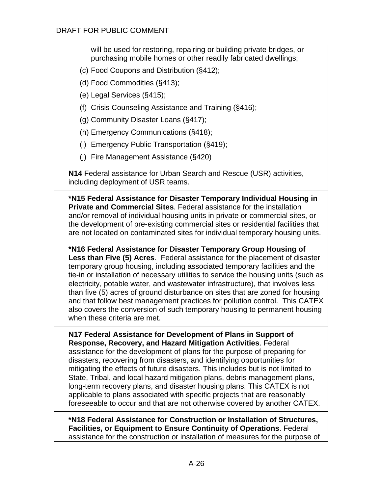will be used for restoring, repairing or building private bridges, or purchasing mobile homes or other readily fabricated dwellings;

- (c) Food Coupons and Distribution (§412);
- (d) Food Commodities (§413);
- (e) Legal Services (§415);
- (f) Crisis Counseling Assistance and Training (§416);
- (g) Community Disaster Loans (§417);
- (h) Emergency Communications (§418);
- (i) Emergency Public Transportation (§419);
- (j) Fire Management Assistance (§420)

**N14** Federal assistance for Urban Search and Rescue (USR) activities, including deployment of USR teams.

**\*N15 Federal Assistance for Disaster Temporary Individual Housing in Private and Commercial Sites**. Federal assistance for the installation and/or removal of individual housing units in private or commercial sites, or the development of pre-existing commercial sites or residential facilities that are not located on contaminated sites for individual temporary housing units.

**\*N16 Federal Assistance for Disaster Temporary Group Housing of Less than Five (5) Acres**. Federal assistance for the placement of disaster temporary group housing, including associated temporary facilities and the tie-in or installation of necessary utilities to service the housing units (such as electricity, potable water, and wastewater infrastructure), that involves less than five (5) acres of ground disturbance on sites that are zoned for housing and that follow best management practices for pollution control. This CATEX also covers the conversion of such temporary housing to permanent housing when these criteria are met.

**N17 Federal Assistance for Development of Plans in Support of Response, Recovery, and Hazard Mitigation Activities**. Federal assistance for the development of plans for the purpose of preparing for disasters, recovering from disasters, and identifying opportunities for mitigating the effects of future disasters. This includes but is not limited to State, Tribal, and local hazard mitigation plans, debris management plans, long-term recovery plans, and disaster housing plans. This CATEX is not applicable to plans associated with specific projects that are reasonably foreseeable to occur and that are not otherwise covered by another CATEX.

**\*N18 Federal Assistance for Construction or Installation of Structures, Facilities, or Equipment to Ensure Continuity of Operations**. Federal assistance for the construction or installation of measures for the purpose of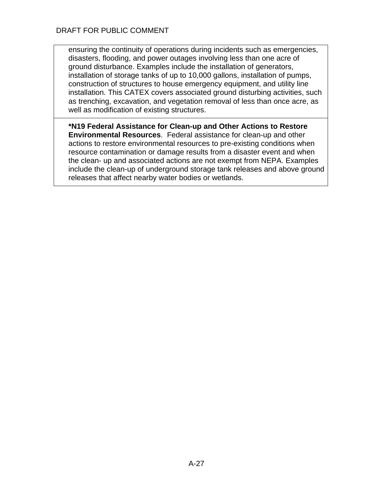ensuring the continuity of operations during incidents such as emergencies, disasters, flooding, and power outages involving less than one acre of ground disturbance. Examples include the installation of generators, installation of storage tanks of up to 10,000 gallons, installation of pumps, construction of structures to house emergency equipment, and utility line installation. This CATEX covers associated ground disturbing activities, such as trenching, excavation, and vegetation removal of less than once acre, as well as modification of existing structures.

**\*N19 Federal Assistance for Clean-up and Other Actions to Restore Environmental Resources**. Federal assistance for clean-up and other actions to restore environmental resources to pre-existing conditions when resource contamination or damage results from a disaster event and when the clean- up and associated actions are not exempt from NEPA. Examples include the clean-up of underground storage tank releases and above ground releases that affect nearby water bodies or wetlands.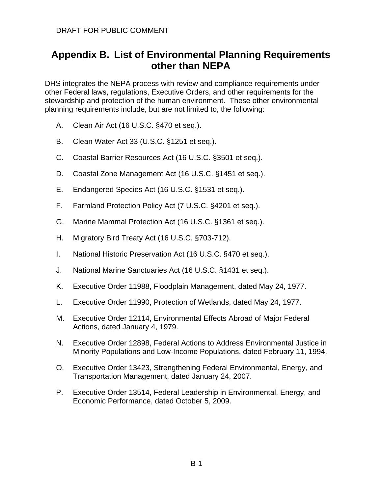# **Appendix B. List of Environmental Planning Requirements other than NEPA**

DHS integrates the NEPA process with review and compliance requirements under other Federal laws, regulations, Executive Orders, and other requirements for the stewardship and protection of the human environment. These other environmental planning requirements include, but are not limited to, the following:

- A. Clean Air Act (16 U.S.C. §470 et seq.).
- B. Clean Water Act 33 (U.S.C. §1251 et seq.).
- C. Coastal Barrier Resources Act (16 U.S.C. §3501 et seq.).
- D. Coastal Zone Management Act (16 U.S.C. §1451 et seq.).
- E. Endangered Species Act (16 U.S.C. §1531 et seq.).
- F. Farmland Protection Policy Act (7 U.S.C. §4201 et seq.).
- G. Marine Mammal Protection Act (16 U.S.C. §1361 et seq.).
- H. Migratory Bird Treaty Act (16 U.S.C. §703-712).
- I. National Historic Preservation Act (16 U.S.C. §470 et seq.).
- J. National Marine Sanctuaries Act (16 U.S.C. §1431 et seq.).
- K. Executive Order 11988, Floodplain Management, dated May 24, 1977.
- L. Executive Order 11990, Protection of Wetlands, dated May 24, 1977.
- M. Executive Order 12114, Environmental Effects Abroad of Major Federal Actions, dated January 4, 1979.
- N. Executive Order 12898, Federal Actions to Address Environmental Justice in Minority Populations and Low-Income Populations, dated February 11, 1994.
- O. Executive Order 13423, Strengthening Federal Environmental, Energy, and Transportation Management, dated January 24, 2007.
- P. Executive Order 13514, Federal Leadership in Environmental, Energy, and Economic Performance, dated October 5, 2009.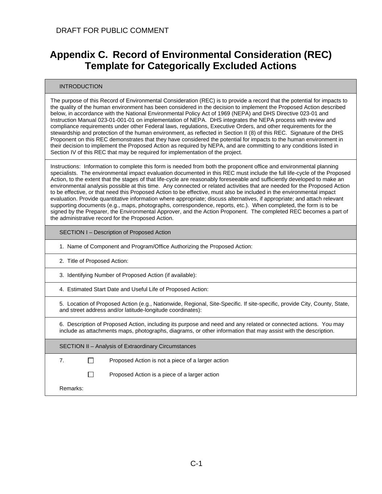# **Appendix C. Record of Environmental Consideration (REC) Template for Categorically Excluded Actions**

#### INTRODUCTION

The purpose of this Record of Environmental Consideration (REC) is to provide a record that the potential for impacts to the quality of the human environment has been considered in the decision to implement the Proposed Action described below, in accordance with the National Environmental Policy Act of 1969 (NEPA) and DHS Directive 023-01 and Instruction Manual 023-01-001-01 on implementation of NEPA. DHS integrates the NEPA process with review and compliance requirements under other Federal laws, regulations, Executive Orders, and other requirements for the stewardship and protection of the human environment, as reflected in Section II (8) of this REC. Signature of the DHS Proponent on this REC demonstrates that they have considered the potential for impacts to the human environment in their decision to implement the Proposed Action as required by NEPA, and are committing to any conditions listed in Section IV of this REC that may be required for implementation of the project.

Instructions: Information to complete this form is needed from both the proponent office and environmental planning specialists. The environmental impact evaluation documented in this REC must include the full life-cycle of the Proposed Action, to the extent that the stages of that life-cycle are reasonably foreseeable and sufficiently developed to make an environmental analysis possible at this time. Any connected or related activities that are needed for the Proposed Action to be effective, or that need this Proposed Action to be effective, must also be included in the environmental impact evaluation. Provide quantitative information where appropriate; discuss alternatives, if appropriate; and attach relevant supporting documents (e.g., maps, photographs, correspondence, reports, etc.). When completed, the form is to be signed by the Preparer, the Environmental Approver, and the Action Proponent. The completed REC becomes a part of the administrative record for the Proposed Action.

SECTION I – Description of Proposed Action

|  |  | 1. Name of Component and Program/Office Authorizing the Proposed Action: |
|--|--|--------------------------------------------------------------------------|
|  |  |                                                                          |

2. Title of Proposed Action:

3. Identifying Number of Proposed Action (if available):

4. Estimated Start Date and Useful Life of Proposed Action:

5. Location of Proposed Action (e.g., Nationwide, Regional, Site-Specific. If site-specific, provide City, County, State, and street address and/or latitude-longitude coordinates):

6. Description of Proposed Action, including its purpose and need and any related or connected actions. You may include as attachments maps, photographs, diagrams, or other information that may assist with the description.

SECTION II – Analysis of Extraordinary Circumstances

7. Proposed Action is not a piece of a larger action

 $\Box$ Proposed Action is a piece of a larger action

Remarks: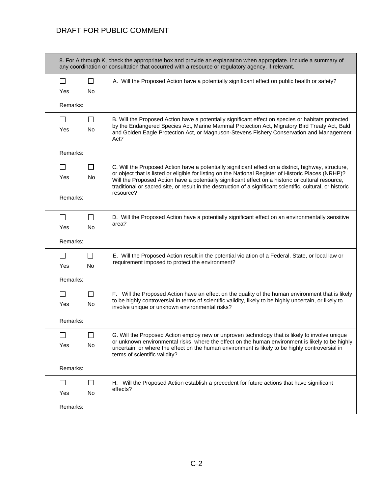## DRAFT FOR PUBLIC COMMENT

|              |           | any coordination or consultation that occurred with a resource or regulatory agency, if relevant.                                                                                                                                                                                                                         |
|--------------|-----------|---------------------------------------------------------------------------------------------------------------------------------------------------------------------------------------------------------------------------------------------------------------------------------------------------------------------------|
| $\mathsf{L}$ | $\Box$    | A. Will the Proposed Action have a potentially significant effect on public health or safety?                                                                                                                                                                                                                             |
| Yes          | No.       |                                                                                                                                                                                                                                                                                                                           |
| Remarks:     |           |                                                                                                                                                                                                                                                                                                                           |
| ΙI           | $\perp$   | B. Will the Proposed Action have a potentially significant effect on species or habitats protected                                                                                                                                                                                                                        |
| Yes          | <b>No</b> | by the Endangered Species Act, Marine Mammal Protection Act, Migratory Bird Treaty Act, Bald<br>and Golden Eagle Protection Act, or Magnuson-Stevens Fishery Conservation and Management<br>Act?                                                                                                                          |
| Remarks:     |           |                                                                                                                                                                                                                                                                                                                           |
| $\mathsf{L}$ | $\Box$    | C. Will the Proposed Action have a potentially significant effect on a district, highway, structure,                                                                                                                                                                                                                      |
| Yes          | No        | or object that is listed or eligible for listing on the National Register of Historic Places (NRHP)?<br>Will the Proposed Action have a potentially significant effect on a historic or cultural resource,<br>traditional or sacred site, or result in the destruction of a significant scientific, cultural, or historic |
| Remarks:     |           | resource?                                                                                                                                                                                                                                                                                                                 |
| ΙI           | $\perp$   | D. Will the Proposed Action have a potentially significant effect on an environmentally sensitive                                                                                                                                                                                                                         |
| Yes          | <b>No</b> | area?                                                                                                                                                                                                                                                                                                                     |
| Remarks:     |           |                                                                                                                                                                                                                                                                                                                           |
| ΙI           | $\perp$   | E. Will the Proposed Action result in the potential violation of a Federal, State, or local law or                                                                                                                                                                                                                        |
| Yes          | <b>No</b> | requirement imposed to protect the environment?                                                                                                                                                                                                                                                                           |
| Remarks:     |           |                                                                                                                                                                                                                                                                                                                           |
|              |           | F. Will the Proposed Action have an effect on the quality of the human environment that is likely                                                                                                                                                                                                                         |
| Yes          | No        | to be highly controversial in terms of scientific validity, likely to be highly uncertain, or likely to<br>involve unique or unknown environmental risks?                                                                                                                                                                 |
| Remarks:     |           |                                                                                                                                                                                                                                                                                                                           |
|              |           | G. Will the Proposed Action employ new or unproven technology that is likely to involve unique                                                                                                                                                                                                                            |
| Yes          | No        | or unknown environmental risks, where the effect on the human environment is likely to be highly<br>uncertain, or where the effect on the human environment is likely to be highly controversial in<br>terms of scientific validity?                                                                                      |
| Remarks:     |           |                                                                                                                                                                                                                                                                                                                           |
| ΙI           | $\perp$   | H. Will the Proposed Action establish a precedent for future actions that have significant                                                                                                                                                                                                                                |
|              | No        | effects?                                                                                                                                                                                                                                                                                                                  |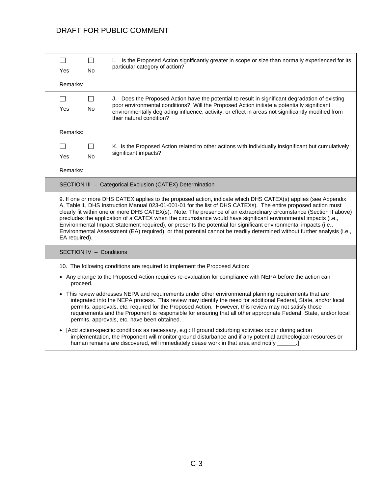# DRAFT FOR PUBLIC COMMENT

| П             | $\Box$                  | Is the Proposed Action significantly greater in scope or size than normally experienced for its<br>L.                                                                                                                                                                                                                                                                                                                                                                                                                                                                                                                                                                                                                  |
|---------------|-------------------------|------------------------------------------------------------------------------------------------------------------------------------------------------------------------------------------------------------------------------------------------------------------------------------------------------------------------------------------------------------------------------------------------------------------------------------------------------------------------------------------------------------------------------------------------------------------------------------------------------------------------------------------------------------------------------------------------------------------------|
| Yes           | <b>No</b>               | particular category of action?                                                                                                                                                                                                                                                                                                                                                                                                                                                                                                                                                                                                                                                                                         |
| Remarks:      |                         |                                                                                                                                                                                                                                                                                                                                                                                                                                                                                                                                                                                                                                                                                                                        |
| $\Box$        | $\mathsf{L}$            | J. Does the Proposed Action have the potential to result in significant degradation of existing                                                                                                                                                                                                                                                                                                                                                                                                                                                                                                                                                                                                                        |
| <b>Yes</b>    | <b>No</b>               | poor environmental conditions? Will the Proposed Action initiate a potentially significant<br>environmentally degrading influence, activity, or effect in areas not significantly modified from<br>their natural condition?                                                                                                                                                                                                                                                                                                                                                                                                                                                                                            |
| Remarks:      |                         |                                                                                                                                                                                                                                                                                                                                                                                                                                                                                                                                                                                                                                                                                                                        |
| $\perp$       | $\perp$                 | K. Is the Proposed Action related to other actions with individually insignificant but cumulatively                                                                                                                                                                                                                                                                                                                                                                                                                                                                                                                                                                                                                    |
| <b>Yes</b>    | <b>No</b>               | significant impacts?                                                                                                                                                                                                                                                                                                                                                                                                                                                                                                                                                                                                                                                                                                   |
| Remarks:      |                         |                                                                                                                                                                                                                                                                                                                                                                                                                                                                                                                                                                                                                                                                                                                        |
|               |                         | SECTION III - Categorical Exclusion (CATEX) Determination                                                                                                                                                                                                                                                                                                                                                                                                                                                                                                                                                                                                                                                              |
| EA required). |                         | 9. If one or more DHS CATEX applies to the proposed action, indicate which DHS CATEX(s) applies (see Appendix<br>A, Table 1, DHS Instruction Manual 023-01-001-01 for the list of DHS CATEXs). The entire proposed action must<br>clearly fit within one or more DHS CATEX(s). Note: The presence of an extraordinary circumstance (Section II above)<br>precludes the application of a CATEX when the circumstance would have significant environmental impacts (i.e.,<br>Environmental Impact Statement required), or presents the potential for significant environmental impacts (i.e.,<br>Environmental Assessment (EA) required), or that potential cannot be readily determined without further analysis (i.e., |
|               | SECTION IV - Conditions |                                                                                                                                                                                                                                                                                                                                                                                                                                                                                                                                                                                                                                                                                                                        |
|               |                         | 10. The following conditions are required to implement the Proposed Action:                                                                                                                                                                                                                                                                                                                                                                                                                                                                                                                                                                                                                                            |
|               | proceed.                | • Any change to the Proposed Action requires re-evaluation for compliance with NEPA before the action can                                                                                                                                                                                                                                                                                                                                                                                                                                                                                                                                                                                                              |
|               |                         | • This review addresses NEPA and requirements under other environmental planning requirements that are<br>integrated into the NEPA process. This review may identify the need for additional Federal, State, and/or local<br>permits, approvals, etc. required for the Proposed Action. However, this review may not satisfy those<br>requirements and the Proponent is responsible for ensuring that all other appropriate Federal, State, and/or local<br>permits, approvals, etc. have been obtained.                                                                                                                                                                                                               |
|               |                         | • [Add action-specific conditions as necessary, e.g.: If ground disturbing activities occur during action<br>implementation, the Proponent will monitor ground disturbance and if any potential archeological resources or                                                                                                                                                                                                                                                                                                                                                                                                                                                                                             |

human remains are discovered, will immediately cease work in that area and notify \_\_\_\_\_\_.]